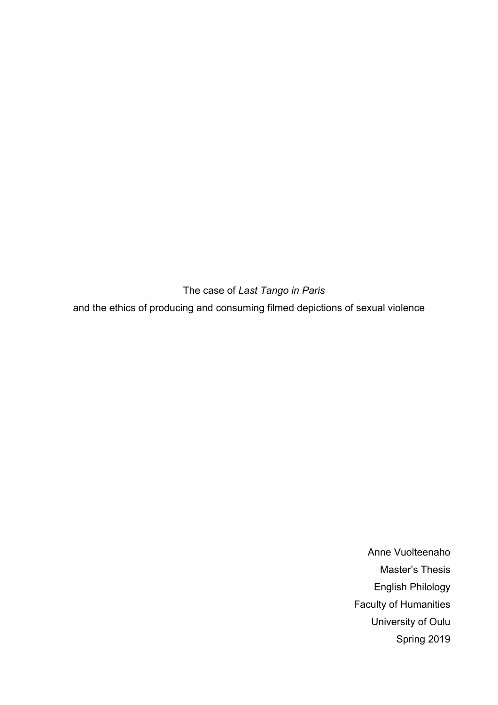The case of *Last Tango in Paris* and the ethics of producing and consuming filmed depictions of sexual violence

> Anne Vuolteenaho Master's Thesis English Philology Faculty of Humanities University of Oulu Spring 2019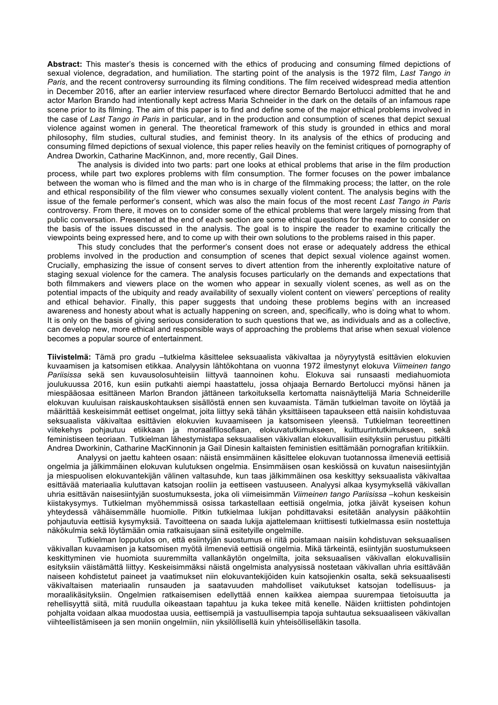**Abstract:** This master's thesis is concerned with the ethics of producing and consuming filmed depictions of sexual violence, degradation, and humiliation. The starting point of the analysis is the 1972 film, *Last Tango in Paris*, and the recent controversy surrounding its filming conditions. The film received widespread media attention in December 2016, after an earlier interview resurfaced where director Bernardo Bertolucci admitted that he and actor Marlon Brando had intentionally kept actress Maria Schneider in the dark on the details of an infamous rape scene prior to its filming. The aim of this paper is to find and define some of the major ethical problems involved in the case of *Last Tango in Paris* in particular, and in the production and consumption of scenes that depict sexual violence against women in general. The theoretical framework of this study is grounded in ethics and moral philosophy, film studies, cultural studies, and feminist theory. In its analysis of the ethics of producing and consuming filmed depictions of sexual violence, this paper relies heavily on the feminist critiques of pornography of Andrea Dworkin, Catharine MacKinnon, and, more recently, Gail Dines.

The analysis is divided into two parts: part one looks at ethical problems that arise in the film production process, while part two explores problems with film consumption. The former focuses on the power imbalance between the woman who is filmed and the man who is in charge of the filmmaking process; the latter, on the role and ethical responsibility of the film viewer who consumes sexually violent content. The analysis begins with the issue of the female performer's consent, which was also the main focus of the most recent *Last Tango in Paris*  controversy. From there, it moves on to consider some of the ethical problems that were largely missing from that public conversation. Presented at the end of each section are some ethical questions for the reader to consider on the basis of the issues discussed in the analysis. The goal is to inspire the reader to examine critically the viewpoints being expressed here, and to come up with their own solutions to the problems raised in this paper.

This study concludes that the performer's consent does not erase or adequately address the ethical problems involved in the production and consumption of scenes that depict sexual violence against women. Crucially, emphasizing the issue of consent serves to divert attention from the inherently exploitative nature of staging sexual violence for the camera. The analysis focuses particularly on the demands and expectations that both filmmakers and viewers place on the women who appear in sexually violent scenes, as well as on the potential impacts of the ubiquity and ready availability of sexually violent content on viewers' perceptions of reality and ethical behavior. Finally, this paper suggests that undoing these problems begins with an increased awareness and honesty about what is actually happening on screen, and, specifically, who is doing what to whom. It is only on the basis of giving serious consideration to such questions that we, as individuals and as a collective, can develop new, more ethical and responsible ways of approaching the problems that arise when sexual violence becomes a popular source of entertainment.

**Tiivistelmä:** Tämä pro gradu –tutkielma käsittelee seksuaalista väkivaltaa ja nöyryytystä esittävien elokuvien kuvaamisen ja katsomisen etikkaa. Analyysin lähtökohtana on vuonna 1972 ilmestynyt elokuva *Viimeinen tango Pariisissa* sekä sen kuvausolosuhteisiin liittyvä taannoinen kohu. Elokuva sai runsaasti mediahuomiota joulukuussa 2016, kun esiin putkahti aiempi haastattelu, jossa ohjaaja Bernardo Bertolucci myönsi hänen ja miespääosaa esittäneen Marlon Brandon jättäneen tarkoituksella kertomatta naisnäyttelijä Maria Schneiderille elokuvan kuuluisan raiskauskohtauksen sisällöstä ennen sen kuvaamista. Tämän tutkielman tavoite on löytää ja määrittää keskeisimmät eettiset ongelmat, joita liittyy sekä tähän yksittäiseen tapaukseen että naisiin kohdistuvaa seksuaalista väkivaltaa esittävien elokuvien kuvaamiseen ja katsomiseen yleensä. Tutkielman teoreettinen viitekehys pohjautuu etiikkaan ja moraalifilosofiaan, elokuvatutkimukseen, kulttuurintutkimukseen, sekä feministiseen teoriaan. Tutkielman lähestymistapa seksuaalisen väkivallan elokuvallisiin esityksiin perustuu pitkälti Andrea Dworkinin, Catharine MacKinnonin ja Gail Dinesin kaltaisten feministien esittämään pornografian kritiikkiin.

Analyysi on jaettu kahteen osaan: näistä ensimmäinen käsittelee elokuvan tuotannossa ilmeneviä eettisiä ongelmia ja jälkimmäinen elokuvan kulutuksen ongelmia. Ensimmäisen osan keskiössä on kuvatun naisesiintyjän ja miespuolisen elokuvantekijän välinen valtasuhde, kun taas jälkimmäinen osa keskittyy seksuaalista väkivaltaa esittävää materiaalia kuluttavan katsojan rooliin ja eettiseen vastuuseen. Analyysi alkaa kysymyksellä väkivallan uhria esittävän naisesiintyjän suostumuksesta, joka oli viimeisimmän *Viimeinen tango Pariisissa* –kohun keskeisin kiistakysymys. Tutkielman myöhemmissä osissa tarkastellaan eettisiä ongelmia, jotka jäivät kyseisen kohun yhteydessä vähäisemmälle huomiolle. Pitkin tutkielmaa lukijan pohdittavaksi esitetään analyysin pääkohtiin pohjautuvia eettisiä kysymyksiä. Tavoitteena on saada lukija ajattelemaan kriittisesti tutkielmassa esiin nostettuja näkökulmia sekä löytämään omia ratkaisujaan siinä esitetyille ongelmille.

Tutkielman lopputulos on, että esiintyjän suostumus ei riitä poistamaan naisiin kohdistuvan seksuaalisen väkivallan kuvaamisen ja katsomisen myötä ilmeneviä eettisiä ongelmia. Mikä tärkeintä, esiintyjän suostumukseen keskittyminen vie huomiota suuremmilta vallankäytön ongelmilta, joita seksuaalisen väkivallan elokuvallisiin esityksiin väistämättä liittyy. Keskeisimmäksi näistä ongelmista analyysissä nostetaan väkivallan uhria esittävään naiseen kohdistetut paineet ja vaatimukset niin elokuvantekijöiden kuin katsojienkin osalta, sekä seksuaalisesti väkivaltaisen materiaalin runsauden ja saatavuuden mahdolliset vaikutukset katsojan todellisuus- ja moraalikäsityksiin. Ongelmien ratkaisemisen edellyttää ennen kaikkea aiempaa suurempaa tietoisuutta ja rehellisyyttä siitä, mitä ruudulla oikeastaan tapahtuu ja kuka tekee mitä kenelle. Näiden kriittisten pohdintojen pohjalta voidaan alkaa muodostaa uusia, eettisempiä ja vastuullisempia tapoja suhtautua seksuaaliseen väkivallan viihteellistämiseen ja sen moniin ongelmiin, niin yksilöllisellä kuin yhteisölliselläkin tasolla.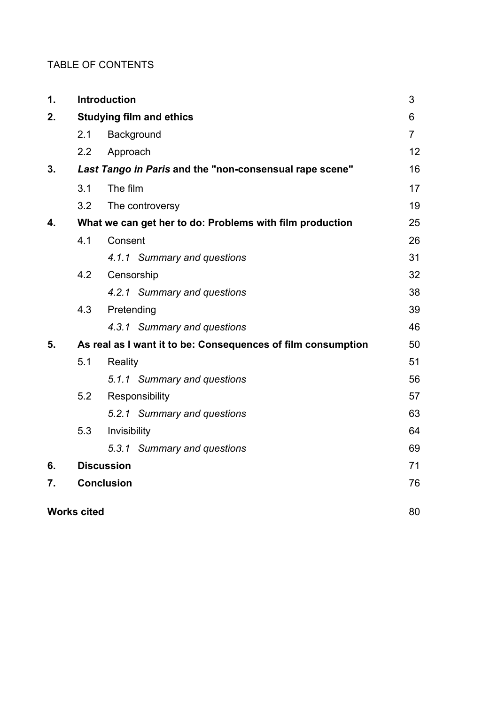# TABLE OF CONTENTS

| 1. |                                                              | <b>Introduction</b>         | 3              |
|----|--------------------------------------------------------------|-----------------------------|----------------|
| 2. | <b>Studying film and ethics</b>                              |                             |                |
|    | 2.1                                                          | Background                  | $\overline{7}$ |
|    | 2.2                                                          | Approach                    | 12             |
| 3. | Last Tango in Paris and the "non-consensual rape scene"      |                             |                |
|    | 3.1                                                          | The film                    | 17             |
|    | 3.2                                                          | The controversy             | 19             |
| 4. | What we can get her to do: Problems with film production     |                             |                |
|    | 4.1                                                          | Consent                     | 26             |
|    |                                                              | 4.1.1 Summary and questions | 31             |
|    | 4.2                                                          | Censorship                  | 32             |
|    |                                                              | 4.2.1 Summary and questions | 38             |
|    | 4.3                                                          | Pretending                  | 39             |
|    |                                                              | 4.3.1 Summary and questions | 46             |
| 5. | As real as I want it to be: Consequences of film consumption |                             | 50             |
|    | 5.1                                                          | Reality                     | 51             |
|    |                                                              | 5.1.1 Summary and questions | 56             |
|    | 5.2                                                          | Responsibility              | 57             |
|    |                                                              | 5.2.1 Summary and questions | 63             |
|    | 5.3                                                          | Invisibility                | 64             |
|    |                                                              | 5.3.1 Summary and questions | 69             |
| 6. |                                                              | <b>Discussion</b>           | 71             |
| 7. |                                                              | <b>Conclusion</b>           | 76             |
|    | <b>Works cited</b>                                           |                             |                |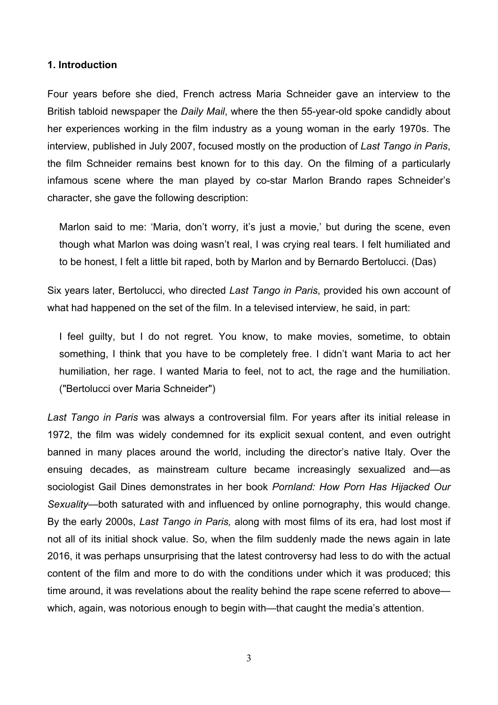### **1. Introduction**

Four years before she died, French actress Maria Schneider gave an interview to the British tabloid newspaper the *Daily Mail*, where the then 55-year-old spoke candidly about her experiences working in the film industry as a young woman in the early 1970s. The interview, published in July 2007, focused mostly on the production of *Last Tango in Paris*, the film Schneider remains best known for to this day. On the filming of a particularly infamous scene where the man played by co-star Marlon Brando rapes Schneider's character, she gave the following description:

Marlon said to me: 'Maria, don't worry, it's just a movie,' but during the scene, even though what Marlon was doing wasn't real, I was crying real tears. I felt humiliated and to be honest, I felt a little bit raped, both by Marlon and by Bernardo Bertolucci. (Das)

Six years later, Bertolucci, who directed *Last Tango in Paris*, provided his own account of what had happened on the set of the film. In a televised interview, he said, in part:

I feel guilty, but I do not regret. You know, to make movies, sometime, to obtain something, I think that you have to be completely free. I didn't want Maria to act her humiliation, her rage. I wanted Maria to feel, not to act, the rage and the humiliation. ("Bertolucci over Maria Schneider")

*Last Tango in Paris* was always a controversial film. For years after its initial release in 1972, the film was widely condemned for its explicit sexual content, and even outright banned in many places around the world, including the director's native Italy. Over the ensuing decades, as mainstream culture became increasingly sexualized and—as sociologist Gail Dines demonstrates in her book *Pornland: How Porn Has Hijacked Our Sexuality*—both saturated with and influenced by online pornography, this would change. By the early 2000s, *Last Tango in Paris,* along with most films of its era, had lost most if not all of its initial shock value. So, when the film suddenly made the news again in late 2016, it was perhaps unsurprising that the latest controversy had less to do with the actual content of the film and more to do with the conditions under which it was produced; this time around, it was revelations about the reality behind the rape scene referred to above which, again, was notorious enough to begin with—that caught the media's attention.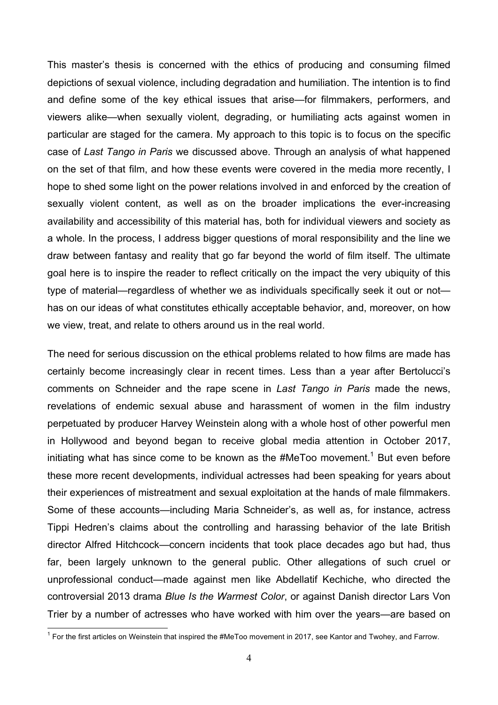This master's thesis is concerned with the ethics of producing and consuming filmed depictions of sexual violence, including degradation and humiliation. The intention is to find and define some of the key ethical issues that arise—for filmmakers, performers, and viewers alike—when sexually violent, degrading, or humiliating acts against women in particular are staged for the camera. My approach to this topic is to focus on the specific case of *Last Tango in Paris* we discussed above. Through an analysis of what happened on the set of that film, and how these events were covered in the media more recently, I hope to shed some light on the power relations involved in and enforced by the creation of sexually violent content, as well as on the broader implications the ever-increasing availability and accessibility of this material has, both for individual viewers and society as a whole. In the process, I address bigger questions of moral responsibility and the line we draw between fantasy and reality that go far beyond the world of film itself. The ultimate goal here is to inspire the reader to reflect critically on the impact the very ubiquity of this type of material—regardless of whether we as individuals specifically seek it out or not has on our ideas of what constitutes ethically acceptable behavior, and, moreover, on how we view, treat, and relate to others around us in the real world.

The need for serious discussion on the ethical problems related to how films are made has certainly become increasingly clear in recent times. Less than a year after Bertolucci's comments on Schneider and the rape scene in *Last Tango in Paris* made the news, revelations of endemic sexual abuse and harassment of women in the film industry perpetuated by producer Harvey Weinstein along with a whole host of other powerful men in Hollywood and beyond began to receive global media attention in October 2017, initiating what has since come to be known as the #MeToo movement.<sup>1</sup> But even before these more recent developments, individual actresses had been speaking for years about their experiences of mistreatment and sexual exploitation at the hands of male filmmakers. Some of these accounts—including Maria Schneider's, as well as, for instance, actress Tippi Hedren's claims about the controlling and harassing behavior of the late British director Alfred Hitchcock—concern incidents that took place decades ago but had, thus far, been largely unknown to the general public. Other allegations of such cruel or unprofessional conduct—made against men like Abdellatif Kechiche, who directed the controversial 2013 drama *Blue Is the Warmest Color*, or against Danish director Lars Von Trier by a number of actresses who have worked with him over the years—are based on

<sup>|&</sup>lt;br>1  $1$  For the first articles on Weinstein that inspired the #MeToo movement in 2017, see Kantor and Twohey, and Farrow.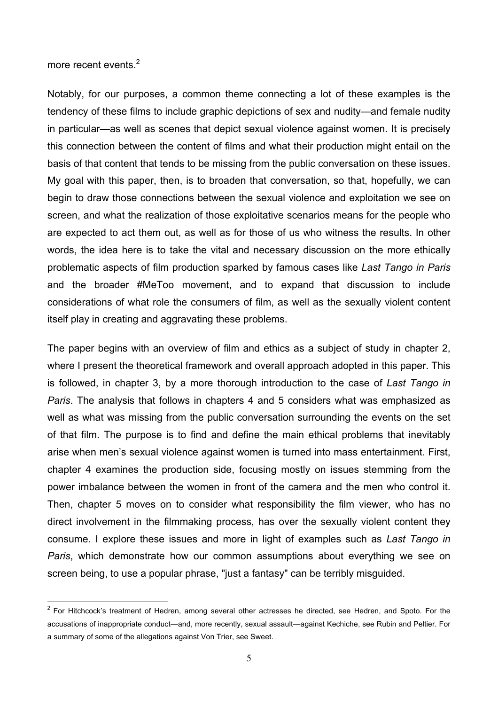more recent events.<sup>2</sup>

Notably, for our purposes, a common theme connecting a lot of these examples is the tendency of these films to include graphic depictions of sex and nudity—and female nudity in particular—as well as scenes that depict sexual violence against women. It is precisely this connection between the content of films and what their production might entail on the basis of that content that tends to be missing from the public conversation on these issues. My goal with this paper, then, is to broaden that conversation, so that, hopefully, we can begin to draw those connections between the sexual violence and exploitation we see on screen, and what the realization of those exploitative scenarios means for the people who are expected to act them out, as well as for those of us who witness the results. In other words, the idea here is to take the vital and necessary discussion on the more ethically problematic aspects of film production sparked by famous cases like *Last Tango in Paris* and the broader #MeToo movement, and to expand that discussion to include considerations of what role the consumers of film, as well as the sexually violent content itself play in creating and aggravating these problems.

The paper begins with an overview of film and ethics as a subject of study in chapter 2, where I present the theoretical framework and overall approach adopted in this paper. This is followed, in chapter 3, by a more thorough introduction to the case of *Last Tango in Paris*. The analysis that follows in chapters 4 and 5 considers what was emphasized as well as what was missing from the public conversation surrounding the events on the set of that film. The purpose is to find and define the main ethical problems that inevitably arise when men's sexual violence against women is turned into mass entertainment. First, chapter 4 examines the production side, focusing mostly on issues stemming from the power imbalance between the women in front of the camera and the men who control it. Then, chapter 5 moves on to consider what responsibility the film viewer, who has no direct involvement in the filmmaking process, has over the sexually violent content they consume. I explore these issues and more in light of examples such as *Last Tango in Paris*, which demonstrate how our common assumptions about everything we see on screen being, to use a popular phrase, "just a fantasy" can be terribly misguided.

<sup>&</sup>lt;sup>2</sup> For Hitchcock's treatment of Hedren, among several other actresses he directed, see Hedren, and Spoto. For the accusations of inappropriate conduct—and, more recently, sexual assault—against Kechiche, see Rubin and Peltier. For a summary of some of the allegations against Von Trier, see Sweet.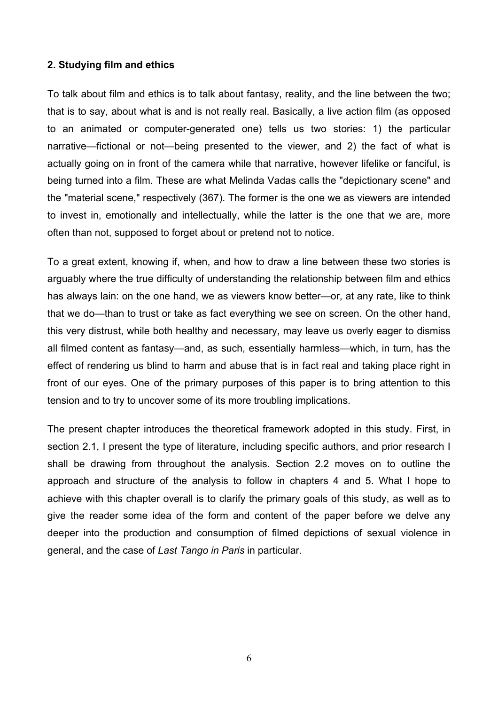# **2. Studying film and ethics**

To talk about film and ethics is to talk about fantasy, reality, and the line between the two; that is to say, about what is and is not really real. Basically, a live action film (as opposed to an animated or computer-generated one) tells us two stories: 1) the particular narrative—fictional or not—being presented to the viewer, and 2) the fact of what is actually going on in front of the camera while that narrative, however lifelike or fanciful, is being turned into a film. These are what Melinda Vadas calls the "depictionary scene" and the "material scene," respectively (367). The former is the one we as viewers are intended to invest in, emotionally and intellectually, while the latter is the one that we are, more often than not, supposed to forget about or pretend not to notice.

To a great extent, knowing if, when, and how to draw a line between these two stories is arguably where the true difficulty of understanding the relationship between film and ethics has always lain: on the one hand, we as viewers know better—or, at any rate, like to think that we do—than to trust or take as fact everything we see on screen. On the other hand, this very distrust, while both healthy and necessary, may leave us overly eager to dismiss all filmed content as fantasy—and, as such, essentially harmless—which, in turn, has the effect of rendering us blind to harm and abuse that is in fact real and taking place right in front of our eyes. One of the primary purposes of this paper is to bring attention to this tension and to try to uncover some of its more troubling implications.

The present chapter introduces the theoretical framework adopted in this study. First, in section 2.1. I present the type of literature, including specific authors, and prior research I shall be drawing from throughout the analysis. Section 2.2 moves on to outline the approach and structure of the analysis to follow in chapters 4 and 5. What I hope to achieve with this chapter overall is to clarify the primary goals of this study, as well as to give the reader some idea of the form and content of the paper before we delve any deeper into the production and consumption of filmed depictions of sexual violence in general, and the case of *Last Tango in Paris* in particular.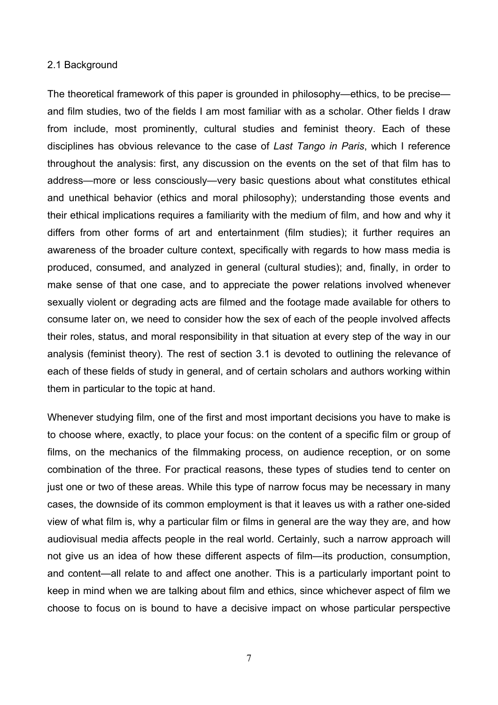#### 2.1 Background

The theoretical framework of this paper is grounded in philosophy—ethics, to be precise and film studies, two of the fields I am most familiar with as a scholar. Other fields I draw from include, most prominently, cultural studies and feminist theory. Each of these disciplines has obvious relevance to the case of *Last Tango in Paris*, which I reference throughout the analysis: first, any discussion on the events on the set of that film has to address—more or less consciously—very basic questions about what constitutes ethical and unethical behavior (ethics and moral philosophy); understanding those events and their ethical implications requires a familiarity with the medium of film, and how and why it differs from other forms of art and entertainment (film studies); it further requires an awareness of the broader culture context, specifically with regards to how mass media is produced, consumed, and analyzed in general (cultural studies); and, finally, in order to make sense of that one case, and to appreciate the power relations involved whenever sexually violent or degrading acts are filmed and the footage made available for others to consume later on, we need to consider how the sex of each of the people involved affects their roles, status, and moral responsibility in that situation at every step of the way in our analysis (feminist theory). The rest of section 3.1 is devoted to outlining the relevance of each of these fields of study in general, and of certain scholars and authors working within them in particular to the topic at hand.

Whenever studying film, one of the first and most important decisions you have to make is to choose where, exactly, to place your focus: on the content of a specific film or group of films, on the mechanics of the filmmaking process, on audience reception, or on some combination of the three. For practical reasons, these types of studies tend to center on just one or two of these areas. While this type of narrow focus may be necessary in many cases, the downside of its common employment is that it leaves us with a rather one-sided view of what film is, why a particular film or films in general are the way they are, and how audiovisual media affects people in the real world. Certainly, such a narrow approach will not give us an idea of how these different aspects of film—its production, consumption, and content—all relate to and affect one another. This is a particularly important point to keep in mind when we are talking about film and ethics, since whichever aspect of film we choose to focus on is bound to have a decisive impact on whose particular perspective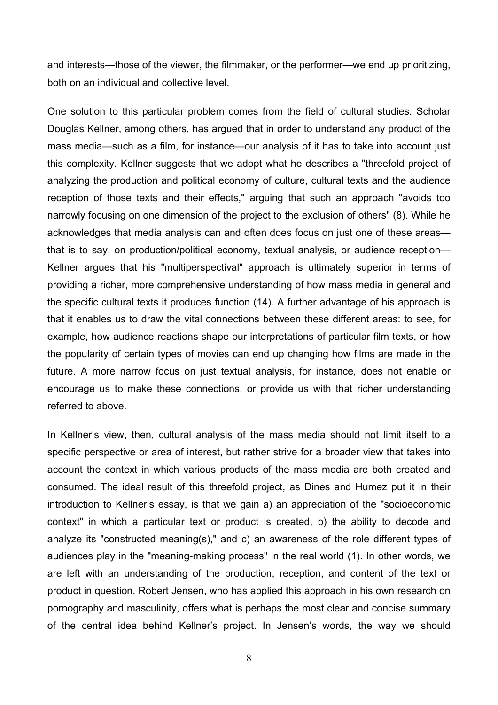and interests—those of the viewer, the filmmaker, or the performer—we end up prioritizing, both on an individual and collective level.

One solution to this particular problem comes from the field of cultural studies. Scholar Douglas Kellner, among others, has argued that in order to understand any product of the mass media—such as a film, for instance—our analysis of it has to take into account just this complexity. Kellner suggests that we adopt what he describes a "threefold project of analyzing the production and political economy of culture, cultural texts and the audience reception of those texts and their effects," arguing that such an approach "avoids too narrowly focusing on one dimension of the project to the exclusion of others" (8). While he acknowledges that media analysis can and often does focus on just one of these areas that is to say, on production/political economy, textual analysis, or audience reception— Kellner argues that his "multiperspectival" approach is ultimately superior in terms of providing a richer, more comprehensive understanding of how mass media in general and the specific cultural texts it produces function (14). A further advantage of his approach is that it enables us to draw the vital connections between these different areas: to see, for example, how audience reactions shape our interpretations of particular film texts, or how the popularity of certain types of movies can end up changing how films are made in the future. A more narrow focus on just textual analysis, for instance, does not enable or encourage us to make these connections, or provide us with that richer understanding referred to above.

In Kellner's view, then, cultural analysis of the mass media should not limit itself to a specific perspective or area of interest, but rather strive for a broader view that takes into account the context in which various products of the mass media are both created and consumed. The ideal result of this threefold project, as Dines and Humez put it in their introduction to Kellner's essay, is that we gain a) an appreciation of the "socioeconomic context" in which a particular text or product is created, b) the ability to decode and analyze its "constructed meaning(s)," and c) an awareness of the role different types of audiences play in the "meaning-making process" in the real world (1). In other words, we are left with an understanding of the production, reception, and content of the text or product in question. Robert Jensen, who has applied this approach in his own research on pornography and masculinity, offers what is perhaps the most clear and concise summary of the central idea behind Kellner's project. In Jensen's words, the way we should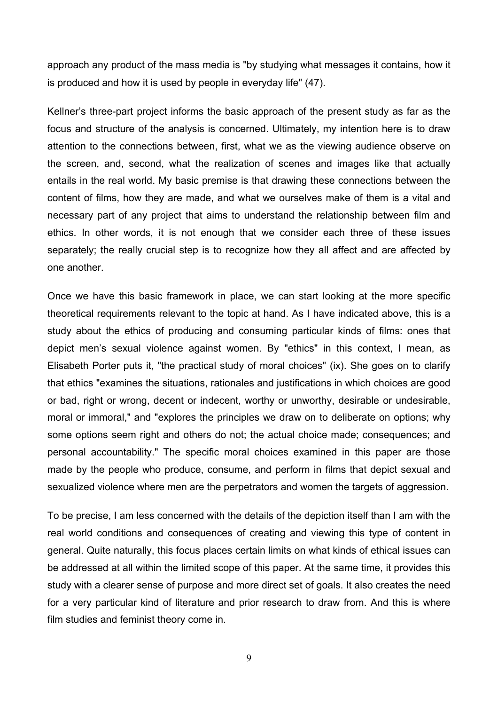approach any product of the mass media is "by studying what messages it contains, how it is produced and how it is used by people in everyday life" (47).

Kellner's three-part project informs the basic approach of the present study as far as the focus and structure of the analysis is concerned. Ultimately, my intention here is to draw attention to the connections between, first, what we as the viewing audience observe on the screen, and, second, what the realization of scenes and images like that actually entails in the real world. My basic premise is that drawing these connections between the content of films, how they are made, and what we ourselves make of them is a vital and necessary part of any project that aims to understand the relationship between film and ethics. In other words, it is not enough that we consider each three of these issues separately; the really crucial step is to recognize how they all affect and are affected by one another.

Once we have this basic framework in place, we can start looking at the more specific theoretical requirements relevant to the topic at hand. As I have indicated above, this is a study about the ethics of producing and consuming particular kinds of films: ones that depict men's sexual violence against women. By "ethics" in this context, I mean, as Elisabeth Porter puts it, "the practical study of moral choices" (ix). She goes on to clarify that ethics "examines the situations, rationales and justifications in which choices are good or bad, right or wrong, decent or indecent, worthy or unworthy, desirable or undesirable, moral or immoral," and "explores the principles we draw on to deliberate on options; why some options seem right and others do not; the actual choice made; consequences; and personal accountability." The specific moral choices examined in this paper are those made by the people who produce, consume, and perform in films that depict sexual and sexualized violence where men are the perpetrators and women the targets of aggression.

To be precise, I am less concerned with the details of the depiction itself than I am with the real world conditions and consequences of creating and viewing this type of content in general. Quite naturally, this focus places certain limits on what kinds of ethical issues can be addressed at all within the limited scope of this paper. At the same time, it provides this study with a clearer sense of purpose and more direct set of goals. It also creates the need for a very particular kind of literature and prior research to draw from. And this is where film studies and feminist theory come in.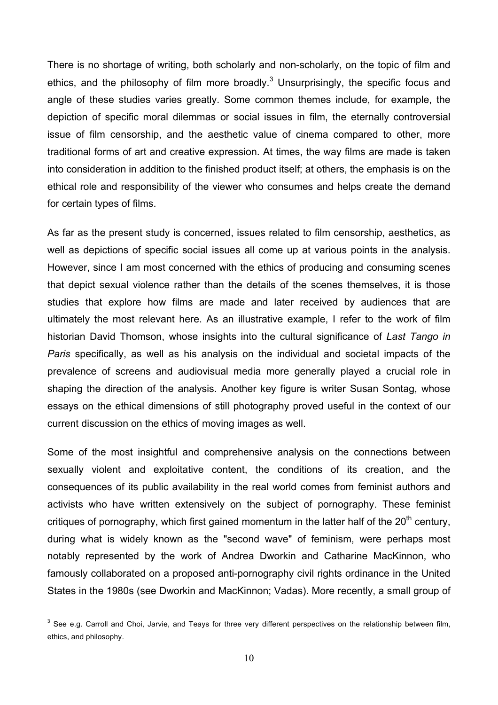There is no shortage of writing, both scholarly and non-scholarly, on the topic of film and ethics, and the philosophy of film more broadly. $3$  Unsurprisingly, the specific focus and angle of these studies varies greatly. Some common themes include, for example, the depiction of specific moral dilemmas or social issues in film, the eternally controversial issue of film censorship, and the aesthetic value of cinema compared to other, more traditional forms of art and creative expression. At times, the way films are made is taken into consideration in addition to the finished product itself; at others, the emphasis is on the ethical role and responsibility of the viewer who consumes and helps create the demand for certain types of films.

As far as the present study is concerned, issues related to film censorship, aesthetics, as well as depictions of specific social issues all come up at various points in the analysis. However, since I am most concerned with the ethics of producing and consuming scenes that depict sexual violence rather than the details of the scenes themselves, it is those studies that explore how films are made and later received by audiences that are ultimately the most relevant here. As an illustrative example, I refer to the work of film historian David Thomson, whose insights into the cultural significance of *Last Tango in Paris* specifically, as well as his analysis on the individual and societal impacts of the prevalence of screens and audiovisual media more generally played a crucial role in shaping the direction of the analysis. Another key figure is writer Susan Sontag, whose essays on the ethical dimensions of still photography proved useful in the context of our current discussion on the ethics of moving images as well.

Some of the most insightful and comprehensive analysis on the connections between sexually violent and exploitative content, the conditions of its creation, and the consequences of its public availability in the real world comes from feminist authors and activists who have written extensively on the subject of pornography. These feminist critiques of pornography, which first gained momentum in the latter half of the  $20<sup>th</sup>$  century. during what is widely known as the "second wave" of feminism, were perhaps most notably represented by the work of Andrea Dworkin and Catharine MacKinnon, who famously collaborated on a proposed anti-pornography civil rights ordinance in the United States in the 1980s (see Dworkin and MacKinnon; Vadas). More recently, a small group of

 $3$  See e.g. Carroll and Choi, Jarvie, and Teays for three very different perspectives on the relationship between film, ethics, and philosophy.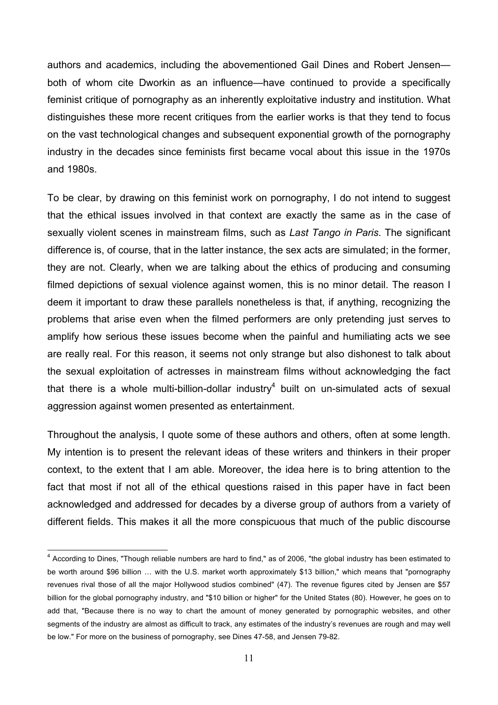authors and academics, including the abovementioned Gail Dines and Robert Jensen both of whom cite Dworkin as an influence—have continued to provide a specifically feminist critique of pornography as an inherently exploitative industry and institution. What distinguishes these more recent critiques from the earlier works is that they tend to focus on the vast technological changes and subsequent exponential growth of the pornography industry in the decades since feminists first became vocal about this issue in the 1970s and 1980s.

To be clear, by drawing on this feminist work on pornography, I do not intend to suggest that the ethical issues involved in that context are exactly the same as in the case of sexually violent scenes in mainstream films, such as *Last Tango in Paris*. The significant difference is, of course, that in the latter instance, the sex acts are simulated; in the former, they are not. Clearly, when we are talking about the ethics of producing and consuming filmed depictions of sexual violence against women, this is no minor detail. The reason I deem it important to draw these parallels nonetheless is that, if anything, recognizing the problems that arise even when the filmed performers are only pretending just serves to amplify how serious these issues become when the painful and humiliating acts we see are really real. For this reason, it seems not only strange but also dishonest to talk about the sexual exploitation of actresses in mainstream films without acknowledging the fact that there is a whole multi-billion-dollar industry<sup>4</sup> built on un-simulated acts of sexual aggression against women presented as entertainment.

Throughout the analysis, I quote some of these authors and others, often at some length. My intention is to present the relevant ideas of these writers and thinkers in their proper context, to the extent that I am able. Moreover, the idea here is to bring attention to the fact that most if not all of the ethical questions raised in this paper have in fact been acknowledged and addressed for decades by a diverse group of authors from a variety of different fields. This makes it all the more conspicuous that much of the public discourse

<sup>4</sup> According to Dines, "Though reliable numbers are hard to find," as of 2006, "the global industry has been estimated to be worth around \$96 billion … with the U.S. market worth approximately \$13 billion," which means that "pornography revenues rival those of all the major Hollywood studios combined" (47). The revenue figures cited by Jensen are \$57 billion for the global pornography industry, and "\$10 billion or higher" for the United States (80). However, he goes on to add that, "Because there is no way to chart the amount of money generated by pornographic websites, and other segments of the industry are almost as difficult to track, any estimates of the industry's revenues are rough and may well be low." For more on the business of pornography, see Dines 47-58, and Jensen 79-82.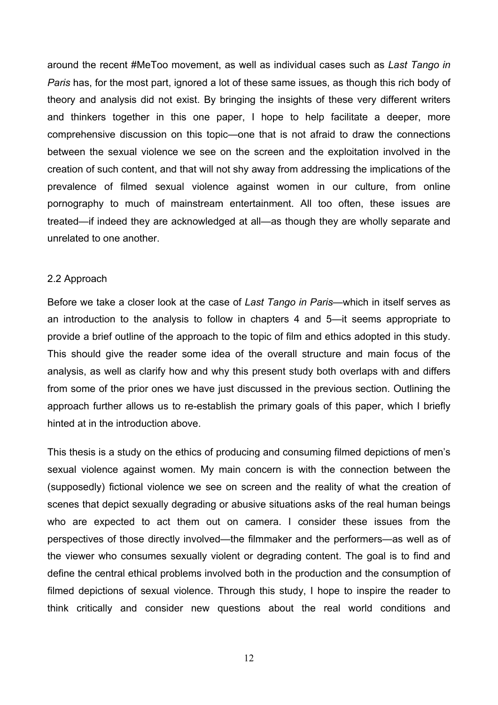around the recent #MeToo movement, as well as individual cases such as *Last Tango in Paris* has, for the most part, ignored a lot of these same issues, as though this rich body of theory and analysis did not exist. By bringing the insights of these very different writers and thinkers together in this one paper, I hope to help facilitate a deeper, more comprehensive discussion on this topic—one that is not afraid to draw the connections between the sexual violence we see on the screen and the exploitation involved in the creation of such content, and that will not shy away from addressing the implications of the prevalence of filmed sexual violence against women in our culture, from online pornography to much of mainstream entertainment. All too often, these issues are treated—if indeed they are acknowledged at all—as though they are wholly separate and unrelated to one another.

#### 2.2 Approach

Before we take a closer look at the case of *Last Tango in Paris*—which in itself serves as an introduction to the analysis to follow in chapters 4 and 5—it seems appropriate to provide a brief outline of the approach to the topic of film and ethics adopted in this study. This should give the reader some idea of the overall structure and main focus of the analysis, as well as clarify how and why this present study both overlaps with and differs from some of the prior ones we have just discussed in the previous section. Outlining the approach further allows us to re-establish the primary goals of this paper, which I briefly hinted at in the introduction above.

This thesis is a study on the ethics of producing and consuming filmed depictions of men's sexual violence against women. My main concern is with the connection between the (supposedly) fictional violence we see on screen and the reality of what the creation of scenes that depict sexually degrading or abusive situations asks of the real human beings who are expected to act them out on camera. I consider these issues from the perspectives of those directly involved—the filmmaker and the performers—as well as of the viewer who consumes sexually violent or degrading content. The goal is to find and define the central ethical problems involved both in the production and the consumption of filmed depictions of sexual violence. Through this study, I hope to inspire the reader to think critically and consider new questions about the real world conditions and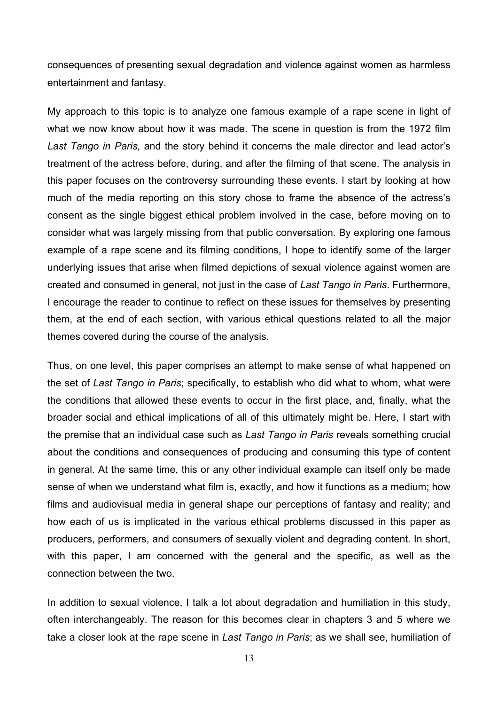consequences of presenting sexual degradation and violence against women as harmless entertainment and fantasy.

My approach to this topic is to analyze one famous example of a rape scene in light of what we now know about how it was made. The scene in question is from the 1972 film *Last Tango in Paris*, and the story behind it concerns the male director and lead actor's treatment of the actress before, during, and after the filming of that scene. The analysis in this paper focuses on the controversy surrounding these events. I start by looking at how much of the media reporting on this story chose to frame the absence of the actress's consent as the single biggest ethical problem involved in the case, before moving on to consider what was largely missing from that public conversation. By exploring one famous example of a rape scene and its filming conditions, I hope to identify some of the larger underlying issues that arise when filmed depictions of sexual violence against women are created and consumed in general, not just in the case of *Last Tango in Paris*. Furthermore, I encourage the reader to continue to reflect on these issues for themselves by presenting them, at the end of each section, with various ethical questions related to all the major themes covered during the course of the analysis.

Thus, on one level, this paper comprises an attempt to make sense of what happened on the set of *Last Tango in Paris*; specifically, to establish who did what to whom, what were the conditions that allowed these events to occur in the first place, and, finally, what the broader social and ethical implications of all of this ultimately might be. Here, I start with the premise that an individual case such as *Last Tango in Paris* reveals something crucial about the conditions and consequences of producing and consuming this type of content in general. At the same time, this or any other individual example can itself only be made sense of when we understand what film is, exactly, and how it functions as a medium; how films and audiovisual media in general shape our perceptions of fantasy and reality; and how each of us is implicated in the various ethical problems discussed in this paper as producers, performers, and consumers of sexually violent and degrading content. In short, with this paper, I am concerned with the general and the specific, as well as the connection between the two.

In addition to sexual violence, I talk a lot about degradation and humiliation in this study, often interchangeably. The reason for this becomes clear in chapters 3 and 5 where we take a closer look at the rape scene in *Last Tango in Paris*; as we shall see, humiliation of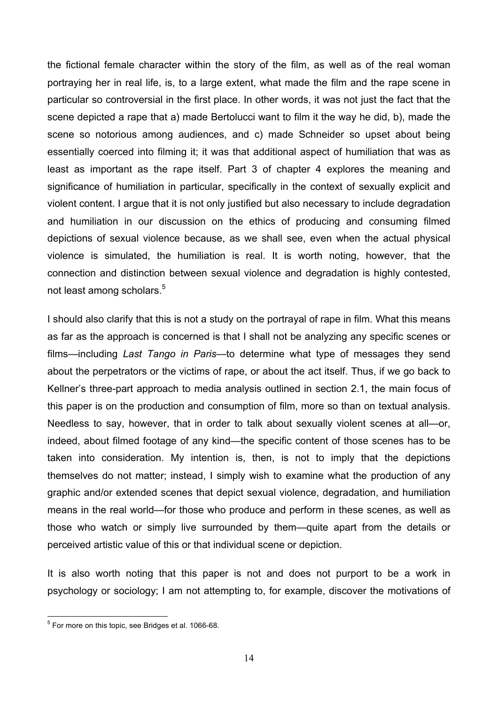the fictional female character within the story of the film, as well as of the real woman portraying her in real life, is, to a large extent, what made the film and the rape scene in particular so controversial in the first place. In other words, it was not just the fact that the scene depicted a rape that a) made Bertolucci want to film it the way he did, b), made the scene so notorious among audiences, and c) made Schneider so upset about being essentially coerced into filming it; it was that additional aspect of humiliation that was as least as important as the rape itself. Part 3 of chapter 4 explores the meaning and significance of humiliation in particular, specifically in the context of sexually explicit and violent content. I argue that it is not only justified but also necessary to include degradation and humiliation in our discussion on the ethics of producing and consuming filmed depictions of sexual violence because, as we shall see, even when the actual physical violence is simulated, the humiliation is real. It is worth noting, however, that the connection and distinction between sexual violence and degradation is highly contested, not least among scholars.<sup>5</sup>

I should also clarify that this is not a study on the portrayal of rape in film. What this means as far as the approach is concerned is that I shall not be analyzing any specific scenes or films—including *Last Tango in Paris*—to determine what type of messages they send about the perpetrators or the victims of rape, or about the act itself. Thus, if we go back to Kellner's three-part approach to media analysis outlined in section 2.1, the main focus of this paper is on the production and consumption of film, more so than on textual analysis. Needless to say, however, that in order to talk about sexually violent scenes at all—or, indeed, about filmed footage of any kind—the specific content of those scenes has to be taken into consideration. My intention is, then, is not to imply that the depictions themselves do not matter; instead, I simply wish to examine what the production of any graphic and/or extended scenes that depict sexual violence, degradation, and humiliation means in the real world—for those who produce and perform in these scenes, as well as those who watch or simply live surrounded by them—quite apart from the details or perceived artistic value of this or that individual scene or depiction.

It is also worth noting that this paper is not and does not purport to be a work in psychology or sociology; I am not attempting to, for example, discover the motivations of

 $5$  For more on this topic, see Bridges et al. 1066-68.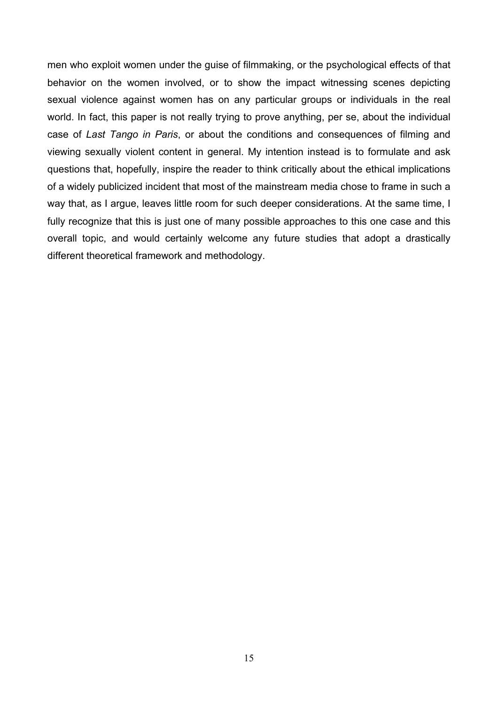men who exploit women under the guise of filmmaking, or the psychological effects of that behavior on the women involved, or to show the impact witnessing scenes depicting sexual violence against women has on any particular groups or individuals in the real world. In fact, this paper is not really trying to prove anything, per se, about the individual case of *Last Tango in Paris*, or about the conditions and consequences of filming and viewing sexually violent content in general. My intention instead is to formulate and ask questions that, hopefully, inspire the reader to think critically about the ethical implications of a widely publicized incident that most of the mainstream media chose to frame in such a way that, as I argue, leaves little room for such deeper considerations. At the same time, I fully recognize that this is just one of many possible approaches to this one case and this overall topic, and would certainly welcome any future studies that adopt a drastically different theoretical framework and methodology.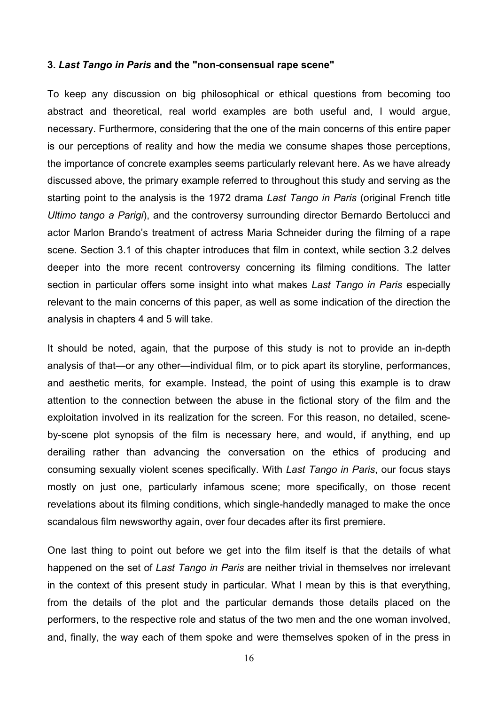#### **3.** *Last Tango in Paris* **and the "non-consensual rape scene"**

To keep any discussion on big philosophical or ethical questions from becoming too abstract and theoretical, real world examples are both useful and, I would argue, necessary. Furthermore, considering that the one of the main concerns of this entire paper is our perceptions of reality and how the media we consume shapes those perceptions, the importance of concrete examples seems particularly relevant here. As we have already discussed above, the primary example referred to throughout this study and serving as the starting point to the analysis is the 1972 drama *Last Tango in Paris* (original French title *Ultimo tango a Parigi*), and the controversy surrounding director Bernardo Bertolucci and actor Marlon Brando's treatment of actress Maria Schneider during the filming of a rape scene. Section 3.1 of this chapter introduces that film in context, while section 3.2 delves deeper into the more recent controversy concerning its filming conditions. The latter section in particular offers some insight into what makes *Last Tango in Paris* especially relevant to the main concerns of this paper, as well as some indication of the direction the analysis in chapters 4 and 5 will take.

It should be noted, again, that the purpose of this study is not to provide an in-depth analysis of that—or any other—individual film, or to pick apart its storyline, performances, and aesthetic merits, for example. Instead, the point of using this example is to draw attention to the connection between the abuse in the fictional story of the film and the exploitation involved in its realization for the screen. For this reason, no detailed, sceneby-scene plot synopsis of the film is necessary here, and would, if anything, end up derailing rather than advancing the conversation on the ethics of producing and consuming sexually violent scenes specifically. With *Last Tango in Paris*, our focus stays mostly on just one, particularly infamous scene; more specifically, on those recent revelations about its filming conditions, which single-handedly managed to make the once scandalous film newsworthy again, over four decades after its first premiere.

One last thing to point out before we get into the film itself is that the details of what happened on the set of *Last Tango in Paris* are neither trivial in themselves nor irrelevant in the context of this present study in particular. What I mean by this is that everything, from the details of the plot and the particular demands those details placed on the performers, to the respective role and status of the two men and the one woman involved, and, finally, the way each of them spoke and were themselves spoken of in the press in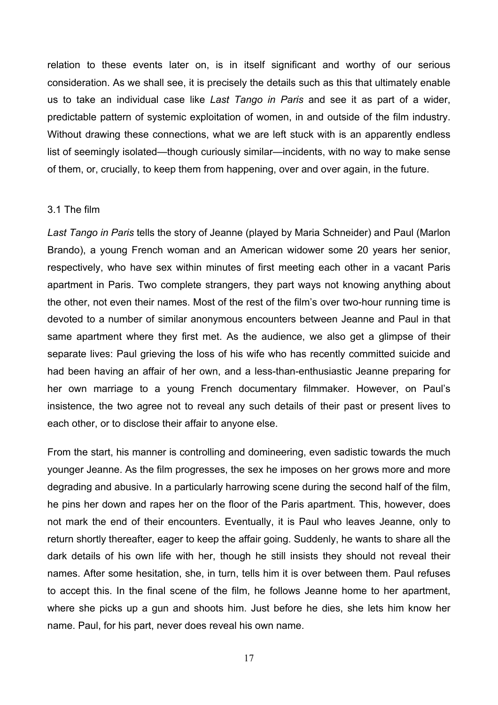relation to these events later on, is in itself significant and worthy of our serious consideration. As we shall see, it is precisely the details such as this that ultimately enable us to take an individual case like *Last Tango in Paris* and see it as part of a wider, predictable pattern of systemic exploitation of women, in and outside of the film industry. Without drawing these connections, what we are left stuck with is an apparently endless list of seemingly isolated—though curiously similar—incidents, with no way to make sense of them, or, crucially, to keep them from happening, over and over again, in the future.

## 3.1 The film

*Last Tango in Paris* tells the story of Jeanne (played by Maria Schneider) and Paul (Marlon Brando), a young French woman and an American widower some 20 years her senior, respectively, who have sex within minutes of first meeting each other in a vacant Paris apartment in Paris. Two complete strangers, they part ways not knowing anything about the other, not even their names. Most of the rest of the film's over two-hour running time is devoted to a number of similar anonymous encounters between Jeanne and Paul in that same apartment where they first met. As the audience, we also get a glimpse of their separate lives: Paul grieving the loss of his wife who has recently committed suicide and had been having an affair of her own, and a less-than-enthusiastic Jeanne preparing for her own marriage to a young French documentary filmmaker. However, on Paul's insistence, the two agree not to reveal any such details of their past or present lives to each other, or to disclose their affair to anyone else.

From the start, his manner is controlling and domineering, even sadistic towards the much younger Jeanne. As the film progresses, the sex he imposes on her grows more and more degrading and abusive. In a particularly harrowing scene during the second half of the film, he pins her down and rapes her on the floor of the Paris apartment. This, however, does not mark the end of their encounters. Eventually, it is Paul who leaves Jeanne, only to return shortly thereafter, eager to keep the affair going. Suddenly, he wants to share all the dark details of his own life with her, though he still insists they should not reveal their names. After some hesitation, she, in turn, tells him it is over between them. Paul refuses to accept this. In the final scene of the film, he follows Jeanne home to her apartment, where she picks up a gun and shoots him. Just before he dies, she lets him know her name. Paul, for his part, never does reveal his own name.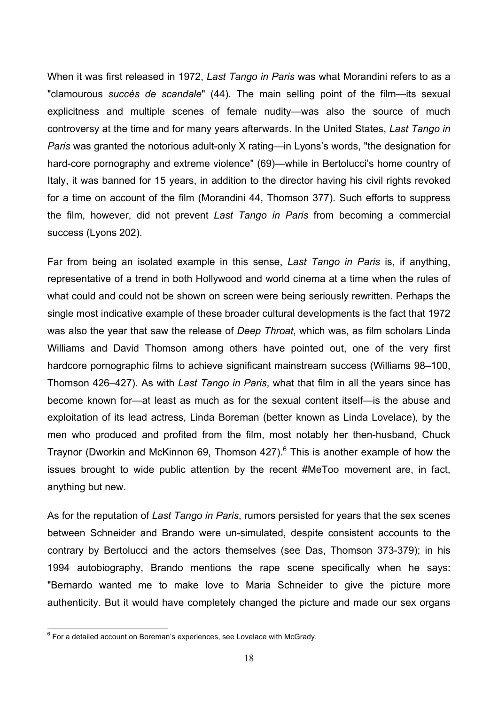When it was first released in 1972, *Last Tango in Paris* was what Morandini refers to as a "clamourous *succès de scandale*" (44). The main selling point of the film—its sexual explicitness and multiple scenes of female nudity—was also the source of much controversy at the time and for many years afterwards. In the United States, *Last Tango in Paris* was granted the notorious adult-only X rating—in Lyons's words, "the designation for hard-core pornography and extreme violence" (69)—while in Bertolucci's home country of Italy, it was banned for 15 years, in addition to the director having his civil rights revoked for a time on account of the film (Morandini 44, Thomson 377). Such efforts to suppress the film, however, did not prevent *Last Tango in Paris* from becoming a commercial success (Lyons 202).

Far from being an isolated example in this sense, *Last Tango in Paris* is, if anything, representative of a trend in both Hollywood and world cinema at a time when the rules of what could and could not be shown on screen were being seriously rewritten. Perhaps the single most indicative example of these broader cultural developments is the fact that 1972 was also the year that saw the release of *Deep Throat*, which was, as film scholars Linda Williams and David Thomson among others have pointed out, one of the very first hardcore pornographic films to achieve significant mainstream success (Williams 98–100, Thomson 426–427). As with *Last Tango in Paris*, what that film in all the years since has become known for—at least as much as for the sexual content itself—is the abuse and exploitation of its lead actress, Linda Boreman (better known as Linda Lovelace), by the men who produced and profited from the film, most notably her then-husband, Chuck Traynor (Dworkin and McKinnon 69, Thomson 427).<sup>6</sup> This is another example of how the issues brought to wide public attention by the recent #MeToo movement are, in fact, anything but new.

As for the reputation of *Last Tango in Paris*, rumors persisted for years that the sex scenes between Schneider and Brando were un-simulated, despite consistent accounts to the contrary by Bertolucci and the actors themselves (see Das, Thomson 373-379); in his 1994 autobiography, Brando mentions the rape scene specifically when he says: "Bernardo wanted me to make love to Maria Schneider to give the picture more authenticity. But it would have completely changed the picture and made our sex organs

<sup>-&</sup>lt;br>6  $6$  For a detailed account on Boreman's experiences, see Lovelace with McGrady.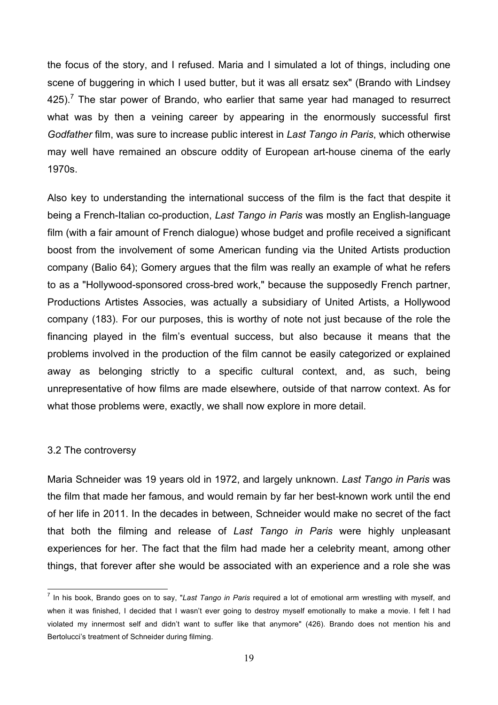the focus of the story, and I refused. Maria and I simulated a lot of things, including one scene of buggering in which I used butter, but it was all ersatz sex" (Brando with Lindsey 425).<sup>7</sup> The star power of Brando, who earlier that same year had managed to resurrect what was by then a veining career by appearing in the enormously successful first *Godfather* film, was sure to increase public interest in *Last Tango in Paris*, which otherwise may well have remained an obscure oddity of European art-house cinema of the early 1970s.

Also key to understanding the international success of the film is the fact that despite it being a French-Italian co-production, *Last Tango in Paris* was mostly an English-language film (with a fair amount of French dialogue) whose budget and profile received a significant boost from the involvement of some American funding via the United Artists production company (Balio 64); Gomery argues that the film was really an example of what he refers to as a "Hollywood-sponsored cross-bred work," because the supposedly French partner, Productions Artistes Associes, was actually a subsidiary of United Artists, a Hollywood company (183). For our purposes, this is worthy of note not just because of the role the financing played in the film's eventual success, but also because it means that the problems involved in the production of the film cannot be easily categorized or explained away as belonging strictly to a specific cultural context, and, as such, being unrepresentative of how films are made elsewhere, outside of that narrow context. As for what those problems were, exactly, we shall now explore in more detail.

## 3.2 The controversy

Maria Schneider was 19 years old in 1972, and largely unknown. *Last Tango in Paris* was the film that made her famous, and would remain by far her best-known work until the end of her life in 2011. In the decades in between, Schneider would make no secret of the fact that both the filming and release of *Last Tango in Paris* were highly unpleasant experiences for her. The fact that the film had made her a celebrity meant, among other things, that forever after she would be associated with an experience and a role she was

 $\frac{1}{7}$ <sup>7</sup> In his book, Brando goes on to say, "Last Tango in Paris required a lot of emotional arm wrestling with myself, and when it was finished, I decided that I wasn't ever going to destroy myself emotionally to make a movie. I felt I had violated my innermost self and didn't want to suffer like that anymore" (426). Brando does not mention his and Bertolucci's treatment of Schneider during filming.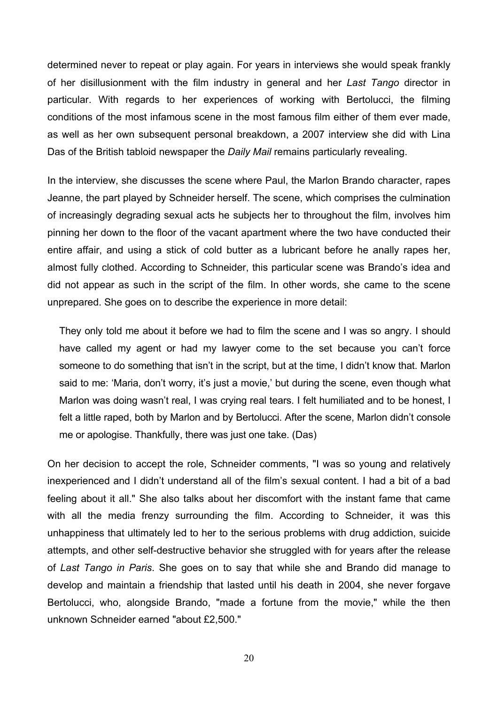determined never to repeat or play again. For years in interviews she would speak frankly of her disillusionment with the film industry in general and her *Last Tango* director in particular. With regards to her experiences of working with Bertolucci, the filming conditions of the most infamous scene in the most famous film either of them ever made, as well as her own subsequent personal breakdown, a 2007 interview she did with Lina Das of the British tabloid newspaper the *Daily Mail* remains particularly revealing.

In the interview, she discusses the scene where Paul, the Marlon Brando character, rapes Jeanne, the part played by Schneider herself. The scene, which comprises the culmination of increasingly degrading sexual acts he subjects her to throughout the film, involves him pinning her down to the floor of the vacant apartment where the two have conducted their entire affair, and using a stick of cold butter as a lubricant before he anally rapes her, almost fully clothed. According to Schneider, this particular scene was Brando's idea and did not appear as such in the script of the film. In other words, she came to the scene unprepared. She goes on to describe the experience in more detail:

They only told me about it before we had to film the scene and I was so angry. I should have called my agent or had my lawyer come to the set because you can't force someone to do something that isn't in the script, but at the time, I didn't know that. Marlon said to me: 'Maria, don't worry, it's just a movie,' but during the scene, even though what Marlon was doing wasn't real, I was crying real tears. I felt humiliated and to be honest, I felt a little raped, both by Marlon and by Bertolucci. After the scene, Marlon didn't console me or apologise. Thankfully, there was just one take. (Das)

On her decision to accept the role, Schneider comments, "I was so young and relatively inexperienced and I didn't understand all of the film's sexual content. I had a bit of a bad feeling about it all." She also talks about her discomfort with the instant fame that came with all the media frenzy surrounding the film. According to Schneider, it was this unhappiness that ultimately led to her to the serious problems with drug addiction, suicide attempts, and other self-destructive behavior she struggled with for years after the release of *Last Tango in Paris*. She goes on to say that while she and Brando did manage to develop and maintain a friendship that lasted until his death in 2004, she never forgave Bertolucci, who, alongside Brando, "made a fortune from the movie," while the then unknown Schneider earned "about £2,500."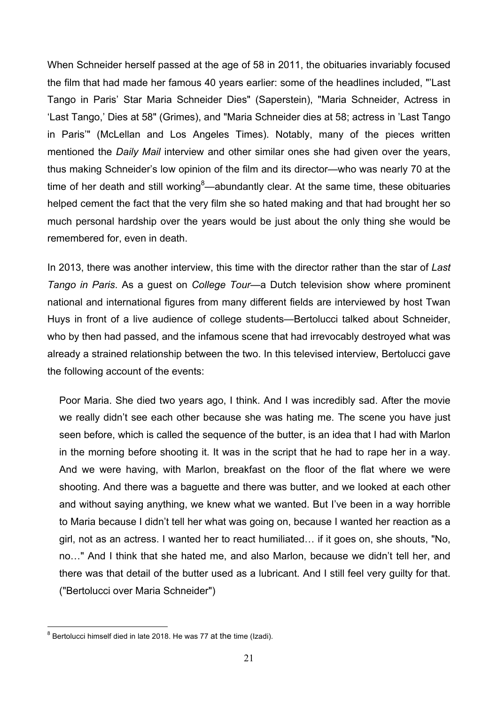When Schneider herself passed at the age of 58 in 2011, the obituaries invariably focused the film that had made her famous 40 years earlier: some of the headlines included, "'Last Tango in Paris' Star Maria Schneider Dies" (Saperstein), "Maria Schneider, Actress in 'Last Tango,' Dies at 58" (Grimes), and "Maria Schneider dies at 58; actress in 'Last Tango in Paris'" (McLellan and Los Angeles Times). Notably, many of the pieces written mentioned the *Daily Mail* interview and other similar ones she had given over the years, thus making Schneider's low opinion of the film and its director—who was nearly 70 at the time of her death and still working<sup>8</sup>—abundantly clear. At the same time, these obituaries helped cement the fact that the very film she so hated making and that had brought her so much personal hardship over the years would be just about the only thing she would be remembered for, even in death.

In 2013, there was another interview, this time with the director rather than the star of *Last Tango in Paris*. As a guest on *College Tour*—a Dutch television show where prominent national and international figures from many different fields are interviewed by host Twan Huys in front of a live audience of college students—Bertolucci talked about Schneider, who by then had passed, and the infamous scene that had irrevocably destroyed what was already a strained relationship between the two. In this televised interview, Bertolucci gave the following account of the events:

Poor Maria. She died two years ago, I think. And I was incredibly sad. After the movie we really didn't see each other because she was hating me. The scene you have just seen before, which is called the sequence of the butter, is an idea that I had with Marlon in the morning before shooting it. It was in the script that he had to rape her in a way. And we were having, with Marlon, breakfast on the floor of the flat where we were shooting. And there was a baguette and there was butter, and we looked at each other and without saying anything, we knew what we wanted. But I've been in a way horrible to Maria because I didn't tell her what was going on, because I wanted her reaction as a girl, not as an actress. I wanted her to react humiliated… if it goes on, she shouts, "No, no…" And I think that she hated me, and also Marlon, because we didn't tell her, and there was that detail of the butter used as a lubricant. And I still feel very guilty for that. ("Bertolucci over Maria Schneider")

<sup>-&</sup>lt;br>8  $8$  Bertolucci himself died in late 2018. He was 77 at the time (Izadi).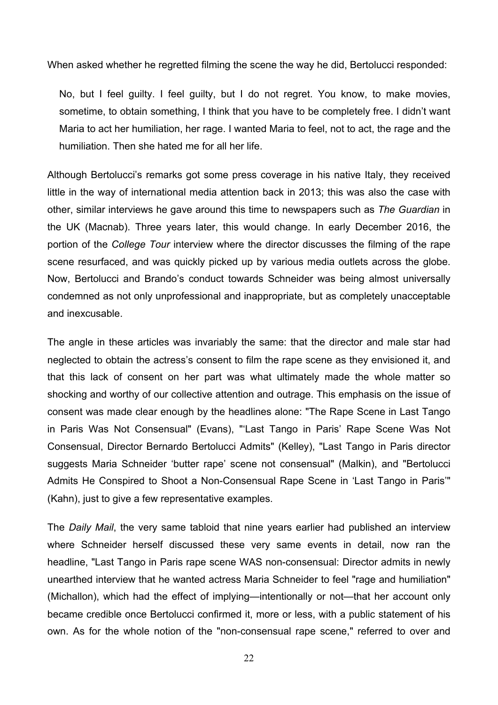When asked whether he regretted filming the scene the way he did, Bertolucci responded:

No, but I feel guilty. I feel guilty, but I do not regret. You know, to make movies, sometime, to obtain something, I think that you have to be completely free. I didn't want Maria to act her humiliation, her rage. I wanted Maria to feel, not to act, the rage and the humiliation. Then she hated me for all her life.

Although Bertolucci's remarks got some press coverage in his native Italy, they received little in the way of international media attention back in 2013; this was also the case with other, similar interviews he gave around this time to newspapers such as *The Guardian* in the UK (Macnab). Three years later, this would change. In early December 2016, the portion of the *College Tour* interview where the director discusses the filming of the rape scene resurfaced, and was quickly picked up by various media outlets across the globe. Now, Bertolucci and Brando's conduct towards Schneider was being almost universally condemned as not only unprofessional and inappropriate, but as completely unacceptable and inexcusable.

The angle in these articles was invariably the same: that the director and male star had neglected to obtain the actress's consent to film the rape scene as they envisioned it, and that this lack of consent on her part was what ultimately made the whole matter so shocking and worthy of our collective attention and outrage. This emphasis on the issue of consent was made clear enough by the headlines alone: "The Rape Scene in Last Tango in Paris Was Not Consensual" (Evans), "'Last Tango in Paris' Rape Scene Was Not Consensual, Director Bernardo Bertolucci Admits" (Kelley), "Last Tango in Paris director suggests Maria Schneider 'butter rape' scene not consensual" (Malkin), and "Bertolucci Admits He Conspired to Shoot a Non-Consensual Rape Scene in 'Last Tango in Paris'" (Kahn), just to give a few representative examples.

The *Daily Mail*, the very same tabloid that nine years earlier had published an interview where Schneider herself discussed these very same events in detail, now ran the headline, "Last Tango in Paris rape scene WAS non-consensual: Director admits in newly unearthed interview that he wanted actress Maria Schneider to feel "rage and humiliation" (Michallon), which had the effect of implying—intentionally or not—that her account only became credible once Bertolucci confirmed it, more or less, with a public statement of his own. As for the whole notion of the "non-consensual rape scene," referred to over and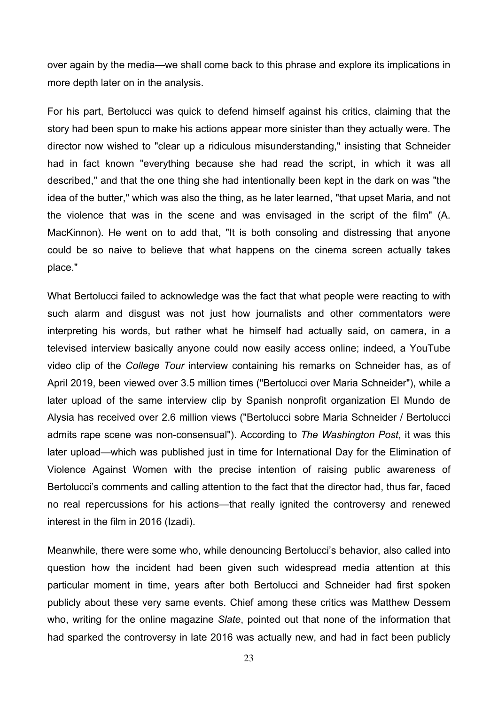over again by the media—we shall come back to this phrase and explore its implications in more depth later on in the analysis.

For his part, Bertolucci was quick to defend himself against his critics, claiming that the story had been spun to make his actions appear more sinister than they actually were. The director now wished to "clear up a ridiculous misunderstanding," insisting that Schneider had in fact known "everything because she had read the script, in which it was all described," and that the one thing she had intentionally been kept in the dark on was "the idea of the butter," which was also the thing, as he later learned, "that upset Maria, and not the violence that was in the scene and was envisaged in the script of the film" (A. MacKinnon). He went on to add that, "It is both consoling and distressing that anyone could be so naive to believe that what happens on the cinema screen actually takes place."

What Bertolucci failed to acknowledge was the fact that what people were reacting to with such alarm and disgust was not just how journalists and other commentators were interpreting his words, but rather what he himself had actually said, on camera, in a televised interview basically anyone could now easily access online; indeed, a YouTube video clip of the *College Tour* interview containing his remarks on Schneider has, as of April 2019, been viewed over 3.5 million times ("Bertolucci over Maria Schneider"), while a later upload of the same interview clip by Spanish nonprofit organization El Mundo de Alysia has received over 2.6 million views ("Bertolucci sobre Maria Schneider / Bertolucci admits rape scene was non-consensual"). According to *The Washington Post*, it was this later upload—which was published just in time for International Day for the Elimination of Violence Against Women with the precise intention of raising public awareness of Bertolucci's comments and calling attention to the fact that the director had, thus far, faced no real repercussions for his actions—that really ignited the controversy and renewed interest in the film in 2016 (Izadi).

Meanwhile, there were some who, while denouncing Bertolucci's behavior, also called into question how the incident had been given such widespread media attention at this particular moment in time, years after both Bertolucci and Schneider had first spoken publicly about these very same events. Chief among these critics was Matthew Dessem who, writing for the online magazine *Slate*, pointed out that none of the information that had sparked the controversy in late 2016 was actually new, and had in fact been publicly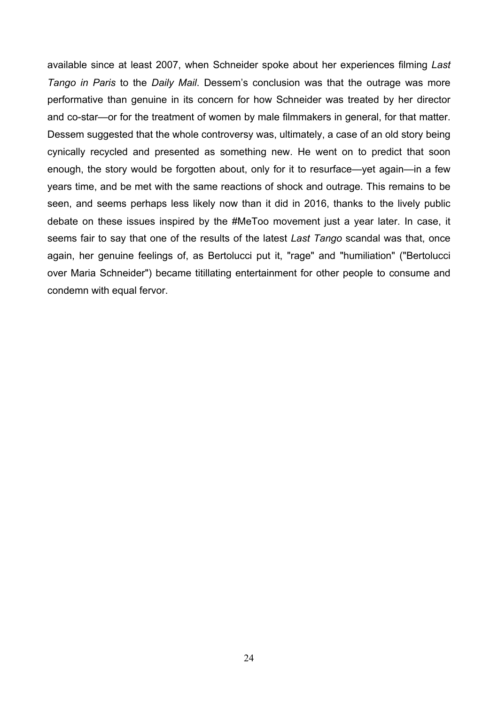available since at least 2007, when Schneider spoke about her experiences filming *Last Tango in Paris* to the *Daily Mail*. Dessem's conclusion was that the outrage was more performative than genuine in its concern for how Schneider was treated by her director and co-star—or for the treatment of women by male filmmakers in general, for that matter. Dessem suggested that the whole controversy was, ultimately, a case of an old story being cynically recycled and presented as something new. He went on to predict that soon enough, the story would be forgotten about, only for it to resurface—yet again—in a few years time, and be met with the same reactions of shock and outrage. This remains to be seen, and seems perhaps less likely now than it did in 2016, thanks to the lively public debate on these issues inspired by the #MeToo movement just a year later. In case, it seems fair to say that one of the results of the latest *Last Tango* scandal was that, once again, her genuine feelings of, as Bertolucci put it, "rage" and "humiliation" ("Bertolucci over Maria Schneider") became titillating entertainment for other people to consume and condemn with equal fervor.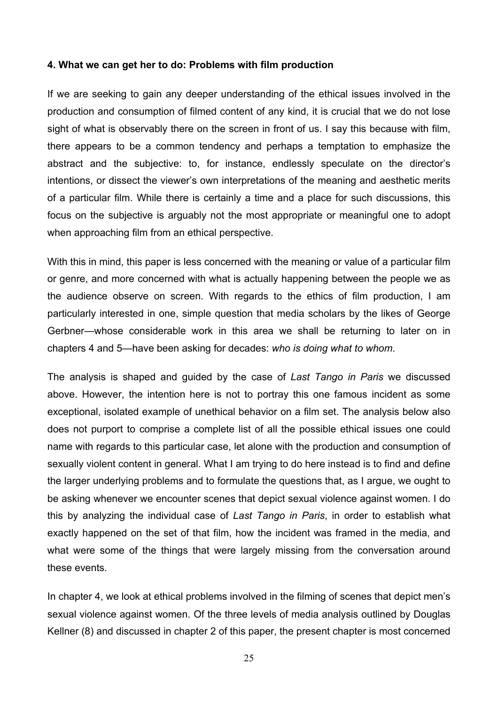#### **4. What we can get her to do: Problems with film production**

If we are seeking to gain any deeper understanding of the ethical issues involved in the production and consumption of filmed content of any kind, it is crucial that we do not lose sight of what is observably there on the screen in front of us. I say this because with film, there appears to be a common tendency and perhaps a temptation to emphasize the abstract and the subjective: to, for instance, endlessly speculate on the director's intentions, or dissect the viewer's own interpretations of the meaning and aesthetic merits of a particular film. While there is certainly a time and a place for such discussions, this focus on the subjective is arguably not the most appropriate or meaningful one to adopt when approaching film from an ethical perspective.

With this in mind, this paper is less concerned with the meaning or value of a particular film or genre, and more concerned with what is actually happening between the people we as the audience observe on screen. With regards to the ethics of film production, I am particularly interested in one, simple question that media scholars by the likes of George Gerbner—whose considerable work in this area we shall be returning to later on in chapters 4 and 5—have been asking for decades: *who is doing what to whom*.

The analysis is shaped and guided by the case of *Last Tango in Paris* we discussed above. However, the intention here is not to portray this one famous incident as some exceptional, isolated example of unethical behavior on a film set. The analysis below also does not purport to comprise a complete list of all the possible ethical issues one could name with regards to this particular case, let alone with the production and consumption of sexually violent content in general. What I am trying to do here instead is to find and define the larger underlying problems and to formulate the questions that, as I argue, we ought to be asking whenever we encounter scenes that depict sexual violence against women. I do this by analyzing the individual case of *Last Tango in Paris*, in order to establish what exactly happened on the set of that film, how the incident was framed in the media, and what were some of the things that were largely missing from the conversation around these events.

In chapter 4, we look at ethical problems involved in the filming of scenes that depict men's sexual violence against women. Of the three levels of media analysis outlined by Douglas Kellner (8) and discussed in chapter 2 of this paper, the present chapter is most concerned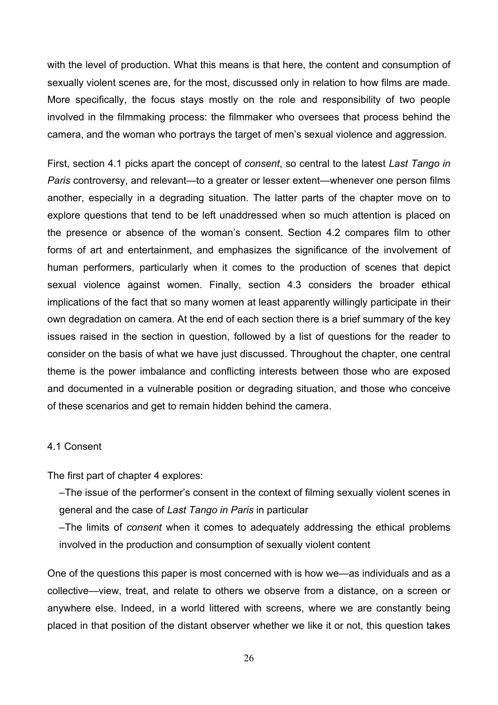with the level of production. What this means is that here, the content and consumption of sexually violent scenes are, for the most, discussed only in relation to how films are made. More specifically, the focus stays mostly on the role and responsibility of two people involved in the filmmaking process: the filmmaker who oversees that process behind the camera, and the woman who portrays the target of men's sexual violence and aggression.

First, section 4.1 picks apart the concept of *consent*, so central to the latest *Last Tango in Paris* controversy, and relevant—to a greater or lesser extent—whenever one person films another, especially in a degrading situation. The latter parts of the chapter move on to explore questions that tend to be left unaddressed when so much attention is placed on the presence or absence of the woman's consent. Section 4.2 compares film to other forms of art and entertainment, and emphasizes the significance of the involvement of human performers, particularly when it comes to the production of scenes that depict sexual violence against women. Finally, section 4.3 considers the broader ethical implications of the fact that so many women at least apparently willingly participate in their own degradation on camera. At the end of each section there is a brief summary of the key issues raised in the section in question, followed by a list of questions for the reader to consider on the basis of what we have just discussed. Throughout the chapter, one central theme is the power imbalance and conflicting interests between those who are exposed and documented in a vulnerable position or degrading situation, and those who conceive of these scenarios and get to remain hidden behind the camera.

# 4.1 Consent

The first part of chapter 4 explores:

–The issue of the performer's consent in the context of filming sexually violent scenes in general and the case of *Last Tango in Paris* in particular

–The limits of *consent* when it comes to adequately addressing the ethical problems involved in the production and consumption of sexually violent content

One of the questions this paper is most concerned with is how we—as individuals and as a collective—view, treat, and relate to others we observe from a distance, on a screen or anywhere else. Indeed, in a world littered with screens, where we are constantly being placed in that position of the distant observer whether we like it or not, this question takes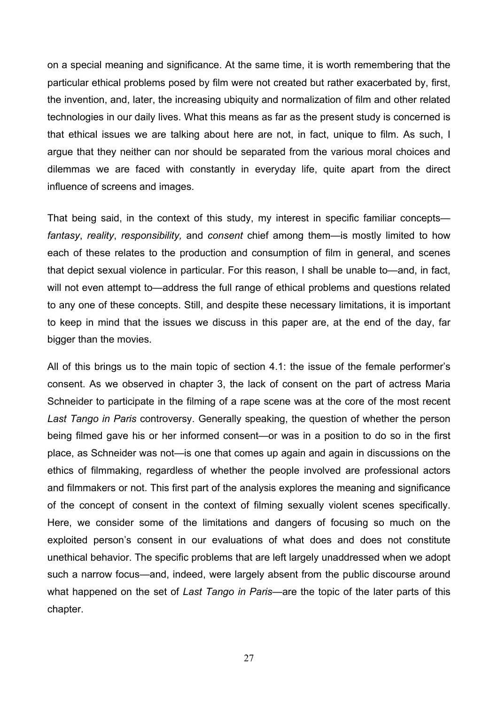on a special meaning and significance. At the same time, it is worth remembering that the particular ethical problems posed by film were not created but rather exacerbated by, first, the invention, and, later, the increasing ubiquity and normalization of film and other related technologies in our daily lives. What this means as far as the present study is concerned is that ethical issues we are talking about here are not, in fact, unique to film. As such, I argue that they neither can nor should be separated from the various moral choices and dilemmas we are faced with constantly in everyday life, quite apart from the direct influence of screens and images.

That being said, in the context of this study, my interest in specific familiar concepts *fantasy*, *reality*, *responsibility,* and *consent* chief among them—is mostly limited to how each of these relates to the production and consumption of film in general, and scenes that depict sexual violence in particular. For this reason, I shall be unable to—and, in fact, will not even attempt to—address the full range of ethical problems and questions related to any one of these concepts. Still, and despite these necessary limitations, it is important to keep in mind that the issues we discuss in this paper are, at the end of the day, far bigger than the movies.

All of this brings us to the main topic of section 4.1: the issue of the female performer's consent. As we observed in chapter 3, the lack of consent on the part of actress Maria Schneider to participate in the filming of a rape scene was at the core of the most recent *Last Tango in Paris* controversy. Generally speaking, the question of whether the person being filmed gave his or her informed consent—or was in a position to do so in the first place, as Schneider was not—is one that comes up again and again in discussions on the ethics of filmmaking, regardless of whether the people involved are professional actors and filmmakers or not. This first part of the analysis explores the meaning and significance of the concept of consent in the context of filming sexually violent scenes specifically. Here, we consider some of the limitations and dangers of focusing so much on the exploited person's consent in our evaluations of what does and does not constitute unethical behavior. The specific problems that are left largely unaddressed when we adopt such a narrow focus—and, indeed, were largely absent from the public discourse around what happened on the set of *Last Tango in Paris*—are the topic of the later parts of this chapter.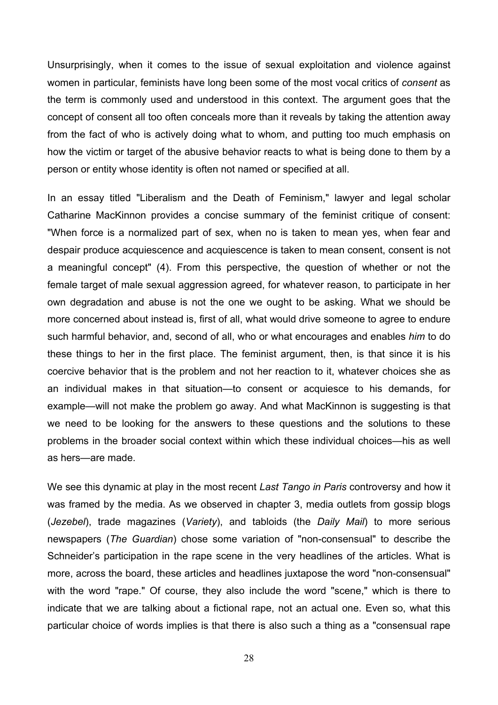Unsurprisingly, when it comes to the issue of sexual exploitation and violence against women in particular, feminists have long been some of the most vocal critics of *consent* as the term is commonly used and understood in this context. The argument goes that the concept of consent all too often conceals more than it reveals by taking the attention away from the fact of who is actively doing what to whom, and putting too much emphasis on how the victim or target of the abusive behavior reacts to what is being done to them by a person or entity whose identity is often not named or specified at all.

In an essay titled "Liberalism and the Death of Feminism," lawyer and legal scholar Catharine MacKinnon provides a concise summary of the feminist critique of consent: "When force is a normalized part of sex, when no is taken to mean yes, when fear and despair produce acquiescence and acquiescence is taken to mean consent, consent is not a meaningful concept" (4). From this perspective, the question of whether or not the female target of male sexual aggression agreed, for whatever reason, to participate in her own degradation and abuse is not the one we ought to be asking. What we should be more concerned about instead is, first of all, what would drive someone to agree to endure such harmful behavior, and, second of all, who or what encourages and enables *him* to do these things to her in the first place. The feminist argument, then, is that since it is his coercive behavior that is the problem and not her reaction to it, whatever choices she as an individual makes in that situation—to consent or acquiesce to his demands, for example—will not make the problem go away. And what MacKinnon is suggesting is that we need to be looking for the answers to these questions and the solutions to these problems in the broader social context within which these individual choices—his as well as hers—are made.

We see this dynamic at play in the most recent *Last Tango in Paris* controversy and how it was framed by the media. As we observed in chapter 3, media outlets from gossip blogs (*Jezebel*), trade magazines (*Variety*), and tabloids (the *Daily Mail*) to more serious newspapers (*The Guardian*) chose some variation of "non-consensual" to describe the Schneider's participation in the rape scene in the very headlines of the articles. What is more, across the board, these articles and headlines juxtapose the word "non-consensual" with the word "rape." Of course, they also include the word "scene," which is there to indicate that we are talking about a fictional rape, not an actual one. Even so, what this particular choice of words implies is that there is also such a thing as a "consensual rape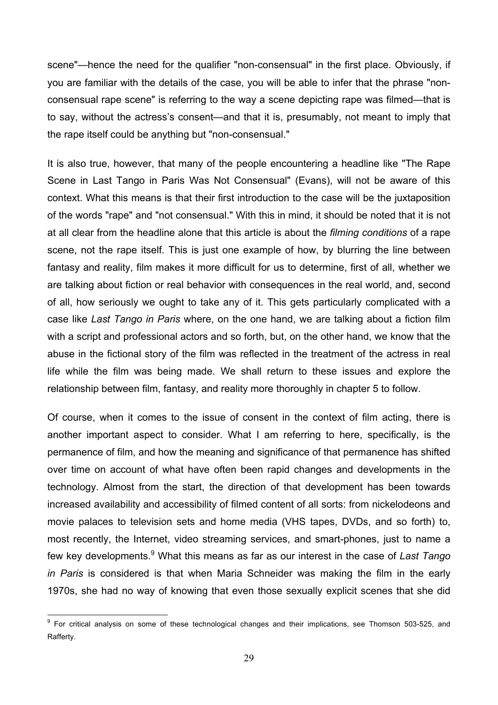scene"—hence the need for the qualifier "non-consensual" in the first place. Obviously, if you are familiar with the details of the case, you will be able to infer that the phrase "nonconsensual rape scene" is referring to the way a scene depicting rape was filmed—that is to say, without the actress's consent—and that it is, presumably, not meant to imply that the rape itself could be anything but "non-consensual."

It is also true, however, that many of the people encountering a headline like "The Rape Scene in Last Tango in Paris Was Not Consensual" (Evans), will not be aware of this context. What this means is that their first introduction to the case will be the juxtaposition of the words "rape" and "not consensual." With this in mind, it should be noted that it is not at all clear from the headline alone that this article is about the *filming conditions* of a rape scene, not the rape itself. This is just one example of how, by blurring the line between fantasy and reality, film makes it more difficult for us to determine, first of all, whether we are talking about fiction or real behavior with consequences in the real world, and, second of all, how seriously we ought to take any of it. This gets particularly complicated with a case like *Last Tango in Paris* where, on the one hand, we are talking about a fiction film with a script and professional actors and so forth, but, on the other hand, we know that the abuse in the fictional story of the film was reflected in the treatment of the actress in real life while the film was being made. We shall return to these issues and explore the relationship between film, fantasy, and reality more thoroughly in chapter 5 to follow.

Of course, when it comes to the issue of consent in the context of film acting, there is another important aspect to consider. What I am referring to here, specifically, is the permanence of film, and how the meaning and significance of that permanence has shifted over time on account of what have often been rapid changes and developments in the technology. Almost from the start, the direction of that development has been towards increased availability and accessibility of filmed content of all sorts: from nickelodeons and movie palaces to television sets and home media (VHS tapes, DVDs, and so forth) to, most recently, the Internet, video streaming services, and smart-phones, just to name a few key developments. 9 What this means as far as our interest in the case of *Last Tango in Paris* is considered is that when Maria Schneider was making the film in the early 1970s, she had no way of knowing that even those sexually explicit scenes that she did

<sup>&</sup>lt;sup>9</sup> For critical analysis on some of these technological changes and their implications, see Thomson 503-525, and Rafferty.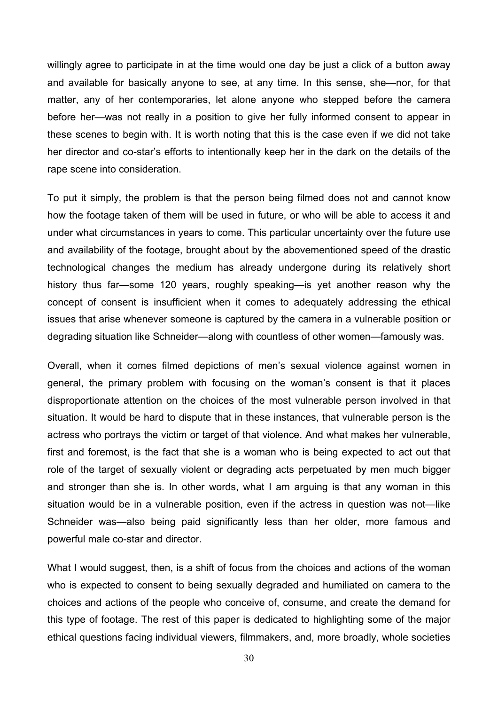willingly agree to participate in at the time would one day be just a click of a button away and available for basically anyone to see, at any time. In this sense, she—nor, for that matter, any of her contemporaries, let alone anyone who stepped before the camera before her—was not really in a position to give her fully informed consent to appear in these scenes to begin with. It is worth noting that this is the case even if we did not take her director and co-star's efforts to intentionally keep her in the dark on the details of the rape scene into consideration.

To put it simply, the problem is that the person being filmed does not and cannot know how the footage taken of them will be used in future, or who will be able to access it and under what circumstances in years to come. This particular uncertainty over the future use and availability of the footage, brought about by the abovementioned speed of the drastic technological changes the medium has already undergone during its relatively short history thus far—some 120 years, roughly speaking—is yet another reason why the concept of consent is insufficient when it comes to adequately addressing the ethical issues that arise whenever someone is captured by the camera in a vulnerable position or degrading situation like Schneider—along with countless of other women—famously was.

Overall, when it comes filmed depictions of men's sexual violence against women in general, the primary problem with focusing on the woman's consent is that it places disproportionate attention on the choices of the most vulnerable person involved in that situation. It would be hard to dispute that in these instances, that vulnerable person is the actress who portrays the victim or target of that violence. And what makes her vulnerable, first and foremost, is the fact that she is a woman who is being expected to act out that role of the target of sexually violent or degrading acts perpetuated by men much bigger and stronger than she is. In other words, what I am arguing is that any woman in this situation would be in a vulnerable position, even if the actress in question was not—like Schneider was—also being paid significantly less than her older, more famous and powerful male co-star and director.

What I would suggest, then, is a shift of focus from the choices and actions of the woman who is expected to consent to being sexually degraded and humiliated on camera to the choices and actions of the people who conceive of, consume, and create the demand for this type of footage. The rest of this paper is dedicated to highlighting some of the major ethical questions facing individual viewers, filmmakers, and, more broadly, whole societies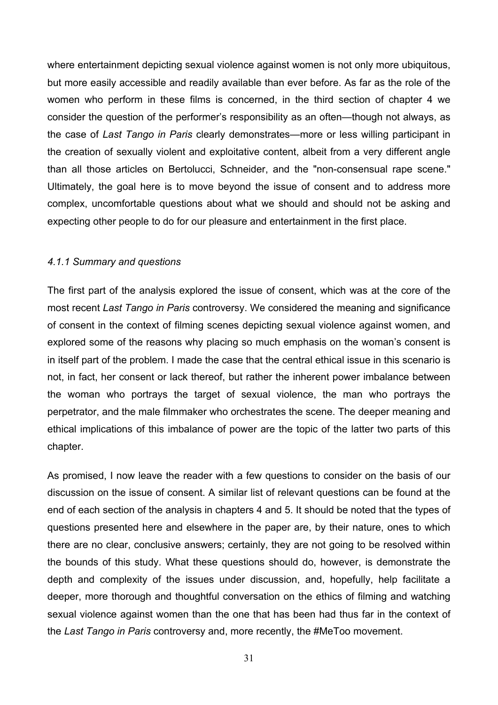where entertainment depicting sexual violence against women is not only more ubiquitous, but more easily accessible and readily available than ever before. As far as the role of the women who perform in these films is concerned, in the third section of chapter 4 we consider the question of the performer's responsibility as an often—though not always, as the case of *Last Tango in Paris* clearly demonstrates—more or less willing participant in the creation of sexually violent and exploitative content, albeit from a very different angle than all those articles on Bertolucci, Schneider, and the "non-consensual rape scene." Ultimately, the goal here is to move beyond the issue of consent and to address more complex, uncomfortable questions about what we should and should not be asking and expecting other people to do for our pleasure and entertainment in the first place.

# *4.1.1 Summary and questions*

The first part of the analysis explored the issue of consent, which was at the core of the most recent *Last Tango in Paris* controversy. We considered the meaning and significance of consent in the context of filming scenes depicting sexual violence against women, and explored some of the reasons why placing so much emphasis on the woman's consent is in itself part of the problem. I made the case that the central ethical issue in this scenario is not, in fact, her consent or lack thereof, but rather the inherent power imbalance between the woman who portrays the target of sexual violence, the man who portrays the perpetrator, and the male filmmaker who orchestrates the scene. The deeper meaning and ethical implications of this imbalance of power are the topic of the latter two parts of this chapter.

As promised, I now leave the reader with a few questions to consider on the basis of our discussion on the issue of consent. A similar list of relevant questions can be found at the end of each section of the analysis in chapters 4 and 5. It should be noted that the types of questions presented here and elsewhere in the paper are, by their nature, ones to which there are no clear, conclusive answers; certainly, they are not going to be resolved within the bounds of this study. What these questions should do, however, is demonstrate the depth and complexity of the issues under discussion, and, hopefully, help facilitate a deeper, more thorough and thoughtful conversation on the ethics of filming and watching sexual violence against women than the one that has been had thus far in the context of the *Last Tango in Paris* controversy and, more recently, the #MeToo movement.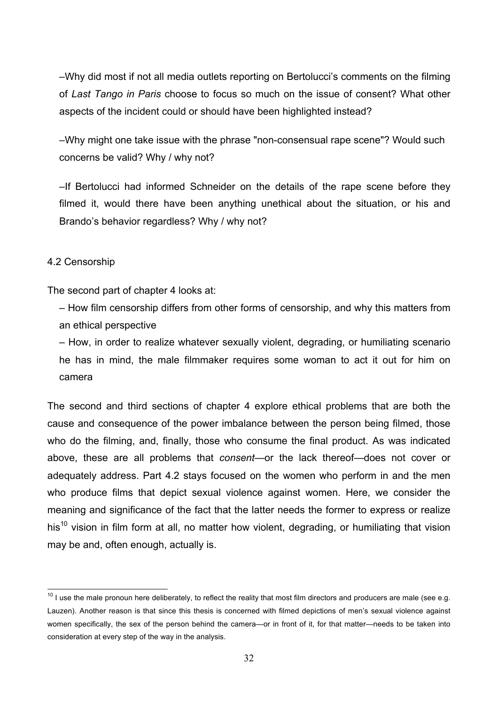–Why did most if not all media outlets reporting on Bertolucci's comments on the filming of *Last Tango in Paris* choose to focus so much on the issue of consent? What other aspects of the incident could or should have been highlighted instead?

–Why might one take issue with the phrase "non-consensual rape scene"? Would such concerns be valid? Why / why not?

–If Bertolucci had informed Schneider on the details of the rape scene before they filmed it, would there have been anything unethical about the situation, or his and Brando's behavior regardless? Why / why not?

# 4.2 Censorship

The second part of chapter 4 looks at:

– How film censorship differs from other forms of censorship, and why this matters from an ethical perspective

– How, in order to realize whatever sexually violent, degrading, or humiliating scenario he has in mind, the male filmmaker requires some woman to act it out for him on camera

The second and third sections of chapter 4 explore ethical problems that are both the cause and consequence of the power imbalance between the person being filmed, those who do the filming, and, finally, those who consume the final product. As was indicated above, these are all problems that *consent*—or the lack thereof—does not cover or adequately address. Part 4.2 stays focused on the women who perform in and the men who produce films that depict sexual violence against women. Here, we consider the meaning and significance of the fact that the latter needs the former to express or realize his<sup>10</sup> vision in film form at all, no matter how violent, degrading, or humiliating that vision may be and, often enough, actually is.

 $10$  I use the male pronoun here deliberately, to reflect the reality that most film directors and producers are male (see e.g. Lauzen). Another reason is that since this thesis is concerned with filmed depictions of men's sexual violence against women specifically, the sex of the person behind the camera—or in front of it, for that matter—needs to be taken into consideration at every step of the way in the analysis.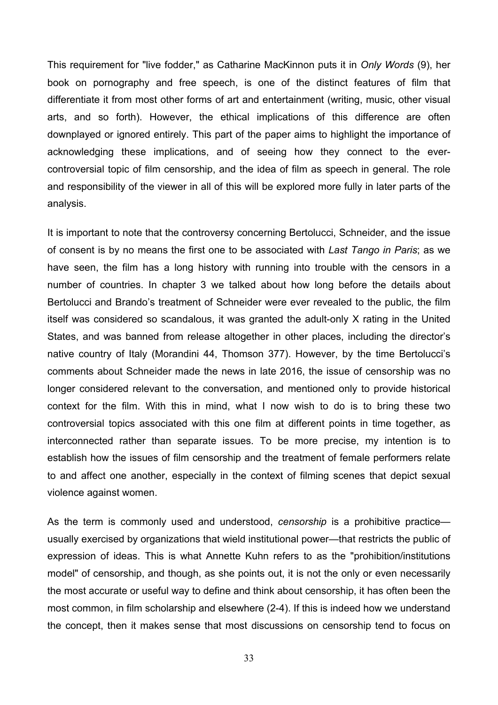This requirement for "live fodder," as Catharine MacKinnon puts it in *Only Words* (9), her book on pornography and free speech, is one of the distinct features of film that differentiate it from most other forms of art and entertainment (writing, music, other visual arts, and so forth). However, the ethical implications of this difference are often downplayed or ignored entirely. This part of the paper aims to highlight the importance of acknowledging these implications, and of seeing how they connect to the evercontroversial topic of film censorship, and the idea of film as speech in general. The role and responsibility of the viewer in all of this will be explored more fully in later parts of the analysis.

It is important to note that the controversy concerning Bertolucci, Schneider, and the issue of consent is by no means the first one to be associated with *Last Tango in Paris*; as we have seen, the film has a long history with running into trouble with the censors in a number of countries. In chapter 3 we talked about how long before the details about Bertolucci and Brando's treatment of Schneider were ever revealed to the public, the film itself was considered so scandalous, it was granted the adult-only X rating in the United States, and was banned from release altogether in other places, including the director's native country of Italy (Morandini 44, Thomson 377). However, by the time Bertolucci's comments about Schneider made the news in late 2016, the issue of censorship was no longer considered relevant to the conversation, and mentioned only to provide historical context for the film. With this in mind, what I now wish to do is to bring these two controversial topics associated with this one film at different points in time together, as interconnected rather than separate issues. To be more precise, my intention is to establish how the issues of film censorship and the treatment of female performers relate to and affect one another, especially in the context of filming scenes that depict sexual violence against women.

As the term is commonly used and understood, *censorship* is a prohibitive practice usually exercised by organizations that wield institutional power—that restricts the public of expression of ideas. This is what Annette Kuhn refers to as the "prohibition/institutions model" of censorship, and though, as she points out, it is not the only or even necessarily the most accurate or useful way to define and think about censorship, it has often been the most common, in film scholarship and elsewhere (2-4). If this is indeed how we understand the concept, then it makes sense that most discussions on censorship tend to focus on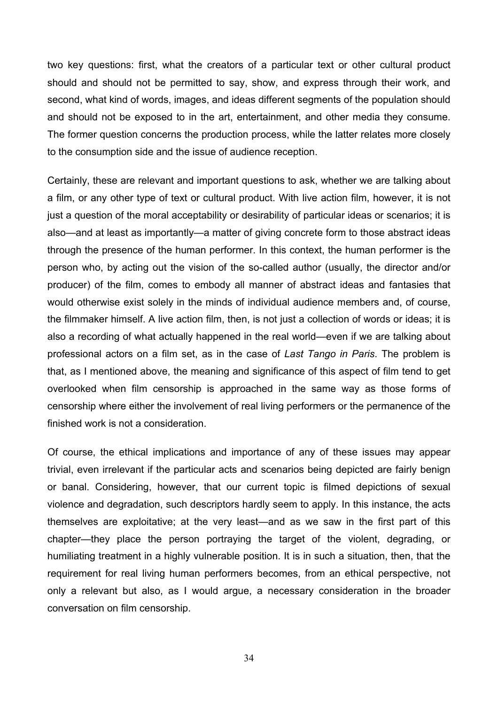two key questions: first, what the creators of a particular text or other cultural product should and should not be permitted to say, show, and express through their work, and second, what kind of words, images, and ideas different segments of the population should and should not be exposed to in the art, entertainment, and other media they consume. The former question concerns the production process, while the latter relates more closely to the consumption side and the issue of audience reception.

Certainly, these are relevant and important questions to ask, whether we are talking about a film, or any other type of text or cultural product. With live action film, however, it is not just a question of the moral acceptability or desirability of particular ideas or scenarios; it is also—and at least as importantly—a matter of giving concrete form to those abstract ideas through the presence of the human performer. In this context, the human performer is the person who, by acting out the vision of the so-called author (usually, the director and/or producer) of the film, comes to embody all manner of abstract ideas and fantasies that would otherwise exist solely in the minds of individual audience members and, of course, the filmmaker himself. A live action film, then, is not just a collection of words or ideas; it is also a recording of what actually happened in the real world—even if we are talking about professional actors on a film set, as in the case of *Last Tango in Paris*. The problem is that, as I mentioned above, the meaning and significance of this aspect of film tend to get overlooked when film censorship is approached in the same way as those forms of censorship where either the involvement of real living performers or the permanence of the finished work is not a consideration.

Of course, the ethical implications and importance of any of these issues may appear trivial, even irrelevant if the particular acts and scenarios being depicted are fairly benign or banal. Considering, however, that our current topic is filmed depictions of sexual violence and degradation, such descriptors hardly seem to apply. In this instance, the acts themselves are exploitative; at the very least—and as we saw in the first part of this chapter—they place the person portraying the target of the violent, degrading, or humiliating treatment in a highly vulnerable position. It is in such a situation, then, that the requirement for real living human performers becomes, from an ethical perspective, not only a relevant but also, as I would argue, a necessary consideration in the broader conversation on film censorship.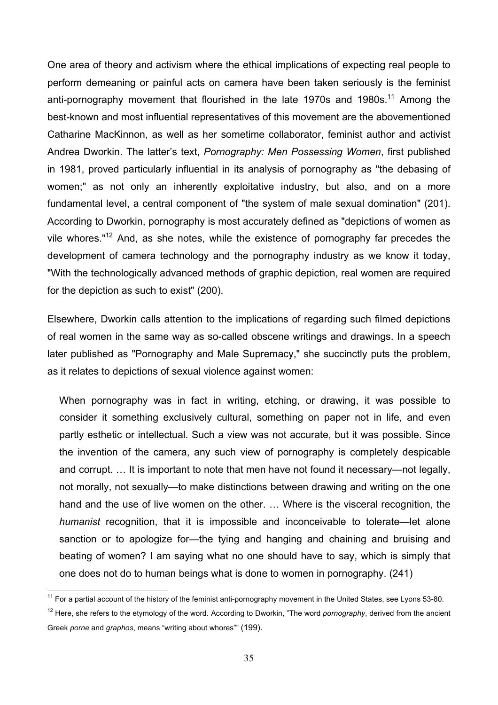One area of theory and activism where the ethical implications of expecting real people to perform demeaning or painful acts on camera have been taken seriously is the feminist anti-pornography movement that flourished in the late 1970s and 1980s.<sup>11</sup> Among the best-known and most influential representatives of this movement are the abovementioned Catharine MacKinnon, as well as her sometime collaborator, feminist author and activist Andrea Dworkin. The latter's text, *Pornography: Men Possessing Women*, first published in 1981, proved particularly influential in its analysis of pornography as "the debasing of women;" as not only an inherently exploitative industry, but also, and on a more fundamental level, a central component of "the system of male sexual domination" (201). According to Dworkin, pornography is most accurately defined as "depictions of women as vile whores."<sup>12</sup> And, as she notes, while the existence of pornography far precedes the development of camera technology and the pornography industry as we know it today, "With the technologically advanced methods of graphic depiction, real women are required for the depiction as such to exist" (200).

Elsewhere, Dworkin calls attention to the implications of regarding such filmed depictions of real women in the same way as so-called obscene writings and drawings. In a speech later published as "Pornography and Male Supremacy," she succinctly puts the problem, as it relates to depictions of sexual violence against women:

When pornography was in fact in writing, etching, or drawing, it was possible to consider it something exclusively cultural, something on paper not in life, and even partly esthetic or intellectual. Such a view was not accurate, but it was possible. Since the invention of the camera, any such view of pornography is completely despicable and corrupt. … It is important to note that men have not found it necessary—not legally, not morally, not sexually—to make distinctions between drawing and writing on the one hand and the use of live women on the other. … Where is the visceral recognition, the *humanist* recognition, that it is impossible and inconceivable to tolerate—let alone sanction or to apologize for—the tying and hanging and chaining and bruising and beating of women? I am saying what no one should have to say, which is simply that one does not do to human beings what is done to women in pornography. (241)

 $11$  For a partial account of the history of the feminist anti-pornography movement in the United States, see Lyons 53-80.

<sup>12</sup> Here, she refers to the etymology of the word. According to Dworkin, "The word *pornography*, derived from the ancient Greek *porne* and *graphos*, means "writing about whores"" (199).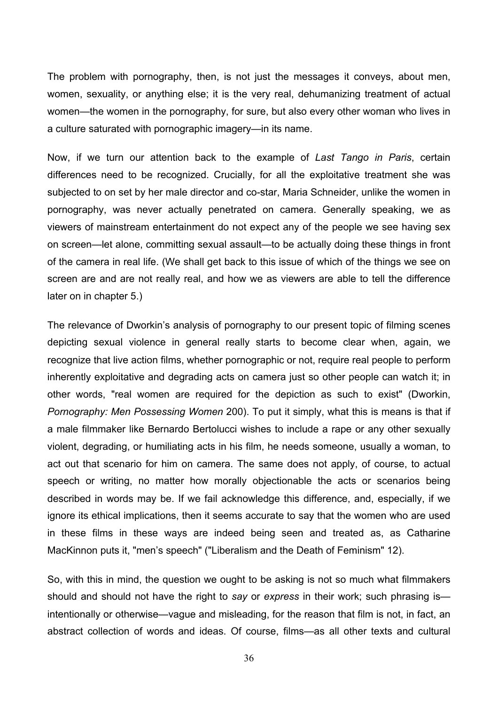The problem with pornography, then, is not just the messages it conveys, about men, women, sexuality, or anything else; it is the very real, dehumanizing treatment of actual women—the women in the pornography, for sure, but also every other woman who lives in a culture saturated with pornographic imagery—in its name.

Now, if we turn our attention back to the example of *Last Tango in Paris*, certain differences need to be recognized. Crucially, for all the exploitative treatment she was subjected to on set by her male director and co-star, Maria Schneider, unlike the women in pornography, was never actually penetrated on camera. Generally speaking, we as viewers of mainstream entertainment do not expect any of the people we see having sex on screen—let alone, committing sexual assault—to be actually doing these things in front of the camera in real life. (We shall get back to this issue of which of the things we see on screen are and are not really real, and how we as viewers are able to tell the difference later on in chapter 5.)

The relevance of Dworkin's analysis of pornography to our present topic of filming scenes depicting sexual violence in general really starts to become clear when, again, we recognize that live action films, whether pornographic or not, require real people to perform inherently exploitative and degrading acts on camera just so other people can watch it; in other words, "real women are required for the depiction as such to exist" (Dworkin, *Pornography: Men Possessing Women* 200). To put it simply, what this is means is that if a male filmmaker like Bernardo Bertolucci wishes to include a rape or any other sexually violent, degrading, or humiliating acts in his film, he needs someone, usually a woman, to act out that scenario for him on camera. The same does not apply, of course, to actual speech or writing, no matter how morally objectionable the acts or scenarios being described in words may be. If we fail acknowledge this difference, and, especially, if we ignore its ethical implications, then it seems accurate to say that the women who are used in these films in these ways are indeed being seen and treated as, as Catharine MacKinnon puts it, "men's speech" ("Liberalism and the Death of Feminism" 12).

So, with this in mind, the question we ought to be asking is not so much what filmmakers should and should not have the right to *say* or *express* in their work; such phrasing is intentionally or otherwise—vague and misleading, for the reason that film is not, in fact, an abstract collection of words and ideas. Of course, films—as all other texts and cultural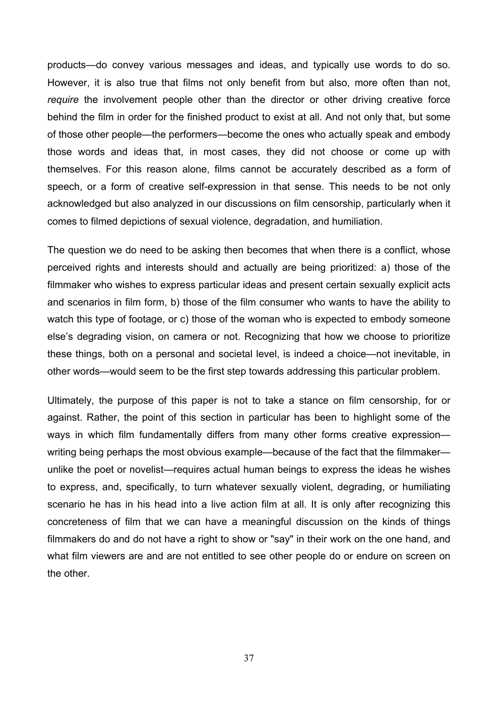products—do convey various messages and ideas, and typically use words to do so. However, it is also true that films not only benefit from but also, more often than not, *require* the involvement people other than the director or other driving creative force behind the film in order for the finished product to exist at all. And not only that, but some of those other people—the performers—become the ones who actually speak and embody those words and ideas that, in most cases, they did not choose or come up with themselves. For this reason alone, films cannot be accurately described as a form of speech, or a form of creative self-expression in that sense. This needs to be not only acknowledged but also analyzed in our discussions on film censorship, particularly when it comes to filmed depictions of sexual violence, degradation, and humiliation.

The question we do need to be asking then becomes that when there is a conflict, whose perceived rights and interests should and actually are being prioritized: a) those of the filmmaker who wishes to express particular ideas and present certain sexually explicit acts and scenarios in film form, b) those of the film consumer who wants to have the ability to watch this type of footage, or c) those of the woman who is expected to embody someone else's degrading vision, on camera or not. Recognizing that how we choose to prioritize these things, both on a personal and societal level, is indeed a choice—not inevitable, in other words—would seem to be the first step towards addressing this particular problem.

Ultimately, the purpose of this paper is not to take a stance on film censorship, for or against. Rather, the point of this section in particular has been to highlight some of the ways in which film fundamentally differs from many other forms creative expression writing being perhaps the most obvious example—because of the fact that the filmmaker unlike the poet or novelist—requires actual human beings to express the ideas he wishes to express, and, specifically, to turn whatever sexually violent, degrading, or humiliating scenario he has in his head into a live action film at all. It is only after recognizing this concreteness of film that we can have a meaningful discussion on the kinds of things filmmakers do and do not have a right to show or "say" in their work on the one hand, and what film viewers are and are not entitled to see other people do or endure on screen on the other.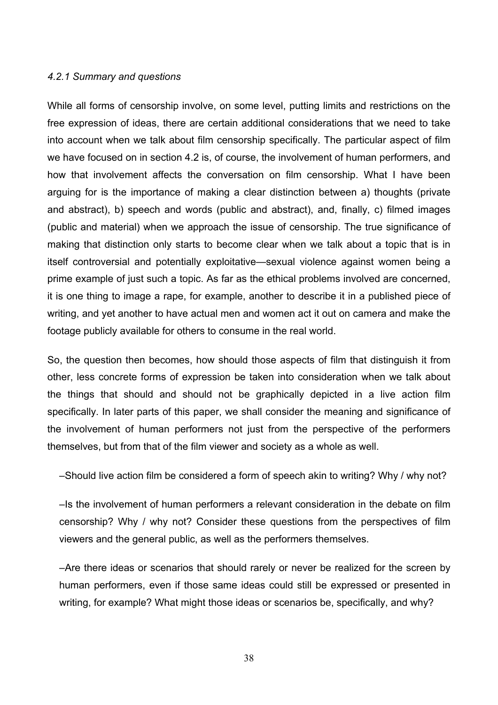#### *4.2.1 Summary and questions*

While all forms of censorship involve, on some level, putting limits and restrictions on the free expression of ideas, there are certain additional considerations that we need to take into account when we talk about film censorship specifically. The particular aspect of film we have focused on in section 4.2 is, of course, the involvement of human performers, and how that involvement affects the conversation on film censorship. What I have been arguing for is the importance of making a clear distinction between a) thoughts (private and abstract), b) speech and words (public and abstract), and, finally, c) filmed images (public and material) when we approach the issue of censorship. The true significance of making that distinction only starts to become clear when we talk about a topic that is in itself controversial and potentially exploitative—sexual violence against women being a prime example of just such a topic. As far as the ethical problems involved are concerned, it is one thing to image a rape, for example, another to describe it in a published piece of writing, and yet another to have actual men and women act it out on camera and make the footage publicly available for others to consume in the real world.

So, the question then becomes, how should those aspects of film that distinguish it from other, less concrete forms of expression be taken into consideration when we talk about the things that should and should not be graphically depicted in a live action film specifically. In later parts of this paper, we shall consider the meaning and significance of the involvement of human performers not just from the perspective of the performers themselves, but from that of the film viewer and society as a whole as well.

–Should live action film be considered a form of speech akin to writing? Why / why not?

–Is the involvement of human performers a relevant consideration in the debate on film censorship? Why / why not? Consider these questions from the perspectives of film viewers and the general public, as well as the performers themselves.

–Are there ideas or scenarios that should rarely or never be realized for the screen by human performers, even if those same ideas could still be expressed or presented in writing, for example? What might those ideas or scenarios be, specifically, and why?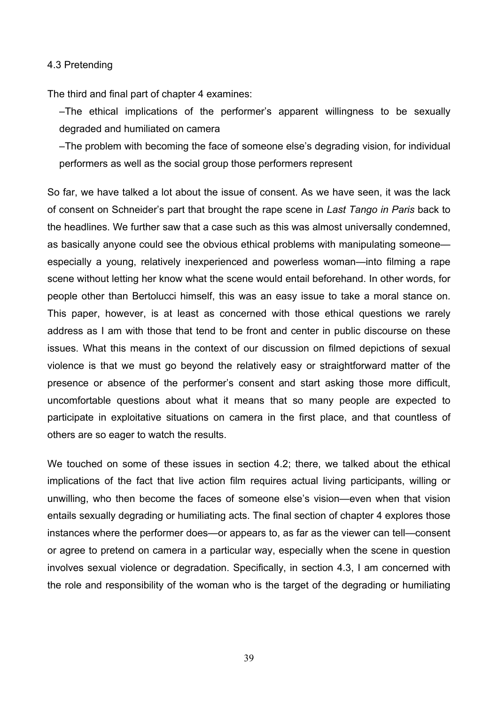### 4.3 Pretending

The third and final part of chapter 4 examines:

–The ethical implications of the performer's apparent willingness to be sexually degraded and humiliated on camera

–The problem with becoming the face of someone else's degrading vision, for individual performers as well as the social group those performers represent

So far, we have talked a lot about the issue of consent. As we have seen, it was the lack of consent on Schneider's part that brought the rape scene in *Last Tango in Paris* back to the headlines. We further saw that a case such as this was almost universally condemned, as basically anyone could see the obvious ethical problems with manipulating someone especially a young, relatively inexperienced and powerless woman—into filming a rape scene without letting her know what the scene would entail beforehand. In other words, for people other than Bertolucci himself, this was an easy issue to take a moral stance on. This paper, however, is at least as concerned with those ethical questions we rarely address as I am with those that tend to be front and center in public discourse on these issues. What this means in the context of our discussion on filmed depictions of sexual violence is that we must go beyond the relatively easy or straightforward matter of the presence or absence of the performer's consent and start asking those more difficult, uncomfortable questions about what it means that so many people are expected to participate in exploitative situations on camera in the first place, and that countless of others are so eager to watch the results.

We touched on some of these issues in section 4.2; there, we talked about the ethical implications of the fact that live action film requires actual living participants, willing or unwilling, who then become the faces of someone else's vision—even when that vision entails sexually degrading or humiliating acts. The final section of chapter 4 explores those instances where the performer does—or appears to, as far as the viewer can tell—consent or agree to pretend on camera in a particular way, especially when the scene in question involves sexual violence or degradation. Specifically, in section 4.3, I am concerned with the role and responsibility of the woman who is the target of the degrading or humiliating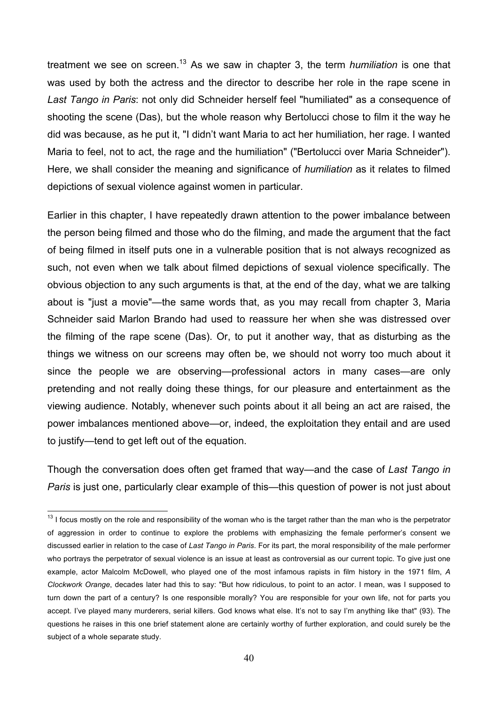treatment we see on screen. <sup>13</sup> As we saw in chapter 3, the term *humiliation* is one that was used by both the actress and the director to describe her role in the rape scene in *Last Tango in Paris*: not only did Schneider herself feel "humiliated" as a consequence of shooting the scene (Das), but the whole reason why Bertolucci chose to film it the way he did was because, as he put it, "I didn't want Maria to act her humiliation, her rage. I wanted Maria to feel, not to act, the rage and the humiliation" ("Bertolucci over Maria Schneider"). Here, we shall consider the meaning and significance of *humiliation* as it relates to filmed depictions of sexual violence against women in particular.

Earlier in this chapter, I have repeatedly drawn attention to the power imbalance between the person being filmed and those who do the filming, and made the argument that the fact of being filmed in itself puts one in a vulnerable position that is not always recognized as such, not even when we talk about filmed depictions of sexual violence specifically. The obvious objection to any such arguments is that, at the end of the day, what we are talking about is "just a movie"—the same words that, as you may recall from chapter 3, Maria Schneider said Marlon Brando had used to reassure her when she was distressed over the filming of the rape scene (Das). Or, to put it another way, that as disturbing as the things we witness on our screens may often be, we should not worry too much about it since the people we are observing—professional actors in many cases—are only pretending and not really doing these things, for our pleasure and entertainment as the viewing audience. Notably, whenever such points about it all being an act are raised, the power imbalances mentioned above—or, indeed, the exploitation they entail and are used to justify—tend to get left out of the equation.

Though the conversation does often get framed that way—and the case of *Last Tango in Paris* is just one, particularly clear example of this—this question of power is not just about

 $13$  I focus mostly on the role and responsibility of the woman who is the target rather than the man who is the perpetrator of aggression in order to continue to explore the problems with emphasizing the female performer's consent we discussed earlier in relation to the case of *Last Tango in Paris*. For its part, the moral responsibility of the male performer who portrays the perpetrator of sexual violence is an issue at least as controversial as our current topic. To give just one example, actor Malcolm McDowell, who played one of the most infamous rapists in film history in the 1971 film, *A Clockwork Orange*, decades later had this to say: "But how ridiculous, to point to an actor. I mean, was I supposed to turn down the part of a century? Is one responsible morally? You are responsible for your own life, not for parts you accept. I've played many murderers, serial killers. God knows what else. It's not to say I'm anything like that" (93). The questions he raises in this one brief statement alone are certainly worthy of further exploration, and could surely be the subject of a whole separate study.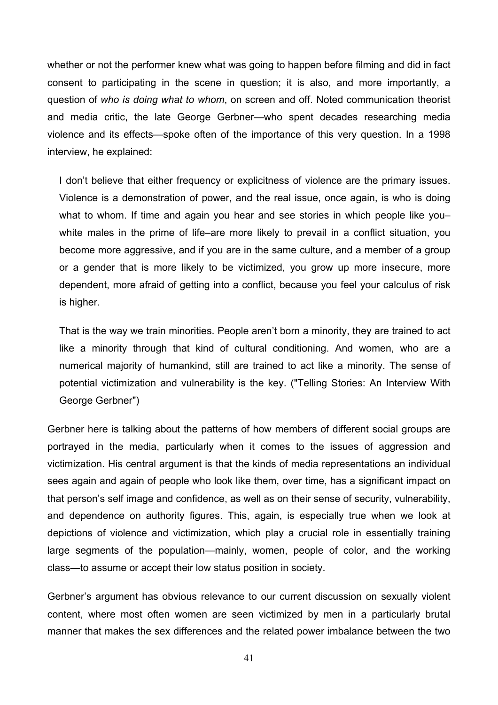whether or not the performer knew what was going to happen before filming and did in fact consent to participating in the scene in question; it is also, and more importantly, a question of *who is doing what to whom*, on screen and off. Noted communication theorist and media critic, the late George Gerbner—who spent decades researching media violence and its effects—spoke often of the importance of this very question. In a 1998 interview, he explained:

I don't believe that either frequency or explicitness of violence are the primary issues. Violence is a demonstration of power, and the real issue, once again, is who is doing what to whom. If time and again you hear and see stories in which people like youwhite males in the prime of life–are more likely to prevail in a conflict situation, you become more aggressive, and if you are in the same culture, and a member of a group or a gender that is more likely to be victimized, you grow up more insecure, more dependent, more afraid of getting into a conflict, because you feel your calculus of risk is higher.

That is the way we train minorities. People aren't born a minority, they are trained to act like a minority through that kind of cultural conditioning. And women, who are a numerical majority of humankind, still are trained to act like a minority. The sense of potential victimization and vulnerability is the key. ("Telling Stories: An Interview With George Gerbner")

Gerbner here is talking about the patterns of how members of different social groups are portrayed in the media, particularly when it comes to the issues of aggression and victimization. His central argument is that the kinds of media representations an individual sees again and again of people who look like them, over time, has a significant impact on that person's self image and confidence, as well as on their sense of security, vulnerability, and dependence on authority figures. This, again, is especially true when we look at depictions of violence and victimization, which play a crucial role in essentially training large segments of the population—mainly, women, people of color, and the working class—to assume or accept their low status position in society.

Gerbner's argument has obvious relevance to our current discussion on sexually violent content, where most often women are seen victimized by men in a particularly brutal manner that makes the sex differences and the related power imbalance between the two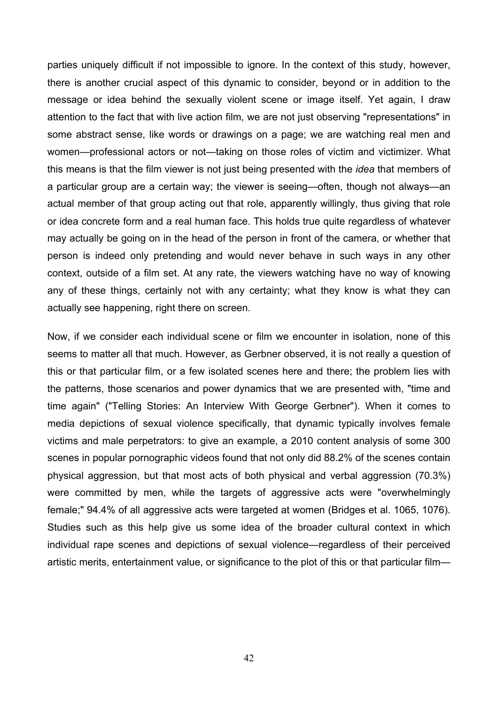parties uniquely difficult if not impossible to ignore. In the context of this study, however, there is another crucial aspect of this dynamic to consider, beyond or in addition to the message or idea behind the sexually violent scene or image itself. Yet again, I draw attention to the fact that with live action film, we are not just observing "representations" in some abstract sense, like words or drawings on a page; we are watching real men and women—professional actors or not—taking on those roles of victim and victimizer. What this means is that the film viewer is not just being presented with the *idea* that members of a particular group are a certain way; the viewer is seeing—often, though not always—an actual member of that group acting out that role, apparently willingly, thus giving that role or idea concrete form and a real human face. This holds true quite regardless of whatever may actually be going on in the head of the person in front of the camera, or whether that person is indeed only pretending and would never behave in such ways in any other context, outside of a film set. At any rate, the viewers watching have no way of knowing any of these things, certainly not with any certainty; what they know is what they can actually see happening, right there on screen.

Now, if we consider each individual scene or film we encounter in isolation, none of this seems to matter all that much. However, as Gerbner observed, it is not really a question of this or that particular film, or a few isolated scenes here and there; the problem lies with the patterns, those scenarios and power dynamics that we are presented with, "time and time again" ("Telling Stories: An Interview With George Gerbner"). When it comes to media depictions of sexual violence specifically, that dynamic typically involves female victims and male perpetrators: to give an example, a 2010 content analysis of some 300 scenes in popular pornographic videos found that not only did 88.2% of the scenes contain physical aggression, but that most acts of both physical and verbal aggression (70.3%) were committed by men, while the targets of aggressive acts were "overwhelmingly female;" 94.4% of all aggressive acts were targeted at women (Bridges et al. 1065, 1076). Studies such as this help give us some idea of the broader cultural context in which individual rape scenes and depictions of sexual violence—regardless of their perceived artistic merits, entertainment value, or significance to the plot of this or that particular film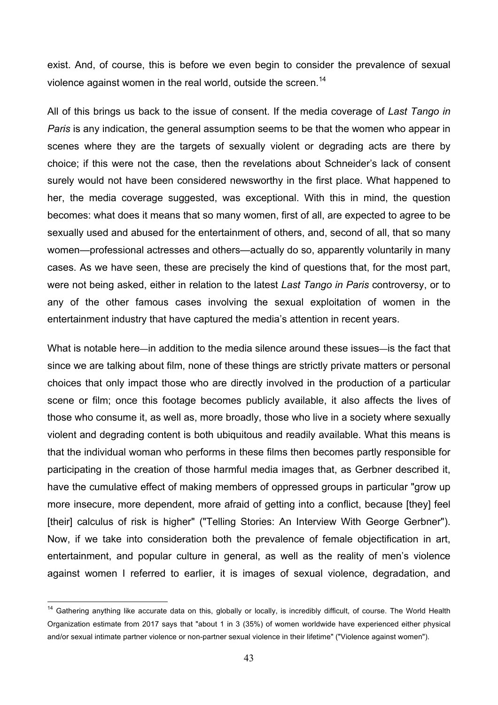exist. And, of course, this is before we even begin to consider the prevalence of sexual violence against women in the real world, outside the screen.<sup>14</sup>

All of this brings us back to the issue of consent. If the media coverage of *Last Tango in Paris* is any indication, the general assumption seems to be that the women who appear in scenes where they are the targets of sexually violent or degrading acts are there by choice; if this were not the case, then the revelations about Schneider's lack of consent surely would not have been considered newsworthy in the first place. What happened to her, the media coverage suggested, was exceptional. With this in mind, the question becomes: what does it means that so many women, first of all, are expected to agree to be sexually used and abused for the entertainment of others, and, second of all, that so many women—professional actresses and others—actually do so, apparently voluntarily in many cases. As we have seen, these are precisely the kind of questions that, for the most part, were not being asked, either in relation to the latest *Last Tango in Paris* controversy, or to any of the other famous cases involving the sexual exploitation of women in the entertainment industry that have captured the media's attention in recent years.

What is notable here—in addition to the media silence around these issues—is the fact that since we are talking about film, none of these things are strictly private matters or personal choices that only impact those who are directly involved in the production of a particular scene or film; once this footage becomes publicly available, it also affects the lives of those who consume it, as well as, more broadly, those who live in a society where sexually violent and degrading content is both ubiquitous and readily available. What this means is that the individual woman who performs in these films then becomes partly responsible for participating in the creation of those harmful media images that, as Gerbner described it, have the cumulative effect of making members of oppressed groups in particular "grow up more insecure, more dependent, more afraid of getting into a conflict, because [they] feel [their] calculus of risk is higher" ("Telling Stories: An Interview With George Gerbner"). Now, if we take into consideration both the prevalence of female objectification in art, entertainment, and popular culture in general, as well as the reality of men's violence against women I referred to earlier, it is images of sexual violence, degradation, and

<sup>&</sup>lt;sup>14</sup> Gathering anything like accurate data on this, globally or locally, is incredibly difficult, of course. The World Health Organization estimate from 2017 says that "about 1 in 3 (35%) of women worldwide have experienced either physical and/or sexual intimate partner violence or non-partner sexual violence in their lifetime" ("Violence against women").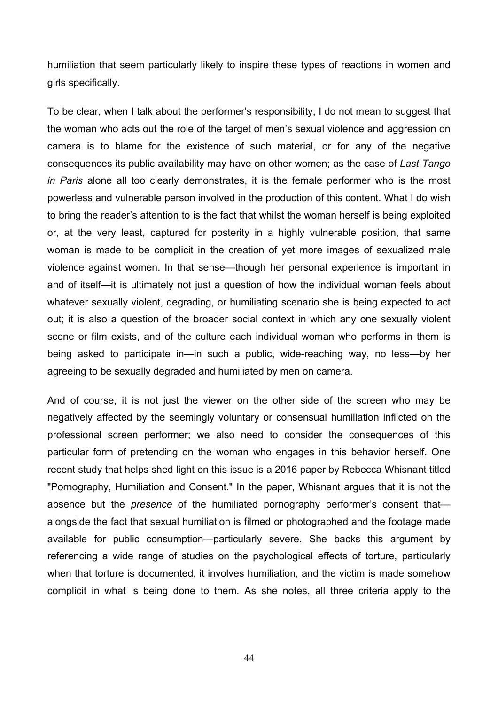humiliation that seem particularly likely to inspire these types of reactions in women and girls specifically.

To be clear, when I talk about the performer's responsibility, I do not mean to suggest that the woman who acts out the role of the target of men's sexual violence and aggression on camera is to blame for the existence of such material, or for any of the negative consequences its public availability may have on other women; as the case of *Last Tango in Paris* alone all too clearly demonstrates, it is the female performer who is the most powerless and vulnerable person involved in the production of this content. What I do wish to bring the reader's attention to is the fact that whilst the woman herself is being exploited or, at the very least, captured for posterity in a highly vulnerable position, that same woman is made to be complicit in the creation of yet more images of sexualized male violence against women. In that sense—though her personal experience is important in and of itself—it is ultimately not just a question of how the individual woman feels about whatever sexually violent, degrading, or humiliating scenario she is being expected to act out; it is also a question of the broader social context in which any one sexually violent scene or film exists, and of the culture each individual woman who performs in them is being asked to participate in—in such a public, wide-reaching way, no less—by her agreeing to be sexually degraded and humiliated by men on camera.

And of course, it is not just the viewer on the other side of the screen who may be negatively affected by the seemingly voluntary or consensual humiliation inflicted on the professional screen performer; we also need to consider the consequences of this particular form of pretending on the woman who engages in this behavior herself. One recent study that helps shed light on this issue is a 2016 paper by Rebecca Whisnant titled "Pornography, Humiliation and Consent." In the paper, Whisnant argues that it is not the absence but the *presence* of the humiliated pornography performer's consent that alongside the fact that sexual humiliation is filmed or photographed and the footage made available for public consumption—particularly severe. She backs this argument by referencing a wide range of studies on the psychological effects of torture, particularly when that torture is documented, it involves humiliation, and the victim is made somehow complicit in what is being done to them. As she notes, all three criteria apply to the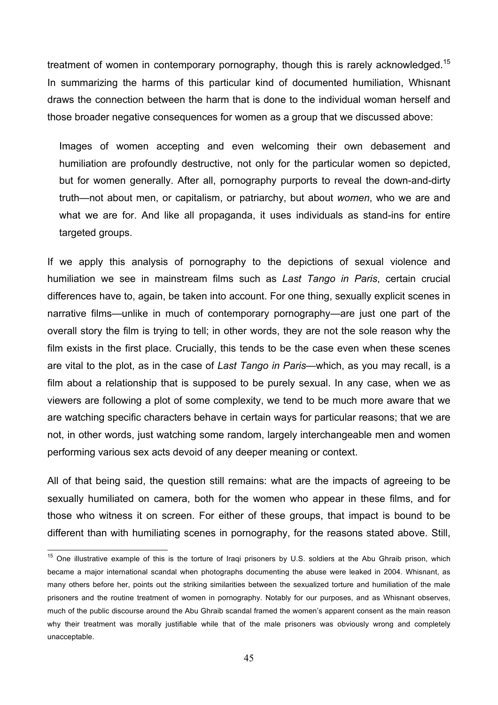treatment of women in contemporary pornography, though this is rarely acknowledged.<sup>15</sup> In summarizing the harms of this particular kind of documented humiliation, Whisnant draws the connection between the harm that is done to the individual woman herself and those broader negative consequences for women as a group that we discussed above:

Images of women accepting and even welcoming their own debasement and humiliation are profoundly destructive, not only for the particular women so depicted, but for women generally. After all, pornography purports to reveal the down-and-dirty truth—not about men, or capitalism, or patriarchy, but about *women*, who we are and what we are for. And like all propaganda, it uses individuals as stand-ins for entire targeted groups.

If we apply this analysis of pornography to the depictions of sexual violence and humiliation we see in mainstream films such as *Last Tango in Paris*, certain crucial differences have to, again, be taken into account. For one thing, sexually explicit scenes in narrative films—unlike in much of contemporary pornography—are just one part of the overall story the film is trying to tell; in other words, they are not the sole reason why the film exists in the first place. Crucially, this tends to be the case even when these scenes are vital to the plot, as in the case of *Last Tango in Paris*—which, as you may recall, is a film about a relationship that is supposed to be purely sexual. In any case, when we as viewers are following a plot of some complexity, we tend to be much more aware that we are watching specific characters behave in certain ways for particular reasons; that we are not, in other words, just watching some random, largely interchangeable men and women performing various sex acts devoid of any deeper meaning or context.

All of that being said, the question still remains: what are the impacts of agreeing to be sexually humiliated on camera, both for the women who appear in these films, and for those who witness it on screen. For either of these groups, that impact is bound to be different than with humiliating scenes in pornography, for the reasons stated above. Still,

<sup>&</sup>lt;sup>15</sup> One illustrative example of this is the torture of Iraqi prisoners by U.S. soldiers at the Abu Ghraib prison, which became a major international scandal when photographs documenting the abuse were leaked in 2004. Whisnant, as many others before her, points out the striking similarities between the sexualized torture and humiliation of the male prisoners and the routine treatment of women in pornography. Notably for our purposes, and as Whisnant observes, much of the public discourse around the Abu Ghraib scandal framed the women's apparent consent as the main reason why their treatment was morally justifiable while that of the male prisoners was obviously wrong and completely unacceptable.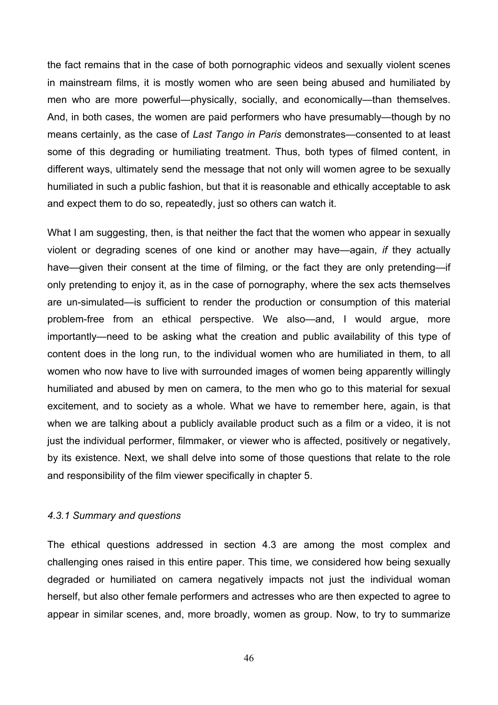the fact remains that in the case of both pornographic videos and sexually violent scenes in mainstream films, it is mostly women who are seen being abused and humiliated by men who are more powerful—physically, socially, and economically—than themselves. And, in both cases, the women are paid performers who have presumably—though by no means certainly, as the case of *Last Tango in Paris* demonstrates—consented to at least some of this degrading or humiliating treatment. Thus, both types of filmed content, in different ways, ultimately send the message that not only will women agree to be sexually humiliated in such a public fashion, but that it is reasonable and ethically acceptable to ask and expect them to do so, repeatedly, just so others can watch it.

What I am suggesting, then, is that neither the fact that the women who appear in sexually violent or degrading scenes of one kind or another may have—again, *if* they actually have—given their consent at the time of filming, or the fact they are only pretending—if only pretending to enjoy it, as in the case of pornography, where the sex acts themselves are un-simulated—is sufficient to render the production or consumption of this material problem-free from an ethical perspective. We also—and, I would argue, more importantly—need to be asking what the creation and public availability of this type of content does in the long run, to the individual women who are humiliated in them, to all women who now have to live with surrounded images of women being apparently willingly humiliated and abused by men on camera, to the men who go to this material for sexual excitement, and to society as a whole. What we have to remember here, again, is that when we are talking about a publicly available product such as a film or a video, it is not just the individual performer, filmmaker, or viewer who is affected, positively or negatively, by its existence. Next, we shall delve into some of those questions that relate to the role and responsibility of the film viewer specifically in chapter 5.

### *4.3.1 Summary and questions*

The ethical questions addressed in section 4.3 are among the most complex and challenging ones raised in this entire paper. This time, we considered how being sexually degraded or humiliated on camera negatively impacts not just the individual woman herself, but also other female performers and actresses who are then expected to agree to appear in similar scenes, and, more broadly, women as group. Now, to try to summarize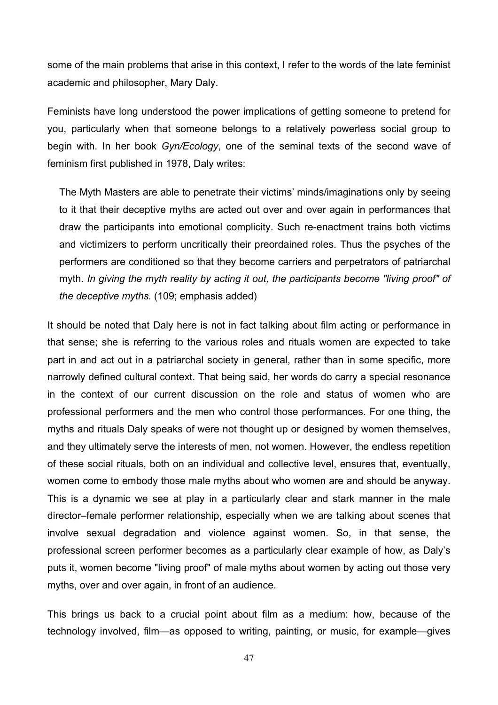some of the main problems that arise in this context, I refer to the words of the late feminist academic and philosopher, Mary Daly.

Feminists have long understood the power implications of getting someone to pretend for you, particularly when that someone belongs to a relatively powerless social group to begin with. In her book *Gyn/Ecology*, one of the seminal texts of the second wave of feminism first published in 1978, Daly writes:

The Myth Masters are able to penetrate their victims' minds/imaginations only by seeing to it that their deceptive myths are acted out over and over again in performances that draw the participants into emotional complicity. Such re-enactment trains both victims and victimizers to perform uncritically their preordained roles. Thus the psyches of the performers are conditioned so that they become carriers and perpetrators of patriarchal myth. *In giving the myth reality by acting it out, the participants become "living proof" of the deceptive myths.* (109; emphasis added)

It should be noted that Daly here is not in fact talking about film acting or performance in that sense; she is referring to the various roles and rituals women are expected to take part in and act out in a patriarchal society in general, rather than in some specific, more narrowly defined cultural context. That being said, her words do carry a special resonance in the context of our current discussion on the role and status of women who are professional performers and the men who control those performances. For one thing, the myths and rituals Daly speaks of were not thought up or designed by women themselves, and they ultimately serve the interests of men, not women. However, the endless repetition of these social rituals, both on an individual and collective level, ensures that, eventually, women come to embody those male myths about who women are and should be anyway. This is a dynamic we see at play in a particularly clear and stark manner in the male director–female performer relationship, especially when we are talking about scenes that involve sexual degradation and violence against women. So, in that sense, the professional screen performer becomes as a particularly clear example of how, as Daly's puts it, women become "living proof" of male myths about women by acting out those very myths, over and over again, in front of an audience.

This brings us back to a crucial point about film as a medium: how, because of the technology involved, film—as opposed to writing, painting, or music, for example—gives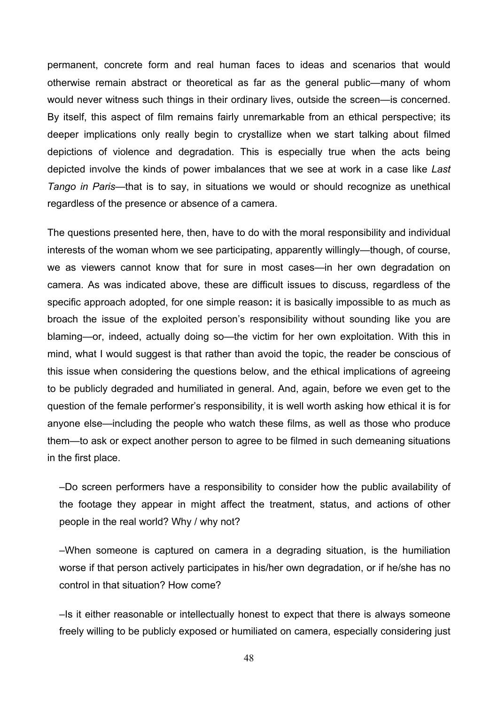permanent, concrete form and real human faces to ideas and scenarios that would otherwise remain abstract or theoretical as far as the general public—many of whom would never witness such things in their ordinary lives, outside the screen—is concerned. By itself, this aspect of film remains fairly unremarkable from an ethical perspective; its deeper implications only really begin to crystallize when we start talking about filmed depictions of violence and degradation. This is especially true when the acts being depicted involve the kinds of power imbalances that we see at work in a case like *Last Tango in Paris*—that is to say, in situations we would or should recognize as unethical regardless of the presence or absence of a camera.

The questions presented here, then, have to do with the moral responsibility and individual interests of the woman whom we see participating, apparently willingly—though, of course, we as viewers cannot know that for sure in most cases—in her own degradation on camera. As was indicated above, these are difficult issues to discuss, regardless of the specific approach adopted, for one simple reason**:** it is basically impossible to as much as broach the issue of the exploited person's responsibility without sounding like you are blaming—or, indeed, actually doing so—the victim for her own exploitation. With this in mind, what I would suggest is that rather than avoid the topic, the reader be conscious of this issue when considering the questions below, and the ethical implications of agreeing to be publicly degraded and humiliated in general. And, again, before we even get to the question of the female performer's responsibility, it is well worth asking how ethical it is for anyone else—including the people who watch these films, as well as those who produce them—to ask or expect another person to agree to be filmed in such demeaning situations in the first place.

–Do screen performers have a responsibility to consider how the public availability of the footage they appear in might affect the treatment, status, and actions of other people in the real world? Why / why not?

–When someone is captured on camera in a degrading situation, is the humiliation worse if that person actively participates in his/her own degradation, or if he/she has no control in that situation? How come?

–Is it either reasonable or intellectually honest to expect that there is always someone freely willing to be publicly exposed or humiliated on camera, especially considering just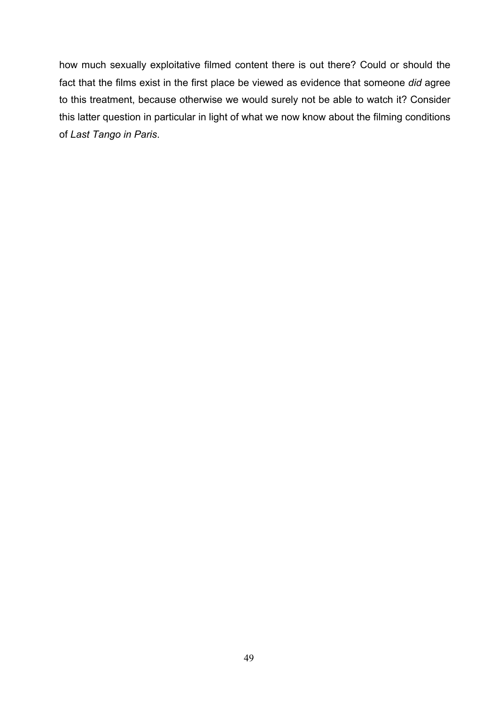how much sexually exploitative filmed content there is out there? Could or should the fact that the films exist in the first place be viewed as evidence that someone *did* agree to this treatment, because otherwise we would surely not be able to watch it? Consider this latter question in particular in light of what we now know about the filming conditions of *Last Tango in Paris*.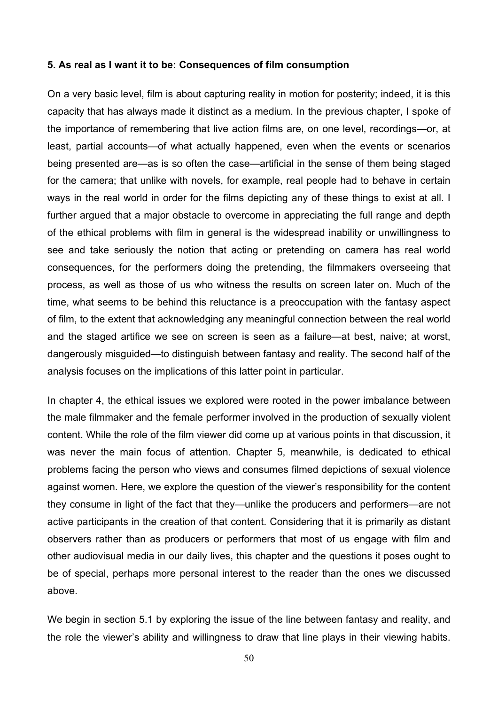#### **5. As real as I want it to be: Consequences of film consumption**

On a very basic level, film is about capturing reality in motion for posterity; indeed, it is this capacity that has always made it distinct as a medium. In the previous chapter, I spoke of the importance of remembering that live action films are, on one level, recordings—or, at least, partial accounts—of what actually happened, even when the events or scenarios being presented are—as is so often the case—artificial in the sense of them being staged for the camera; that unlike with novels, for example, real people had to behave in certain ways in the real world in order for the films depicting any of these things to exist at all. I further argued that a major obstacle to overcome in appreciating the full range and depth of the ethical problems with film in general is the widespread inability or unwillingness to see and take seriously the notion that acting or pretending on camera has real world consequences, for the performers doing the pretending, the filmmakers overseeing that process, as well as those of us who witness the results on screen later on. Much of the time, what seems to be behind this reluctance is a preoccupation with the fantasy aspect of film, to the extent that acknowledging any meaningful connection between the real world and the staged artifice we see on screen is seen as a failure—at best, naive; at worst, dangerously misguided—to distinguish between fantasy and reality. The second half of the analysis focuses on the implications of this latter point in particular.

In chapter 4, the ethical issues we explored were rooted in the power imbalance between the male filmmaker and the female performer involved in the production of sexually violent content. While the role of the film viewer did come up at various points in that discussion, it was never the main focus of attention. Chapter 5, meanwhile, is dedicated to ethical problems facing the person who views and consumes filmed depictions of sexual violence against women. Here, we explore the question of the viewer's responsibility for the content they consume in light of the fact that they—unlike the producers and performers—are not active participants in the creation of that content. Considering that it is primarily as distant observers rather than as producers or performers that most of us engage with film and other audiovisual media in our daily lives, this chapter and the questions it poses ought to be of special, perhaps more personal interest to the reader than the ones we discussed above.

We begin in section 5.1 by exploring the issue of the line between fantasy and reality, and the role the viewer's ability and willingness to draw that line plays in their viewing habits.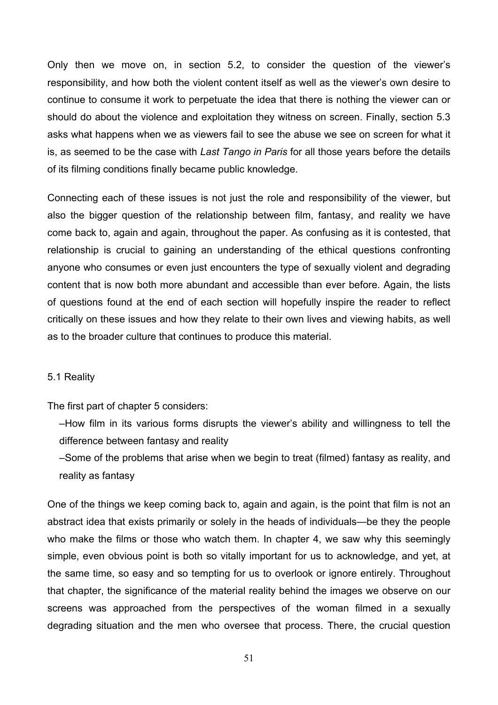Only then we move on, in section 5.2, to consider the question of the viewer's responsibility, and how both the violent content itself as well as the viewer's own desire to continue to consume it work to perpetuate the idea that there is nothing the viewer can or should do about the violence and exploitation they witness on screen. Finally, section 5.3 asks what happens when we as viewers fail to see the abuse we see on screen for what it is, as seemed to be the case with *Last Tango in Paris* for all those years before the details of its filming conditions finally became public knowledge.

Connecting each of these issues is not just the role and responsibility of the viewer, but also the bigger question of the relationship between film, fantasy, and reality we have come back to, again and again, throughout the paper. As confusing as it is contested, that relationship is crucial to gaining an understanding of the ethical questions confronting anyone who consumes or even just encounters the type of sexually violent and degrading content that is now both more abundant and accessible than ever before. Again, the lists of questions found at the end of each section will hopefully inspire the reader to reflect critically on these issues and how they relate to their own lives and viewing habits, as well as to the broader culture that continues to produce this material.

### 5.1 Reality

The first part of chapter 5 considers:

–How film in its various forms disrupts the viewer's ability and willingness to tell the difference between fantasy and reality

–Some of the problems that arise when we begin to treat (filmed) fantasy as reality, and reality as fantasy

One of the things we keep coming back to, again and again, is the point that film is not an abstract idea that exists primarily or solely in the heads of individuals—be they the people who make the films or those who watch them. In chapter 4, we saw why this seemingly simple, even obvious point is both so vitally important for us to acknowledge, and yet, at the same time, so easy and so tempting for us to overlook or ignore entirely. Throughout that chapter, the significance of the material reality behind the images we observe on our screens was approached from the perspectives of the woman filmed in a sexually degrading situation and the men who oversee that process. There, the crucial question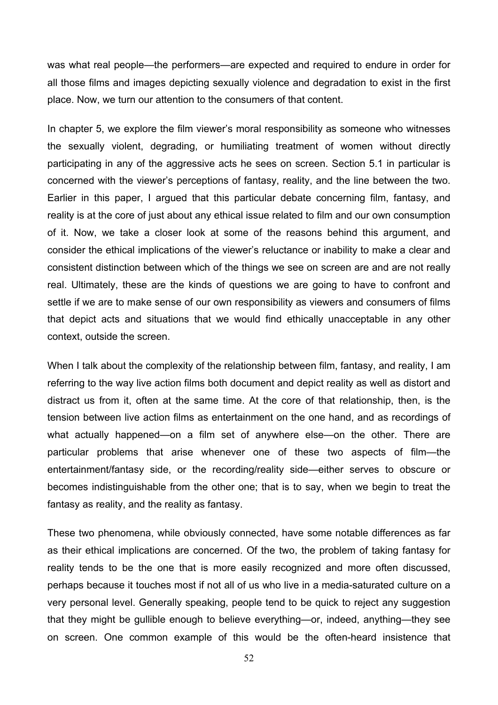was what real people—the performers—are expected and required to endure in order for all those films and images depicting sexually violence and degradation to exist in the first place. Now, we turn our attention to the consumers of that content.

In chapter 5, we explore the film viewer's moral responsibility as someone who witnesses the sexually violent, degrading, or humiliating treatment of women without directly participating in any of the aggressive acts he sees on screen. Section 5.1 in particular is concerned with the viewer's perceptions of fantasy, reality, and the line between the two. Earlier in this paper, I argued that this particular debate concerning film, fantasy, and reality is at the core of just about any ethical issue related to film and our own consumption of it. Now, we take a closer look at some of the reasons behind this argument, and consider the ethical implications of the viewer's reluctance or inability to make a clear and consistent distinction between which of the things we see on screen are and are not really real. Ultimately, these are the kinds of questions we are going to have to confront and settle if we are to make sense of our own responsibility as viewers and consumers of films that depict acts and situations that we would find ethically unacceptable in any other context, outside the screen.

When I talk about the complexity of the relationship between film, fantasy, and reality, I am referring to the way live action films both document and depict reality as well as distort and distract us from it, often at the same time. At the core of that relationship, then, is the tension between live action films as entertainment on the one hand, and as recordings of what actually happened—on a film set of anywhere else—on the other. There are particular problems that arise whenever one of these two aspects of film—the entertainment/fantasy side, or the recording/reality side—either serves to obscure or becomes indistinguishable from the other one; that is to say, when we begin to treat the fantasy as reality, and the reality as fantasy.

These two phenomena, while obviously connected, have some notable differences as far as their ethical implications are concerned. Of the two, the problem of taking fantasy for reality tends to be the one that is more easily recognized and more often discussed, perhaps because it touches most if not all of us who live in a media-saturated culture on a very personal level. Generally speaking, people tend to be quick to reject any suggestion that they might be gullible enough to believe everything—or, indeed, anything—they see on screen. One common example of this would be the often-heard insistence that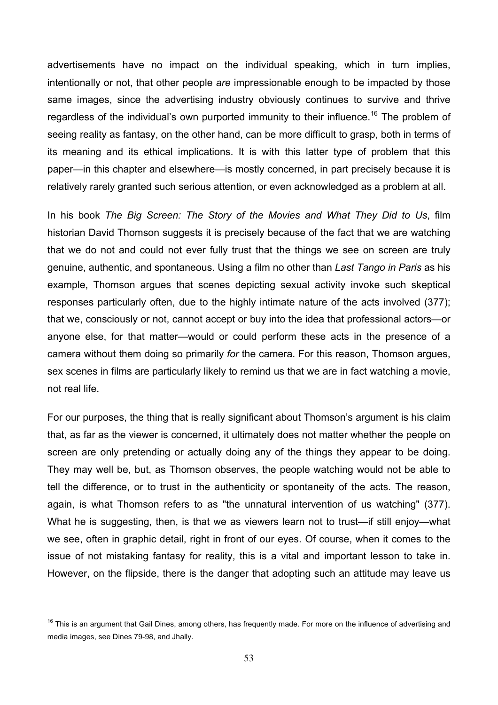advertisements have no impact on the individual speaking, which in turn implies, intentionally or not, that other people *are* impressionable enough to be impacted by those same images, since the advertising industry obviously continues to survive and thrive regardless of the individual's own purported immunity to their influence.<sup>16</sup> The problem of seeing reality as fantasy, on the other hand, can be more difficult to grasp, both in terms of its meaning and its ethical implications. It is with this latter type of problem that this paper—in this chapter and elsewhere—is mostly concerned, in part precisely because it is relatively rarely granted such serious attention, or even acknowledged as a problem at all.

In his book *The Big Screen: The Story of the Movies and What They Did to Us*, film historian David Thomson suggests it is precisely because of the fact that we are watching that we do not and could not ever fully trust that the things we see on screen are truly genuine, authentic, and spontaneous. Using a film no other than *Last Tango in Paris* as his example, Thomson argues that scenes depicting sexual activity invoke such skeptical responses particularly often, due to the highly intimate nature of the acts involved (377); that we, consciously or not, cannot accept or buy into the idea that professional actors—or anyone else, for that matter—would or could perform these acts in the presence of a camera without them doing so primarily *for* the camera. For this reason, Thomson argues, sex scenes in films are particularly likely to remind us that we are in fact watching a movie, not real life.

For our purposes, the thing that is really significant about Thomson's argument is his claim that, as far as the viewer is concerned, it ultimately does not matter whether the people on screen are only pretending or actually doing any of the things they appear to be doing. They may well be, but, as Thomson observes, the people watching would not be able to tell the difference, or to trust in the authenticity or spontaneity of the acts. The reason, again, is what Thomson refers to as "the unnatural intervention of us watching" (377). What he is suggesting, then, is that we as viewers learn not to trust—if still enjoy—what we see, often in graphic detail, right in front of our eyes. Of course, when it comes to the issue of not mistaking fantasy for reality, this is a vital and important lesson to take in. However, on the flipside, there is the danger that adopting such an attitude may leave us

<sup>&</sup>lt;sup>16</sup> This is an argument that Gail Dines, among others, has frequently made. For more on the influence of advertising and media images, see Dines 79-98, and Jhally.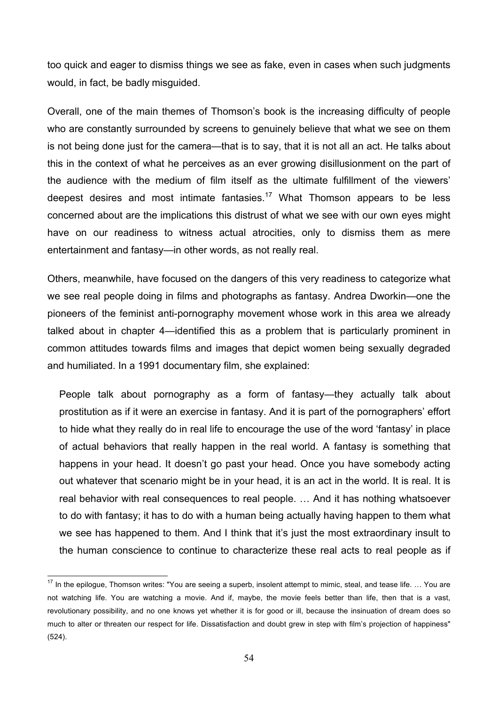too quick and eager to dismiss things we see as fake, even in cases when such judgments would, in fact, be badly misguided.

Overall, one of the main themes of Thomson's book is the increasing difficulty of people who are constantly surrounded by screens to genuinely believe that what we see on them is not being done just for the camera—that is to say, that it is not all an act. He talks about this in the context of what he perceives as an ever growing disillusionment on the part of the audience with the medium of film itself as the ultimate fulfillment of the viewers' deepest desires and most intimate fantasies.<sup>17</sup> What Thomson appears to be less concerned about are the implications this distrust of what we see with our own eyes might have on our readiness to witness actual atrocities, only to dismiss them as mere entertainment and fantasy—in other words, as not really real.

Others, meanwhile, have focused on the dangers of this very readiness to categorize what we see real people doing in films and photographs as fantasy. Andrea Dworkin—one the pioneers of the feminist anti-pornography movement whose work in this area we already talked about in chapter 4—identified this as a problem that is particularly prominent in common attitudes towards films and images that depict women being sexually degraded and humiliated. In a 1991 documentary film, she explained:

People talk about pornography as a form of fantasy—they actually talk about prostitution as if it were an exercise in fantasy. And it is part of the pornographers' effort to hide what they really do in real life to encourage the use of the word 'fantasy' in place of actual behaviors that really happen in the real world. A fantasy is something that happens in your head. It doesn't go past your head. Once you have somebody acting out whatever that scenario might be in your head, it is an act in the world. It is real. It is real behavior with real consequences to real people. … And it has nothing whatsoever to do with fantasy; it has to do with a human being actually having happen to them what we see has happened to them. And I think that it's just the most extraordinary insult to the human conscience to continue to characterize these real acts to real people as if

 $17$  In the epilogue, Thomson writes: "You are seeing a superb, insolent attempt to mimic, steal, and tease life. ... You are not watching life. You are watching a movie. And if, maybe, the movie feels better than life, then that is a vast, revolutionary possibility, and no one knows yet whether it is for good or ill, because the insinuation of dream does so much to alter or threaten our respect for life. Dissatisfaction and doubt grew in step with film's projection of happiness" (524).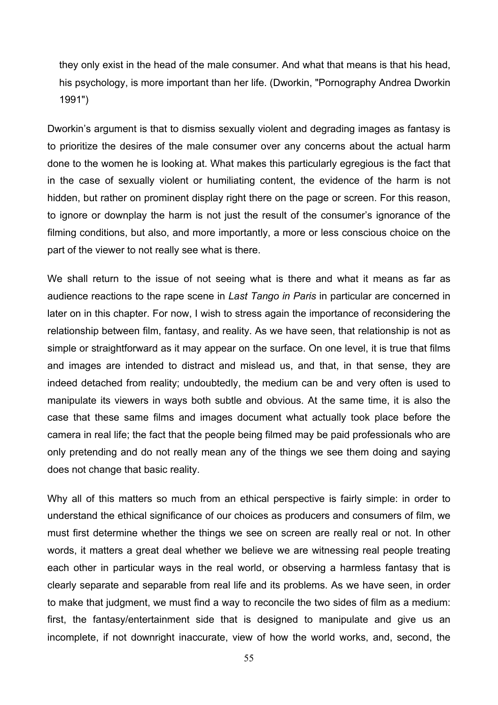they only exist in the head of the male consumer. And what that means is that his head, his psychology, is more important than her life. (Dworkin, "Pornography Andrea Dworkin 1991")

Dworkin's argument is that to dismiss sexually violent and degrading images as fantasy is to prioritize the desires of the male consumer over any concerns about the actual harm done to the women he is looking at. What makes this particularly egregious is the fact that in the case of sexually violent or humiliating content, the evidence of the harm is not hidden, but rather on prominent display right there on the page or screen. For this reason, to ignore or downplay the harm is not just the result of the consumer's ignorance of the filming conditions, but also, and more importantly, a more or less conscious choice on the part of the viewer to not really see what is there.

We shall return to the issue of not seeing what is there and what it means as far as audience reactions to the rape scene in *Last Tango in Paris* in particular are concerned in later on in this chapter. For now, I wish to stress again the importance of reconsidering the relationship between film, fantasy, and reality. As we have seen, that relationship is not as simple or straightforward as it may appear on the surface. On one level, it is true that films and images are intended to distract and mislead us, and that, in that sense, they are indeed detached from reality; undoubtedly, the medium can be and very often is used to manipulate its viewers in ways both subtle and obvious. At the same time, it is also the case that these same films and images document what actually took place before the camera in real life; the fact that the people being filmed may be paid professionals who are only pretending and do not really mean any of the things we see them doing and saying does not change that basic reality.

Why all of this matters so much from an ethical perspective is fairly simple: in order to understand the ethical significance of our choices as producers and consumers of film, we must first determine whether the things we see on screen are really real or not. In other words, it matters a great deal whether we believe we are witnessing real people treating each other in particular ways in the real world, or observing a harmless fantasy that is clearly separate and separable from real life and its problems. As we have seen, in order to make that judgment, we must find a way to reconcile the two sides of film as a medium: first, the fantasy/entertainment side that is designed to manipulate and give us an incomplete, if not downright inaccurate, view of how the world works, and, second, the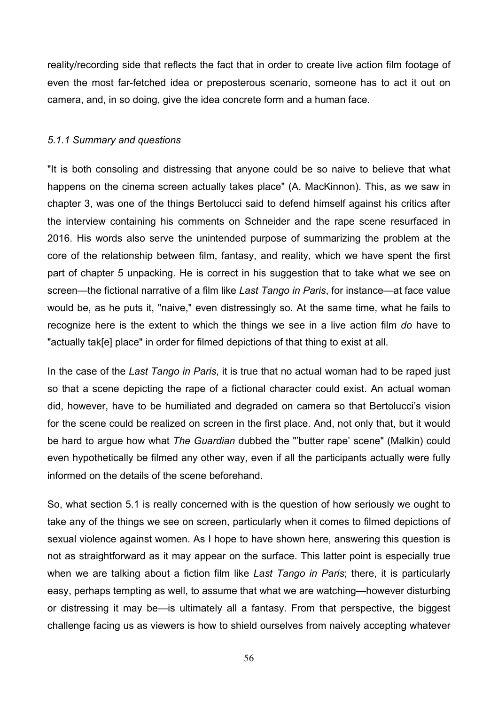reality/recording side that reflects the fact that in order to create live action film footage of even the most far-fetched idea or preposterous scenario, someone has to act it out on camera, and, in so doing, give the idea concrete form and a human face.

# *5.1.1 Summary and questions*

"It is both consoling and distressing that anyone could be so naive to believe that what happens on the cinema screen actually takes place" (A. MacKinnon). This, as we saw in chapter 3, was one of the things Bertolucci said to defend himself against his critics after the interview containing his comments on Schneider and the rape scene resurfaced in 2016. His words also serve the unintended purpose of summarizing the problem at the core of the relationship between film, fantasy, and reality, which we have spent the first part of chapter 5 unpacking. He is correct in his suggestion that to take what we see on screen—the fictional narrative of a film like *Last Tango in Paris*, for instance—at face value would be, as he puts it, "naive," even distressingly so. At the same time, what he fails to recognize here is the extent to which the things we see in a live action film *do* have to "actually tak[e] place" in order for filmed depictions of that thing to exist at all.

In the case of the *Last Tango in Paris*, it is true that no actual woman had to be raped just so that a scene depicting the rape of a fictional character could exist. An actual woman did, however, have to be humiliated and degraded on camera so that Bertolucci's vision for the scene could be realized on screen in the first place. And, not only that, but it would be hard to argue how what *The Guardian* dubbed the "'butter rape' scene" (Malkin) could even hypothetically be filmed any other way, even if all the participants actually were fully informed on the details of the scene beforehand.

So, what section 5.1 is really concerned with is the question of how seriously we ought to take any of the things we see on screen, particularly when it comes to filmed depictions of sexual violence against women. As I hope to have shown here, answering this question is not as straightforward as it may appear on the surface. This latter point is especially true when we are talking about a fiction film like *Last Tango in Paris*; there, it is particularly easy, perhaps tempting as well, to assume that what we are watching—however disturbing or distressing it may be—is ultimately all a fantasy. From that perspective, the biggest challenge facing us as viewers is how to shield ourselves from naively accepting whatever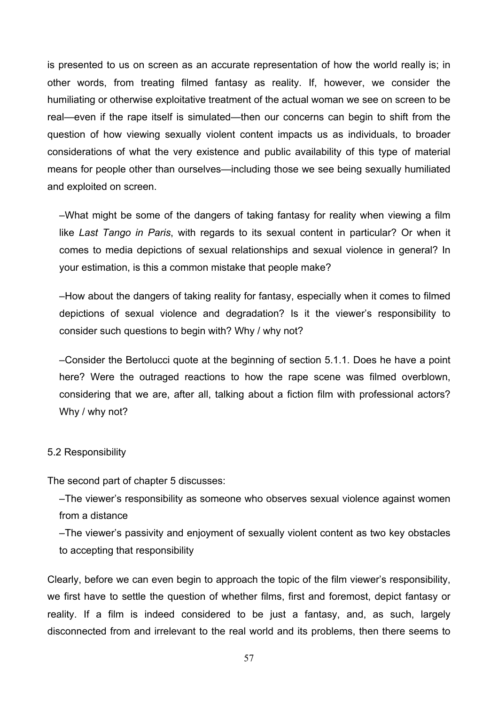is presented to us on screen as an accurate representation of how the world really is; in other words, from treating filmed fantasy as reality. If, however, we consider the humiliating or otherwise exploitative treatment of the actual woman we see on screen to be real—even if the rape itself is simulated—then our concerns can begin to shift from the question of how viewing sexually violent content impacts us as individuals, to broader considerations of what the very existence and public availability of this type of material means for people other than ourselves—including those we see being sexually humiliated and exploited on screen.

–What might be some of the dangers of taking fantasy for reality when viewing a film like *Last Tango in Paris*, with regards to its sexual content in particular? Or when it comes to media depictions of sexual relationships and sexual violence in general? In your estimation, is this a common mistake that people make?

–How about the dangers of taking reality for fantasy, especially when it comes to filmed depictions of sexual violence and degradation? Is it the viewer's responsibility to consider such questions to begin with? Why / why not?

–Consider the Bertolucci quote at the beginning of section 5.1.1. Does he have a point here? Were the outraged reactions to how the rape scene was filmed overblown, considering that we are, after all, talking about a fiction film with professional actors? Why / why not?

### 5.2 Responsibility

The second part of chapter 5 discusses:

–The viewer's responsibility as someone who observes sexual violence against women from a distance

–The viewer's passivity and enjoyment of sexually violent content as two key obstacles to accepting that responsibility

Clearly, before we can even begin to approach the topic of the film viewer's responsibility, we first have to settle the question of whether films, first and foremost, depict fantasy or reality. If a film is indeed considered to be just a fantasy, and, as such, largely disconnected from and irrelevant to the real world and its problems, then there seems to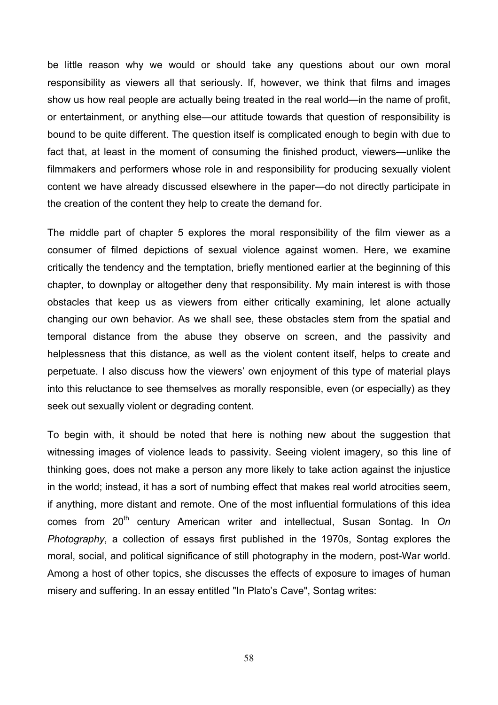be little reason why we would or should take any questions about our own moral responsibility as viewers all that seriously. If, however, we think that films and images show us how real people are actually being treated in the real world—in the name of profit, or entertainment, or anything else—our attitude towards that question of responsibility is bound to be quite different. The question itself is complicated enough to begin with due to fact that, at least in the moment of consuming the finished product, viewers—unlike the filmmakers and performers whose role in and responsibility for producing sexually violent content we have already discussed elsewhere in the paper—do not directly participate in the creation of the content they help to create the demand for.

The middle part of chapter 5 explores the moral responsibility of the film viewer as a consumer of filmed depictions of sexual violence against women. Here, we examine critically the tendency and the temptation, briefly mentioned earlier at the beginning of this chapter, to downplay or altogether deny that responsibility. My main interest is with those obstacles that keep us as viewers from either critically examining, let alone actually changing our own behavior. As we shall see, these obstacles stem from the spatial and temporal distance from the abuse they observe on screen, and the passivity and helplessness that this distance, as well as the violent content itself, helps to create and perpetuate. I also discuss how the viewers' own enjoyment of this type of material plays into this reluctance to see themselves as morally responsible, even (or especially) as they seek out sexually violent or degrading content.

To begin with, it should be noted that here is nothing new about the suggestion that witnessing images of violence leads to passivity. Seeing violent imagery, so this line of thinking goes, does not make a person any more likely to take action against the injustice in the world; instead, it has a sort of numbing effect that makes real world atrocities seem, if anything, more distant and remote. One of the most influential formulations of this idea comes from 20<sup>th</sup> century American writer and intellectual, Susan Sontag. In On *Photography*, a collection of essays first published in the 1970s, Sontag explores the moral, social, and political significance of still photography in the modern, post-War world. Among a host of other topics, she discusses the effects of exposure to images of human misery and suffering. In an essay entitled "In Plato's Cave", Sontag writes: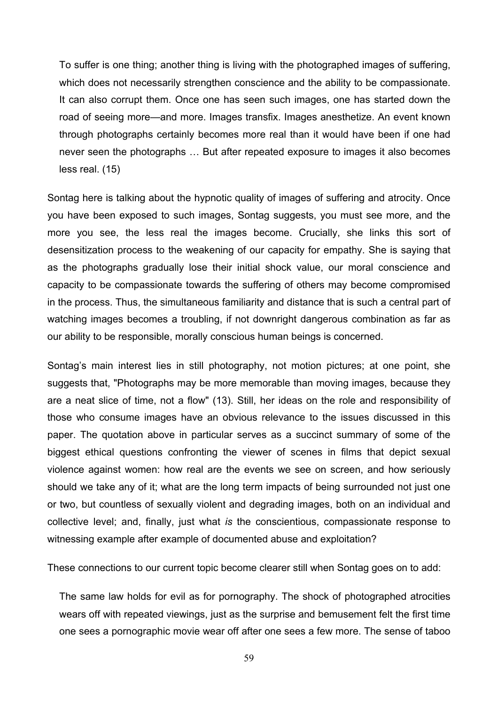To suffer is one thing; another thing is living with the photographed images of suffering, which does not necessarily strengthen conscience and the ability to be compassionate. It can also corrupt them. Once one has seen such images, one has started down the road of seeing more—and more. Images transfix. Images anesthetize. An event known through photographs certainly becomes more real than it would have been if one had never seen the photographs … But after repeated exposure to images it also becomes less real. (15)

Sontag here is talking about the hypnotic quality of images of suffering and atrocity. Once you have been exposed to such images, Sontag suggests, you must see more, and the more you see, the less real the images become. Crucially, she links this sort of desensitization process to the weakening of our capacity for empathy. She is saying that as the photographs gradually lose their initial shock value, our moral conscience and capacity to be compassionate towards the suffering of others may become compromised in the process. Thus, the simultaneous familiarity and distance that is such a central part of watching images becomes a troubling, if not downright dangerous combination as far as our ability to be responsible, morally conscious human beings is concerned.

Sontag's main interest lies in still photography, not motion pictures; at one point, she suggests that, "Photographs may be more memorable than moving images, because they are a neat slice of time, not a flow" (13). Still, her ideas on the role and responsibility of those who consume images have an obvious relevance to the issues discussed in this paper. The quotation above in particular serves as a succinct summary of some of the biggest ethical questions confronting the viewer of scenes in films that depict sexual violence against women: how real are the events we see on screen, and how seriously should we take any of it; what are the long term impacts of being surrounded not just one or two, but countless of sexually violent and degrading images, both on an individual and collective level; and, finally, just what *is* the conscientious, compassionate response to witnessing example after example of documented abuse and exploitation?

These connections to our current topic become clearer still when Sontag goes on to add:

The same law holds for evil as for pornography. The shock of photographed atrocities wears off with repeated viewings, just as the surprise and bemusement felt the first time one sees a pornographic movie wear off after one sees a few more. The sense of taboo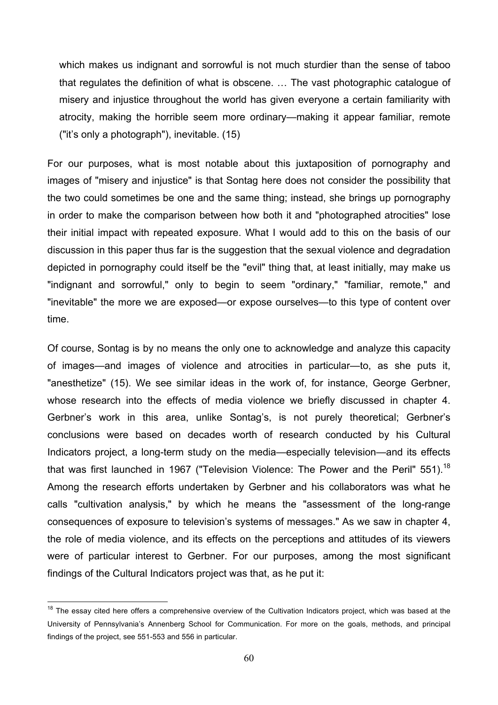which makes us indignant and sorrowful is not much sturdier than the sense of taboo that regulates the definition of what is obscene. … The vast photographic catalogue of misery and injustice throughout the world has given everyone a certain familiarity with atrocity, making the horrible seem more ordinary—making it appear familiar, remote ("it's only a photograph"), inevitable. (15)

For our purposes, what is most notable about this juxtaposition of pornography and images of "misery and injustice" is that Sontag here does not consider the possibility that the two could sometimes be one and the same thing; instead, she brings up pornography in order to make the comparison between how both it and "photographed atrocities" lose their initial impact with repeated exposure. What I would add to this on the basis of our discussion in this paper thus far is the suggestion that the sexual violence and degradation depicted in pornography could itself be the "evil" thing that, at least initially, may make us "indignant and sorrowful," only to begin to seem "ordinary," "familiar, remote," and "inevitable" the more we are exposed—or expose ourselves—to this type of content over time.

Of course, Sontag is by no means the only one to acknowledge and analyze this capacity of images—and images of violence and atrocities in particular—to, as she puts it, "anesthetize" (15). We see similar ideas in the work of, for instance, George Gerbner, whose research into the effects of media violence we briefly discussed in chapter 4. Gerbner's work in this area, unlike Sontag's, is not purely theoretical; Gerbner's conclusions were based on decades worth of research conducted by his Cultural Indicators project, a long-term study on the media—especially television—and its effects that was first launched in 1967 ("Television Violence: The Power and the Peril" 551).<sup>18</sup> Among the research efforts undertaken by Gerbner and his collaborators was what he calls "cultivation analysis," by which he means the "assessment of the long-range consequences of exposure to television's systems of messages." As we saw in chapter 4, the role of media violence, and its effects on the perceptions and attitudes of its viewers were of particular interest to Gerbner. For our purposes, among the most significant findings of the Cultural Indicators project was that, as he put it:

<sup>&</sup>lt;sup>18</sup> The essav cited here offers a comprehensive overview of the Cultivation Indicators project, which was based at the University of Pennsylvania's Annenberg School for Communication. For more on the goals, methods, and principal findings of the project, see 551-553 and 556 in particular.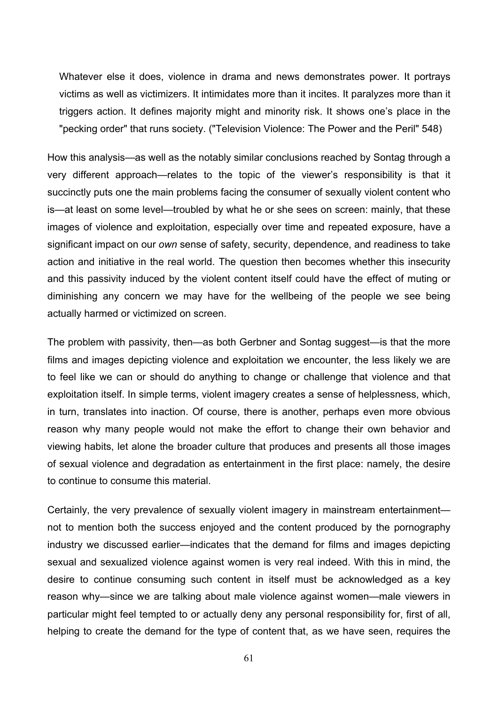Whatever else it does, violence in drama and news demonstrates power. It portrays victims as well as victimizers. It intimidates more than it incites. It paralyzes more than it triggers action. It defines majority might and minority risk. It shows one's place in the "pecking order" that runs society. ("Television Violence: The Power and the Peril" 548)

How this analysis—as well as the notably similar conclusions reached by Sontag through a very different approach—relates to the topic of the viewer's responsibility is that it succinctly puts one the main problems facing the consumer of sexually violent content who is—at least on some level—troubled by what he or she sees on screen: mainly, that these images of violence and exploitation, especially over time and repeated exposure, have a significant impact on our *own* sense of safety, security, dependence, and readiness to take action and initiative in the real world. The question then becomes whether this insecurity and this passivity induced by the violent content itself could have the effect of muting or diminishing any concern we may have for the wellbeing of the people we see being actually harmed or victimized on screen.

The problem with passivity, then—as both Gerbner and Sontag suggest—is that the more films and images depicting violence and exploitation we encounter, the less likely we are to feel like we can or should do anything to change or challenge that violence and that exploitation itself. In simple terms, violent imagery creates a sense of helplessness, which, in turn, translates into inaction. Of course, there is another, perhaps even more obvious reason why many people would not make the effort to change their own behavior and viewing habits, let alone the broader culture that produces and presents all those images of sexual violence and degradation as entertainment in the first place: namely, the desire to continue to consume this material.

Certainly, the very prevalence of sexually violent imagery in mainstream entertainment not to mention both the success enjoyed and the content produced by the pornography industry we discussed earlier—indicates that the demand for films and images depicting sexual and sexualized violence against women is very real indeed. With this in mind, the desire to continue consuming such content in itself must be acknowledged as a key reason why—since we are talking about male violence against women—male viewers in particular might feel tempted to or actually deny any personal responsibility for, first of all, helping to create the demand for the type of content that, as we have seen, requires the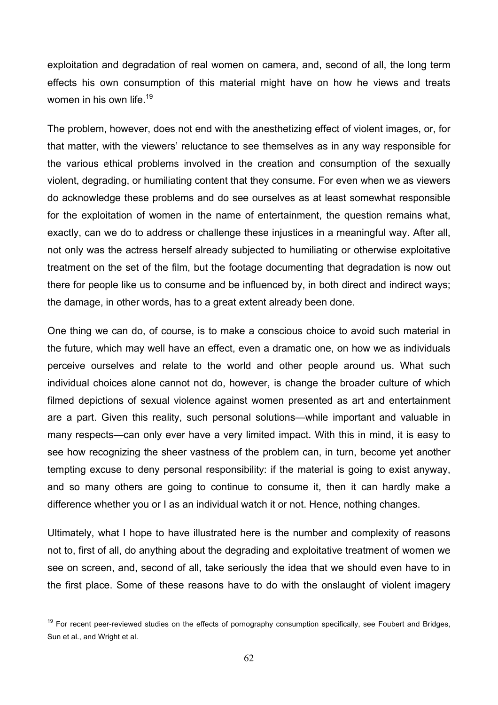exploitation and degradation of real women on camera, and, second of all, the long term effects his own consumption of this material might have on how he views and treats women in his own life.<sup>19</sup>

The problem, however, does not end with the anesthetizing effect of violent images, or, for that matter, with the viewers' reluctance to see themselves as in any way responsible for the various ethical problems involved in the creation and consumption of the sexually violent, degrading, or humiliating content that they consume. For even when we as viewers do acknowledge these problems and do see ourselves as at least somewhat responsible for the exploitation of women in the name of entertainment, the question remains what, exactly, can we do to address or challenge these injustices in a meaningful way. After all, not only was the actress herself already subjected to humiliating or otherwise exploitative treatment on the set of the film, but the footage documenting that degradation is now out there for people like us to consume and be influenced by, in both direct and indirect ways; the damage, in other words, has to a great extent already been done.

One thing we can do, of course, is to make a conscious choice to avoid such material in the future, which may well have an effect, even a dramatic one, on how we as individuals perceive ourselves and relate to the world and other people around us. What such individual choices alone cannot not do, however, is change the broader culture of which filmed depictions of sexual violence against women presented as art and entertainment are a part. Given this reality, such personal solutions—while important and valuable in many respects—can only ever have a very limited impact. With this in mind, it is easy to see how recognizing the sheer vastness of the problem can, in turn, become yet another tempting excuse to deny personal responsibility: if the material is going to exist anyway, and so many others are going to continue to consume it, then it can hardly make a difference whether you or I as an individual watch it or not. Hence, nothing changes.

Ultimately, what I hope to have illustrated here is the number and complexity of reasons not to, first of all, do anything about the degrading and exploitative treatment of women we see on screen, and, second of all, take seriously the idea that we should even have to in the first place. Some of these reasons have to do with the onslaught of violent imagery

<sup>&</sup>lt;sup>19</sup> For recent peer-reviewed studies on the effects of pornography consumption specifically, see Foubert and Bridges, Sun et al., and Wright et al.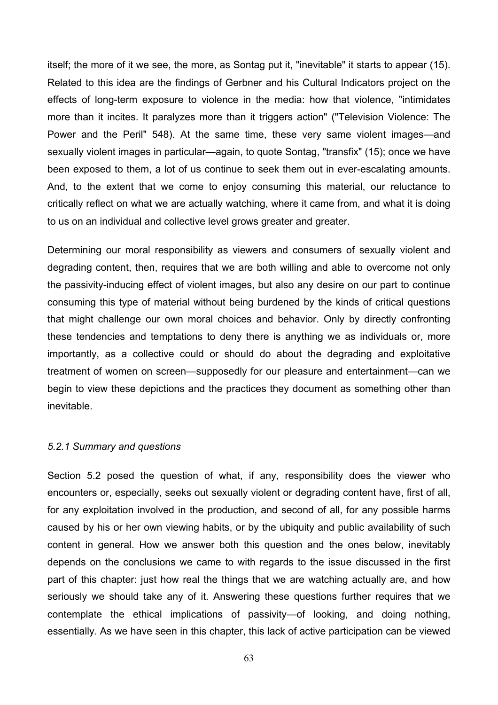itself; the more of it we see, the more, as Sontag put it, "inevitable" it starts to appear (15). Related to this idea are the findings of Gerbner and his Cultural Indicators project on the effects of long-term exposure to violence in the media: how that violence, "intimidates more than it incites. It paralyzes more than it triggers action" ("Television Violence: The Power and the Peril" 548). At the same time, these very same violent images—and sexually violent images in particular—again, to quote Sontag, "transfix" (15); once we have been exposed to them, a lot of us continue to seek them out in ever-escalating amounts. And, to the extent that we come to enjoy consuming this material, our reluctance to critically reflect on what we are actually watching, where it came from, and what it is doing to us on an individual and collective level grows greater and greater.

Determining our moral responsibility as viewers and consumers of sexually violent and degrading content, then, requires that we are both willing and able to overcome not only the passivity-inducing effect of violent images, but also any desire on our part to continue consuming this type of material without being burdened by the kinds of critical questions that might challenge our own moral choices and behavior. Only by directly confronting these tendencies and temptations to deny there is anything we as individuals or, more importantly, as a collective could or should do about the degrading and exploitative treatment of women on screen—supposedly for our pleasure and entertainment—can we begin to view these depictions and the practices they document as something other than inevitable.

### *5.2.1 Summary and questions*

Section 5.2 posed the question of what, if any, responsibility does the viewer who encounters or, especially, seeks out sexually violent or degrading content have, first of all, for any exploitation involved in the production, and second of all, for any possible harms caused by his or her own viewing habits, or by the ubiquity and public availability of such content in general. How we answer both this question and the ones below, inevitably depends on the conclusions we came to with regards to the issue discussed in the first part of this chapter: just how real the things that we are watching actually are, and how seriously we should take any of it. Answering these questions further requires that we contemplate the ethical implications of passivity—of looking, and doing nothing, essentially. As we have seen in this chapter, this lack of active participation can be viewed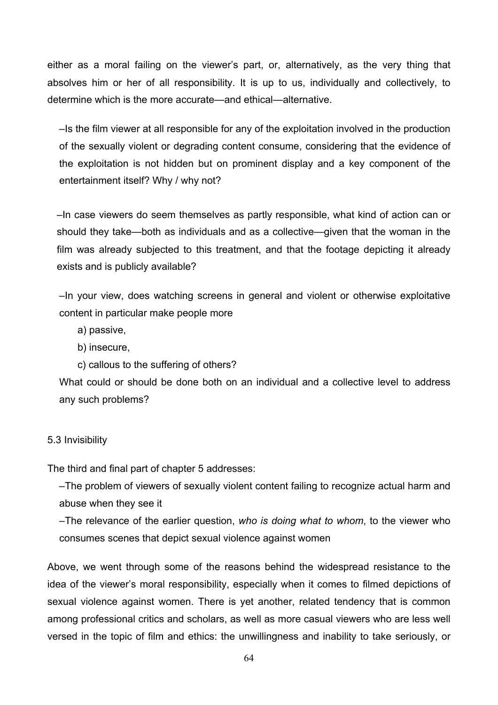either as a moral failing on the viewer's part, or, alternatively, as the very thing that absolves him or her of all responsibility. It is up to us, individually and collectively, to determine which is the more accurate—and ethical—alternative.

–Is the film viewer at all responsible for any of the exploitation involved in the production of the sexually violent or degrading content consume, considering that the evidence of the exploitation is not hidden but on prominent display and a key component of the entertainment itself? Why / why not?

–In case viewers do seem themselves as partly responsible, what kind of action can or should they take—both as individuals and as a collective—given that the woman in the film was already subjected to this treatment, and that the footage depicting it already exists and is publicly available?

–In your view, does watching screens in general and violent or otherwise exploitative content in particular make people more

- a) passive,
- b) insecure,
- c) callous to the suffering of others?

What could or should be done both on an individual and a collective level to address any such problems?

# 5.3 Invisibility

The third and final part of chapter 5 addresses:

–The problem of viewers of sexually violent content failing to recognize actual harm and abuse when they see it

–The relevance of the earlier question, *who is doing what to whom*, to the viewer who consumes scenes that depict sexual violence against women

Above, we went through some of the reasons behind the widespread resistance to the idea of the viewer's moral responsibility, especially when it comes to filmed depictions of sexual violence against women. There is yet another, related tendency that is common among professional critics and scholars, as well as more casual viewers who are less well versed in the topic of film and ethics: the unwillingness and inability to take seriously, or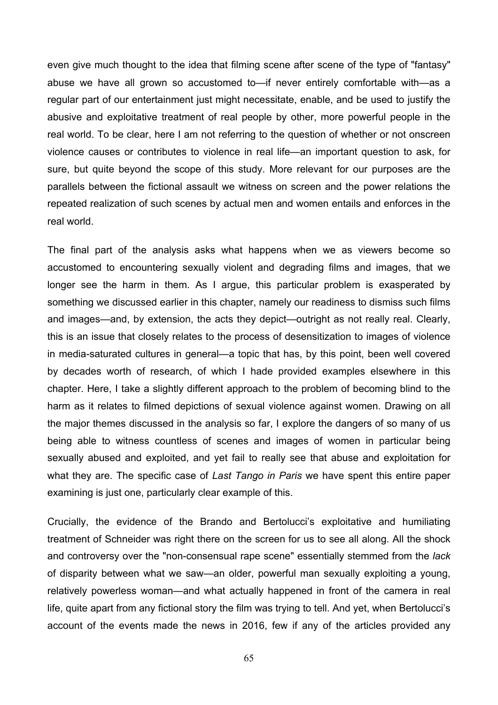even give much thought to the idea that filming scene after scene of the type of "fantasy" abuse we have all grown so accustomed to—if never entirely comfortable with—as a regular part of our entertainment just might necessitate, enable, and be used to justify the abusive and exploitative treatment of real people by other, more powerful people in the real world. To be clear, here I am not referring to the question of whether or not onscreen violence causes or contributes to violence in real life—an important question to ask, for sure, but quite beyond the scope of this study. More relevant for our purposes are the parallels between the fictional assault we witness on screen and the power relations the repeated realization of such scenes by actual men and women entails and enforces in the real world.

The final part of the analysis asks what happens when we as viewers become so accustomed to encountering sexually violent and degrading films and images, that we longer see the harm in them. As I argue, this particular problem is exasperated by something we discussed earlier in this chapter, namely our readiness to dismiss such films and images—and, by extension, the acts they depict—outright as not really real. Clearly, this is an issue that closely relates to the process of desensitization to images of violence in media-saturated cultures in general—a topic that has, by this point, been well covered by decades worth of research, of which I hade provided examples elsewhere in this chapter. Here, I take a slightly different approach to the problem of becoming blind to the harm as it relates to filmed depictions of sexual violence against women. Drawing on all the major themes discussed in the analysis so far, I explore the dangers of so many of us being able to witness countless of scenes and images of women in particular being sexually abused and exploited, and yet fail to really see that abuse and exploitation for what they are. The specific case of *Last Tango in Paris* we have spent this entire paper examining is just one, particularly clear example of this.

Crucially, the evidence of the Brando and Bertolucci's exploitative and humiliating treatment of Schneider was right there on the screen for us to see all along. All the shock and controversy over the "non-consensual rape scene" essentially stemmed from the *lack* of disparity between what we saw—an older, powerful man sexually exploiting a young, relatively powerless woman—and what actually happened in front of the camera in real life, quite apart from any fictional story the film was trying to tell. And yet, when Bertolucci's account of the events made the news in 2016, few if any of the articles provided any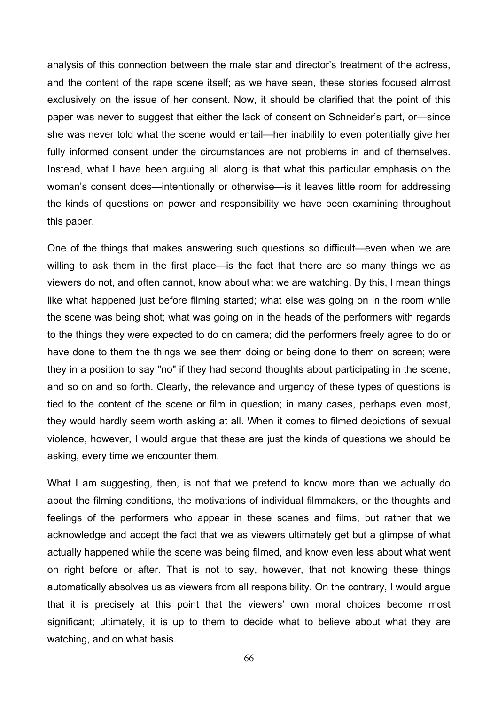analysis of this connection between the male star and director's treatment of the actress, and the content of the rape scene itself; as we have seen, these stories focused almost exclusively on the issue of her consent. Now, it should be clarified that the point of this paper was never to suggest that either the lack of consent on Schneider's part, or—since she was never told what the scene would entail—her inability to even potentially give her fully informed consent under the circumstances are not problems in and of themselves. Instead, what I have been arguing all along is that what this particular emphasis on the woman's consent does—intentionally or otherwise—is it leaves little room for addressing the kinds of questions on power and responsibility we have been examining throughout this paper.

One of the things that makes answering such questions so difficult—even when we are willing to ask them in the first place—is the fact that there are so many things we as viewers do not, and often cannot, know about what we are watching. By this, I mean things like what happened just before filming started; what else was going on in the room while the scene was being shot; what was going on in the heads of the performers with regards to the things they were expected to do on camera; did the performers freely agree to do or have done to them the things we see them doing or being done to them on screen; were they in a position to say "no" if they had second thoughts about participating in the scene, and so on and so forth. Clearly, the relevance and urgency of these types of questions is tied to the content of the scene or film in question; in many cases, perhaps even most, they would hardly seem worth asking at all. When it comes to filmed depictions of sexual violence, however, I would argue that these are just the kinds of questions we should be asking, every time we encounter them.

What I am suggesting, then, is not that we pretend to know more than we actually do about the filming conditions, the motivations of individual filmmakers, or the thoughts and feelings of the performers who appear in these scenes and films, but rather that we acknowledge and accept the fact that we as viewers ultimately get but a glimpse of what actually happened while the scene was being filmed, and know even less about what went on right before or after. That is not to say, however, that not knowing these things automatically absolves us as viewers from all responsibility. On the contrary, I would argue that it is precisely at this point that the viewers' own moral choices become most significant; ultimately, it is up to them to decide what to believe about what they are watching, and on what basis.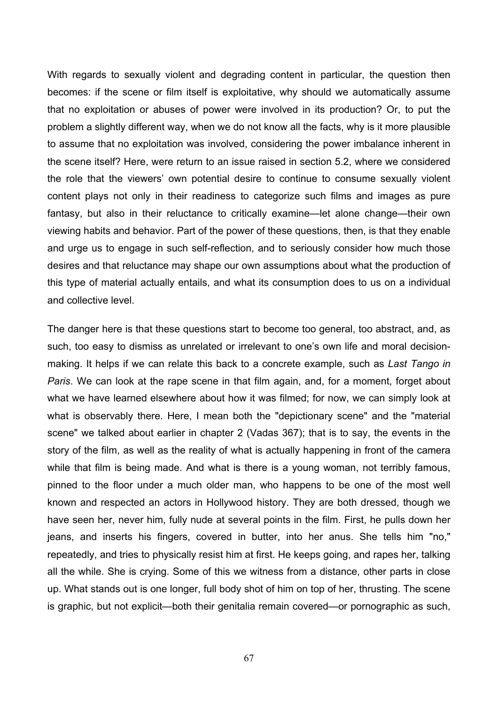With regards to sexually violent and degrading content in particular, the question then becomes: if the scene or film itself is exploitative, why should we automatically assume that no exploitation or abuses of power were involved in its production? Or, to put the problem a slightly different way, when we do not know all the facts, why is it more plausible to assume that no exploitation was involved, considering the power imbalance inherent in the scene itself? Here, were return to an issue raised in section 5.2, where we considered the role that the viewers' own potential desire to continue to consume sexually violent content plays not only in their readiness to categorize such films and images as pure fantasy, but also in their reluctance to critically examine—let alone change—their own viewing habits and behavior. Part of the power of these questions, then, is that they enable and urge us to engage in such self-reflection, and to seriously consider how much those desires and that reluctance may shape our own assumptions about what the production of this type of material actually entails, and what its consumption does to us on a individual and collective level.

The danger here is that these questions start to become too general, too abstract, and, as such, too easy to dismiss as unrelated or irrelevant to one's own life and moral decisionmaking. It helps if we can relate this back to a concrete example, such as *Last Tango in Paris*. We can look at the rape scene in that film again, and, for a moment, forget about what we have learned elsewhere about how it was filmed; for now, we can simply look at what is observably there. Here, I mean both the "depictionary scene" and the "material scene" we talked about earlier in chapter 2 (Vadas 367); that is to say, the events in the story of the film, as well as the reality of what is actually happening in front of the camera while that film is being made. And what is there is a young woman, not terribly famous, pinned to the floor under a much older man, who happens to be one of the most well known and respected an actors in Hollywood history. They are both dressed, though we have seen her, never him, fully nude at several points in the film. First, he pulls down her jeans, and inserts his fingers, covered in butter, into her anus. She tells him "no," repeatedly, and tries to physically resist him at first. He keeps going, and rapes her, talking all the while. She is crying. Some of this we witness from a distance, other parts in close up. What stands out is one longer, full body shot of him on top of her, thrusting. The scene is graphic, but not explicit—both their genitalia remain covered—or pornographic as such,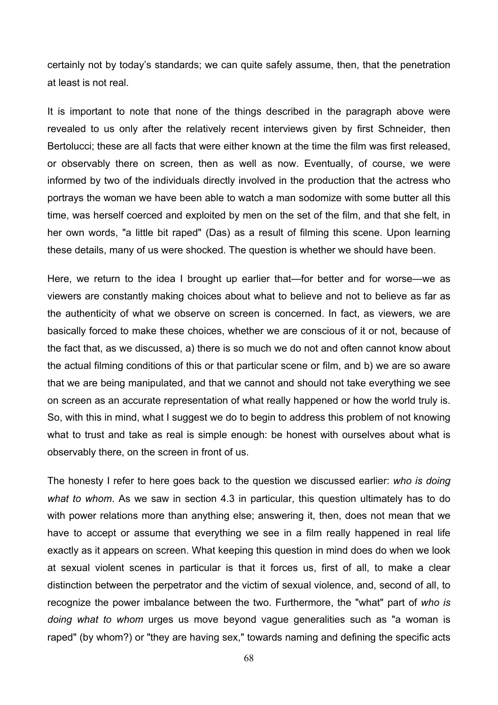certainly not by today's standards; we can quite safely assume, then, that the penetration at least is not real.

It is important to note that none of the things described in the paragraph above were revealed to us only after the relatively recent interviews given by first Schneider, then Bertolucci; these are all facts that were either known at the time the film was first released, or observably there on screen, then as well as now. Eventually, of course, we were informed by two of the individuals directly involved in the production that the actress who portrays the woman we have been able to watch a man sodomize with some butter all this time, was herself coerced and exploited by men on the set of the film, and that she felt, in her own words, "a little bit raped" (Das) as a result of filming this scene. Upon learning these details, many of us were shocked. The question is whether we should have been.

Here, we return to the idea I brought up earlier that—for better and for worse—we as viewers are constantly making choices about what to believe and not to believe as far as the authenticity of what we observe on screen is concerned. In fact, as viewers, we are basically forced to make these choices, whether we are conscious of it or not, because of the fact that, as we discussed, a) there is so much we do not and often cannot know about the actual filming conditions of this or that particular scene or film, and b) we are so aware that we are being manipulated, and that we cannot and should not take everything we see on screen as an accurate representation of what really happened or how the world truly is. So, with this in mind, what I suggest we do to begin to address this problem of not knowing what to trust and take as real is simple enough: be honest with ourselves about what is observably there, on the screen in front of us.

The honesty I refer to here goes back to the question we discussed earlier: *who is doing what to whom*. As we saw in section 4.3 in particular, this question ultimately has to do with power relations more than anything else; answering it, then, does not mean that we have to accept or assume that everything we see in a film really happened in real life exactly as it appears on screen. What keeping this question in mind does do when we look at sexual violent scenes in particular is that it forces us, first of all, to make a clear distinction between the perpetrator and the victim of sexual violence, and, second of all, to recognize the power imbalance between the two. Furthermore, the "what" part of *who is doing what to whom* urges us move beyond vague generalities such as "a woman is raped" (by whom?) or "they are having sex," towards naming and defining the specific acts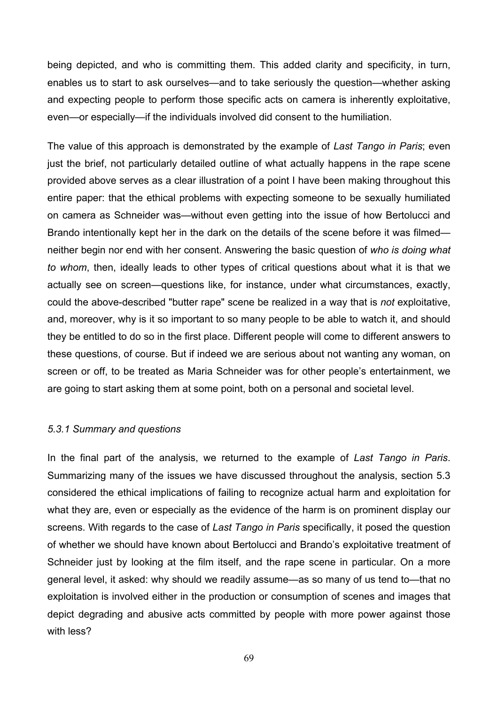being depicted, and who is committing them. This added clarity and specificity, in turn, enables us to start to ask ourselves—and to take seriously the question—whether asking and expecting people to perform those specific acts on camera is inherently exploitative, even—or especially—if the individuals involved did consent to the humiliation.

The value of this approach is demonstrated by the example of *Last Tango in Paris*; even just the brief, not particularly detailed outline of what actually happens in the rape scene provided above serves as a clear illustration of a point I have been making throughout this entire paper: that the ethical problems with expecting someone to be sexually humiliated on camera as Schneider was—without even getting into the issue of how Bertolucci and Brando intentionally kept her in the dark on the details of the scene before it was filmed neither begin nor end with her consent. Answering the basic question of *who is doing what to whom*, then, ideally leads to other types of critical questions about what it is that we actually see on screen—questions like, for instance, under what circumstances, exactly, could the above-described "butter rape" scene be realized in a way that is *not* exploitative, and, moreover, why is it so important to so many people to be able to watch it, and should they be entitled to do so in the first place. Different people will come to different answers to these questions, of course. But if indeed we are serious about not wanting any woman, on screen or off, to be treated as Maria Schneider was for other people's entertainment, we are going to start asking them at some point, both on a personal and societal level.

### *5.3.1 Summary and questions*

In the final part of the analysis, we returned to the example of *Last Tango in Paris*. Summarizing many of the issues we have discussed throughout the analysis, section 5.3 considered the ethical implications of failing to recognize actual harm and exploitation for what they are, even or especially as the evidence of the harm is on prominent display our screens. With regards to the case of *Last Tango in Paris* specifi*c*ally, it posed the question of whether we should have known about Bertolucci and Brando's exploitative treatment of Schneider just by looking at the film itself, and the rape scene in particular. On a more general level, it asked: why should we readily assume—as so many of us tend to—that no exploitation is involved either in the production or consumption of scenes and images that depict degrading and abusive acts committed by people with more power against those with less?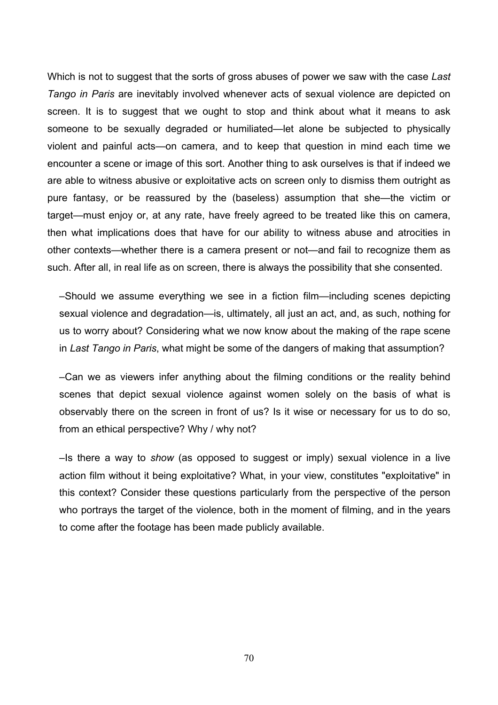Which is not to suggest that the sorts of gross abuses of power we saw with the case *Last Tango in Paris* are inevitably involved whenever acts of sexual violence are depicted on screen. It is to suggest that we ought to stop and think about what it means to ask someone to be sexually degraded or humiliated—let alone be subjected to physically violent and painful acts—on camera, and to keep that question in mind each time we encounter a scene or image of this sort. Another thing to ask ourselves is that if indeed we are able to witness abusive or exploitative acts on screen only to dismiss them outright as pure fantasy, or be reassured by the (baseless) assumption that she—the victim or target—must enjoy or, at any rate, have freely agreed to be treated like this on camera, then what implications does that have for our ability to witness abuse and atrocities in other contexts—whether there is a camera present or not—and fail to recognize them as such. After all, in real life as on screen, there is always the possibility that she consented.

–Should we assume everything we see in a fiction film—including scenes depicting sexual violence and degradation—is, ultimately, all just an act, and, as such, nothing for us to worry about? Considering what we now know about the making of the rape scene in *Last Tango in Paris*, what might be some of the dangers of making that assumption?

–Can we as viewers infer anything about the filming conditions or the reality behind scenes that depict sexual violence against women solely on the basis of what is observably there on the screen in front of us? Is it wise or necessary for us to do so, from an ethical perspective? Why / why not?

–Is there a way to *show* (as opposed to suggest or imply) sexual violence in a live action film without it being exploitative? What, in your view, constitutes "exploitative" in this context? Consider these questions particularly from the perspective of the person who portrays the target of the violence, both in the moment of filming, and in the years to come after the footage has been made publicly available.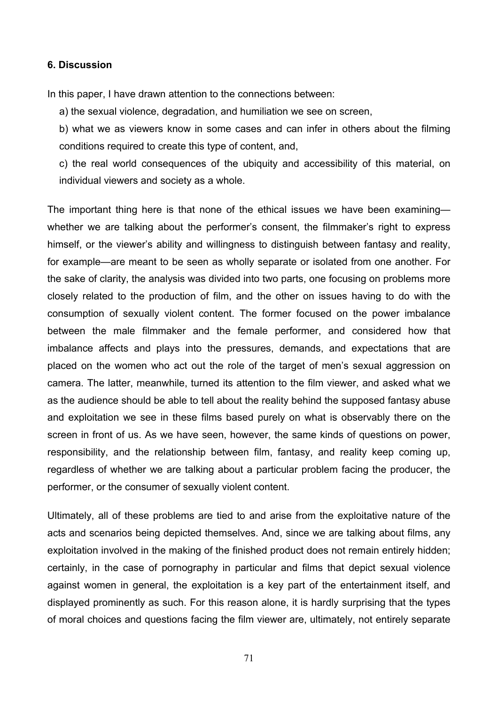### **6. Discussion**

In this paper, I have drawn attention to the connections between:

a) the sexual violence, degradation, and humiliation we see on screen,

b) what we as viewers know in some cases and can infer in others about the filming conditions required to create this type of content, and,

c) the real world consequences of the ubiquity and accessibility of this material, on individual viewers and society as a whole.

The important thing here is that none of the ethical issues we have been examining whether we are talking about the performer's consent, the filmmaker's right to express himself, or the viewer's ability and willingness to distinguish between fantasy and reality, for example—are meant to be seen as wholly separate or isolated from one another. For the sake of clarity, the analysis was divided into two parts, one focusing on problems more closely related to the production of film, and the other on issues having to do with the consumption of sexually violent content. The former focused on the power imbalance between the male filmmaker and the female performer, and considered how that imbalance affects and plays into the pressures, demands, and expectations that are placed on the women who act out the role of the target of men's sexual aggression on camera. The latter, meanwhile, turned its attention to the film viewer, and asked what we as the audience should be able to tell about the reality behind the supposed fantasy abuse and exploitation we see in these films based purely on what is observably there on the screen in front of us. As we have seen, however, the same kinds of questions on power, responsibility, and the relationship between film, fantasy, and reality keep coming up, regardless of whether we are talking about a particular problem facing the producer, the performer, or the consumer of sexually violent content.

Ultimately, all of these problems are tied to and arise from the exploitative nature of the acts and scenarios being depicted themselves. And, since we are talking about films, any exploitation involved in the making of the finished product does not remain entirely hidden; certainly, in the case of pornography in particular and films that depict sexual violence against women in general, the exploitation is a key part of the entertainment itself, and displayed prominently as such. For this reason alone, it is hardly surprising that the types of moral choices and questions facing the film viewer are, ultimately, not entirely separate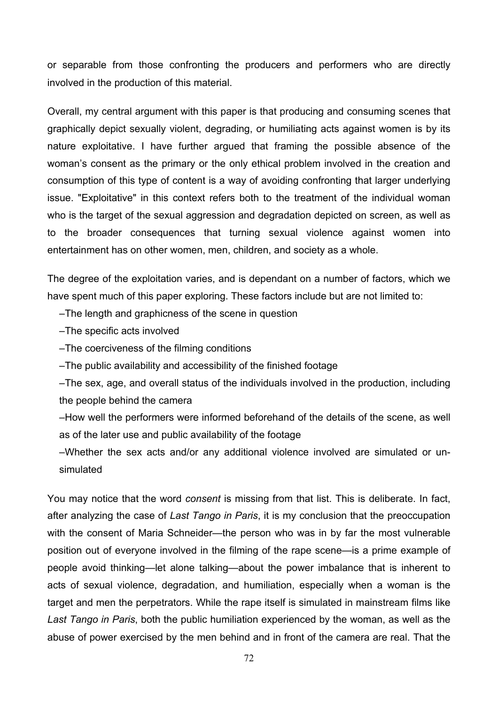or separable from those confronting the producers and performers who are directly involved in the production of this material.

Overall, my central argument with this paper is that producing and consuming scenes that graphically depict sexually violent, degrading, or humiliating acts against women is by its nature exploitative. I have further argued that framing the possible absence of the woman's consent as the primary or the only ethical problem involved in the creation and consumption of this type of content is a way of avoiding confronting that larger underlying issue. "Exploitative" in this context refers both to the treatment of the individual woman who is the target of the sexual aggression and degradation depicted on screen, as well as to the broader consequences that turning sexual violence against women into entertainment has on other women, men, children, and society as a whole.

The degree of the exploitation varies, and is dependant on a number of factors, which we have spent much of this paper exploring. These factors include but are not limited to:

–The length and graphicness of the scene in question

–The specific acts involved

–The coerciveness of the filming conditions

–The public availability and accessibility of the finished footage

–The sex, age, and overall status of the individuals involved in the production, including the people behind the camera

–How well the performers were informed beforehand of the details of the scene, as well as of the later use and public availability of the footage

–Whether the sex acts and/or any additional violence involved are simulated or unsimulated

You may notice that the word *consent* is missing from that list. This is deliberate. In fact, after analyzing the case of *Last Tango in Paris*, it is my conclusion that the preoccupation with the consent of Maria Schneider—the person who was in by far the most vulnerable position out of everyone involved in the filming of the rape scene—is a prime example of people avoid thinking—let alone talking—about the power imbalance that is inherent to acts of sexual violence, degradation, and humiliation, especially when a woman is the target and men the perpetrators. While the rape itself is simulated in mainstream films like *Last Tango in Paris*, both the public humiliation experienced by the woman, as well as the abuse of power exercised by the men behind and in front of the camera are real. That the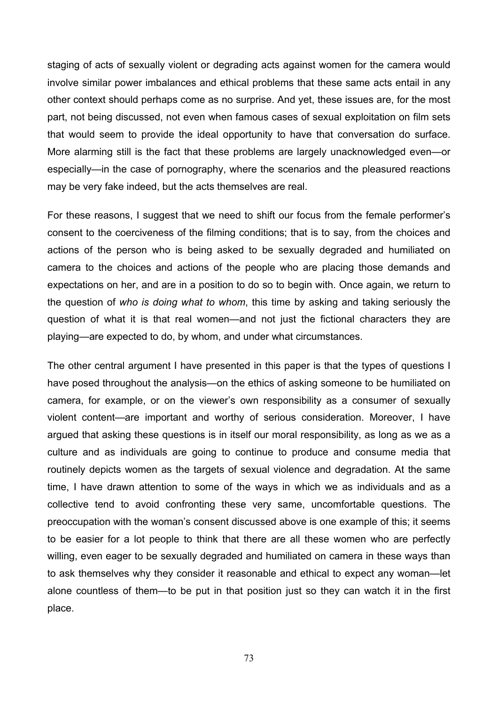staging of acts of sexually violent or degrading acts against women for the camera would involve similar power imbalances and ethical problems that these same acts entail in any other context should perhaps come as no surprise. And yet, these issues are, for the most part, not being discussed, not even when famous cases of sexual exploitation on film sets that would seem to provide the ideal opportunity to have that conversation do surface. More alarming still is the fact that these problems are largely unacknowledged even—or especially—in the case of pornography, where the scenarios and the pleasured reactions may be very fake indeed, but the acts themselves are real.

For these reasons, I suggest that we need to shift our focus from the female performer's consent to the coerciveness of the filming conditions; that is to say, from the choices and actions of the person who is being asked to be sexually degraded and humiliated on camera to the choices and actions of the people who are placing those demands and expectations on her, and are in a position to do so to begin with. Once again, we return to the question of *who is doing what to whom*, this time by asking and taking seriously the question of what it is that real women—and not just the fictional characters they are playing—are expected to do, by whom, and under what circumstances.

The other central argument I have presented in this paper is that the types of questions I have posed throughout the analysis—on the ethics of asking someone to be humiliated on camera, for example, or on the viewer's own responsibility as a consumer of sexually violent content—are important and worthy of serious consideration. Moreover, I have argued that asking these questions is in itself our moral responsibility, as long as we as a culture and as individuals are going to continue to produce and consume media that routinely depicts women as the targets of sexual violence and degradation. At the same time, I have drawn attention to some of the ways in which we as individuals and as a collective tend to avoid confronting these very same, uncomfortable questions. The preoccupation with the woman's consent discussed above is one example of this; it seems to be easier for a lot people to think that there are all these women who are perfectly willing, even eager to be sexually degraded and humiliated on camera in these ways than to ask themselves why they consider it reasonable and ethical to expect any woman—let alone countless of them—to be put in that position just so they can watch it in the first place.

73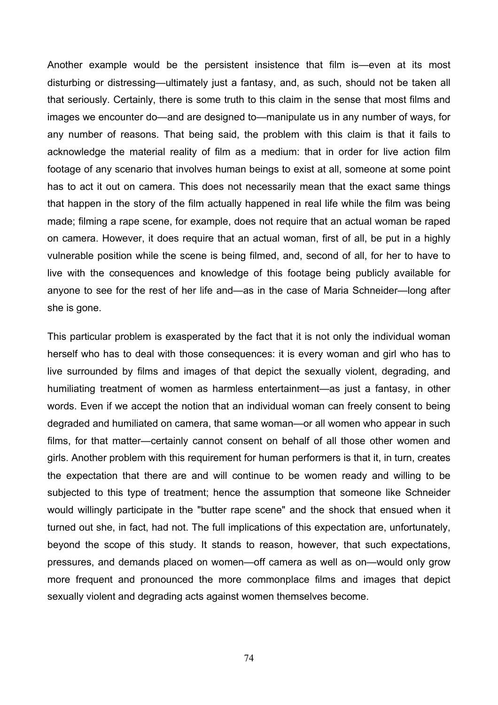Another example would be the persistent insistence that film is—even at its most disturbing or distressing—ultimately just a fantasy, and, as such, should not be taken all that seriously. Certainly, there is some truth to this claim in the sense that most films and images we encounter do—and are designed to—manipulate us in any number of ways, for any number of reasons. That being said, the problem with this claim is that it fails to acknowledge the material reality of film as a medium: that in order for live action film footage of any scenario that involves human beings to exist at all, someone at some point has to act it out on camera. This does not necessarily mean that the exact same things that happen in the story of the film actually happened in real life while the film was being made; filming a rape scene, for example, does not require that an actual woman be raped on camera. However, it does require that an actual woman, first of all, be put in a highly vulnerable position while the scene is being filmed, and, second of all, for her to have to live with the consequences and knowledge of this footage being publicly available for anyone to see for the rest of her life and—as in the case of Maria Schneider—long after she is gone.

This particular problem is exasperated by the fact that it is not only the individual woman herself who has to deal with those consequences: it is every woman and girl who has to live surrounded by films and images of that depict the sexually violent, degrading, and humiliating treatment of women as harmless entertainment—as just a fantasy, in other words. Even if we accept the notion that an individual woman can freely consent to being degraded and humiliated on camera, that same woman—or all women who appear in such films, for that matter—certainly cannot consent on behalf of all those other women and girls. Another problem with this requirement for human performers is that it, in turn, creates the expectation that there are and will continue to be women ready and willing to be subjected to this type of treatment; hence the assumption that someone like Schneider would willingly participate in the "butter rape scene" and the shock that ensued when it turned out she, in fact, had not. The full implications of this expectation are, unfortunately, beyond the scope of this study. It stands to reason, however, that such expectations, pressures, and demands placed on women—off camera as well as on—would only grow more frequent and pronounced the more commonplace films and images that depict sexually violent and degrading acts against women themselves become.

74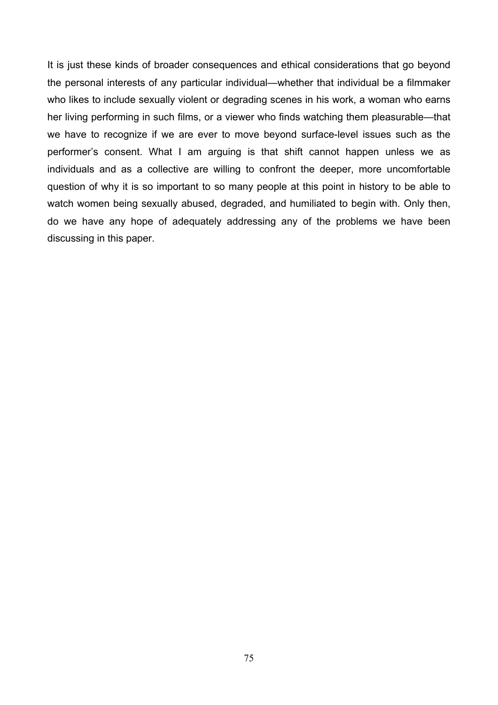It is just these kinds of broader consequences and ethical considerations that go beyond the personal interests of any particular individual—whether that individual be a filmmaker who likes to include sexually violent or degrading scenes in his work, a woman who earns her living performing in such films, or a viewer who finds watching them pleasurable—that we have to recognize if we are ever to move beyond surface-level issues such as the performer's consent. What I am arguing is that shift cannot happen unless we as individuals and as a collective are willing to confront the deeper, more uncomfortable question of why it is so important to so many people at this point in history to be able to watch women being sexually abused, degraded, and humiliated to begin with. Only then, do we have any hope of adequately addressing any of the problems we have been discussing in this paper.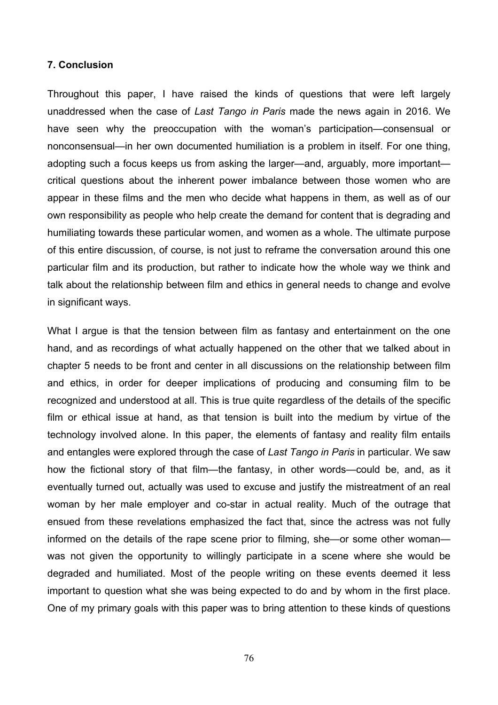## **7. Conclusion**

Throughout this paper, I have raised the kinds of questions that were left largely unaddressed when the case of *Last Tango in Paris* made the news again in 2016. We have seen why the preoccupation with the woman's participation—consensual or nonconsensual—in her own documented humiliation is a problem in itself. For one thing, adopting such a focus keeps us from asking the larger—and, arguably, more important critical questions about the inherent power imbalance between those women who are appear in these films and the men who decide what happens in them, as well as of our own responsibility as people who help create the demand for content that is degrading and humiliating towards these particular women, and women as a whole. The ultimate purpose of this entire discussion, of course, is not just to reframe the conversation around this one particular film and its production, but rather to indicate how the whole way we think and talk about the relationship between film and ethics in general needs to change and evolve in significant ways.

What I argue is that the tension between film as fantasy and entertainment on the one hand, and as recordings of what actually happened on the other that we talked about in chapter 5 needs to be front and center in all discussions on the relationship between film and ethics, in order for deeper implications of producing and consuming film to be recognized and understood at all. This is true quite regardless of the details of the specific film or ethical issue at hand, as that tension is built into the medium by virtue of the technology involved alone. In this paper, the elements of fantasy and reality film entails and entangles were explored through the case of *Last Tango in Paris* in particular. We saw how the fictional story of that film—the fantasy, in other words—could be, and, as it eventually turned out, actually was used to excuse and justify the mistreatment of an real woman by her male employer and co-star in actual reality. Much of the outrage that ensued from these revelations emphasized the fact that, since the actress was not fully informed on the details of the rape scene prior to filming, she—or some other woman was not given the opportunity to willingly participate in a scene where she would be degraded and humiliated. Most of the people writing on these events deemed it less important to question what she was being expected to do and by whom in the first place. One of my primary goals with this paper was to bring attention to these kinds of questions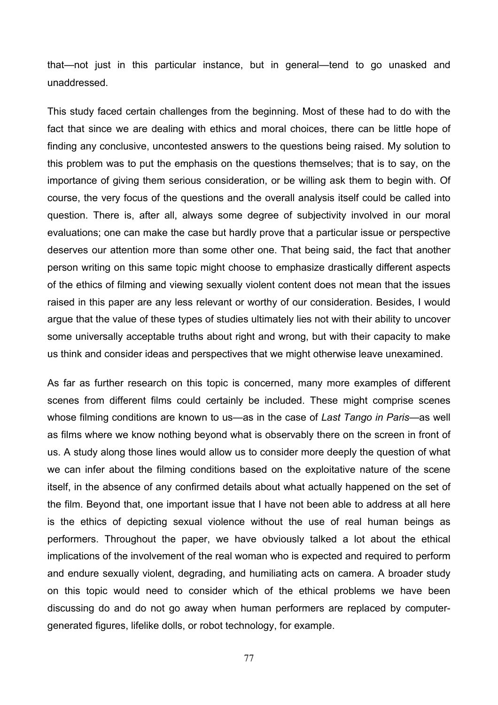that—not just in this particular instance, but in general—tend to go unasked and unaddressed.

This study faced certain challenges from the beginning. Most of these had to do with the fact that since we are dealing with ethics and moral choices, there can be little hope of finding any conclusive, uncontested answers to the questions being raised. My solution to this problem was to put the emphasis on the questions themselves; that is to say, on the importance of giving them serious consideration, or be willing ask them to begin with. Of course, the very focus of the questions and the overall analysis itself could be called into question. There is, after all, always some degree of subjectivity involved in our moral evaluations; one can make the case but hardly prove that a particular issue or perspective deserves our attention more than some other one. That being said, the fact that another person writing on this same topic might choose to emphasize drastically different aspects of the ethics of filming and viewing sexually violent content does not mean that the issues raised in this paper are any less relevant or worthy of our consideration. Besides, I would argue that the value of these types of studies ultimately lies not with their ability to uncover some universally acceptable truths about right and wrong, but with their capacity to make us think and consider ideas and perspectives that we might otherwise leave unexamined.

As far as further research on this topic is concerned, many more examples of different scenes from different films could certainly be included. These might comprise scenes whose filming conditions are known to us—as in the case of *Last Tango in Paris*—as well as films where we know nothing beyond what is observably there on the screen in front of us. A study along those lines would allow us to consider more deeply the question of what we can infer about the filming conditions based on the exploitative nature of the scene itself, in the absence of any confirmed details about what actually happened on the set of the film. Beyond that, one important issue that I have not been able to address at all here is the ethics of depicting sexual violence without the use of real human beings as performers. Throughout the paper, we have obviously talked a lot about the ethical implications of the involvement of the real woman who is expected and required to perform and endure sexually violent, degrading, and humiliating acts on camera. A broader study on this topic would need to consider which of the ethical problems we have been discussing do and do not go away when human performers are replaced by computergenerated figures, lifelike dolls, or robot technology, for example.

77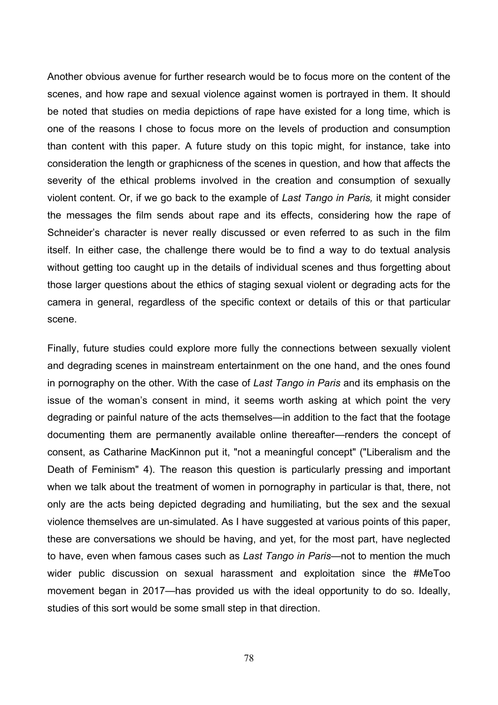Another obvious avenue for further research would be to focus more on the content of the scenes, and how rape and sexual violence against women is portrayed in them. It should be noted that studies on media depictions of rape have existed for a long time, which is one of the reasons I chose to focus more on the levels of production and consumption than content with this paper. A future study on this topic might, for instance, take into consideration the length or graphicness of the scenes in question, and how that affects the severity of the ethical problems involved in the creation and consumption of sexually violent content. Or, if we go back to the example of *Last Tango in Paris,* it might consider the messages the film sends about rape and its effects, considering how the rape of Schneider's character is never really discussed or even referred to as such in the film itself. In either case, the challenge there would be to find a way to do textual analysis without getting too caught up in the details of individual scenes and thus forgetting about those larger questions about the ethics of staging sexual violent or degrading acts for the camera in general, regardless of the specific context or details of this or that particular scene.

Finally, future studies could explore more fully the connections between sexually violent and degrading scenes in mainstream entertainment on the one hand, and the ones found in pornography on the other. With the case of *Last Tango in Paris* and its emphasis on the issue of the woman's consent in mind, it seems worth asking at which point the very degrading or painful nature of the acts themselves—in addition to the fact that the footage documenting them are permanently available online thereafter—renders the concept of consent, as Catharine MacKinnon put it, "not a meaningful concept" ("Liberalism and the Death of Feminism" 4). The reason this question is particularly pressing and important when we talk about the treatment of women in pornography in particular is that, there, not only are the acts being depicted degrading and humiliating, but the sex and the sexual violence themselves are un-simulated. As I have suggested at various points of this paper, these are conversations we should be having, and yet, for the most part, have neglected to have, even when famous cases such as *Last Tango in Paris*—not to mention the much wider public discussion on sexual harassment and exploitation since the #MeToo movement began in 2017—has provided us with the ideal opportunity to do so. Ideally, studies of this sort would be some small step in that direction.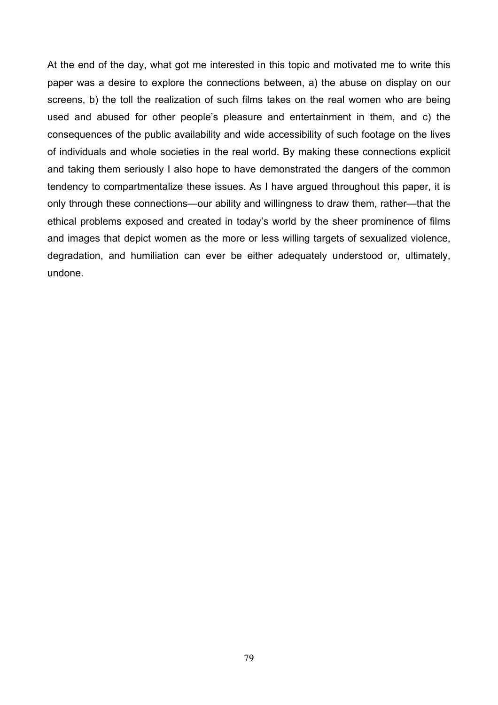At the end of the day, what got me interested in this topic and motivated me to write this paper was a desire to explore the connections between, a) the abuse on display on our screens, b) the toll the realization of such films takes on the real women who are being used and abused for other people's pleasure and entertainment in them, and c) the consequences of the public availability and wide accessibility of such footage on the lives of individuals and whole societies in the real world. By making these connections explicit and taking them seriously I also hope to have demonstrated the dangers of the common tendency to compartmentalize these issues. As I have argued throughout this paper, it is only through these connections—our ability and willingness to draw them, rather—that the ethical problems exposed and created in today's world by the sheer prominence of films and images that depict women as the more or less willing targets of sexualized violence, degradation, and humiliation can ever be either adequately understood or, ultimately, undone.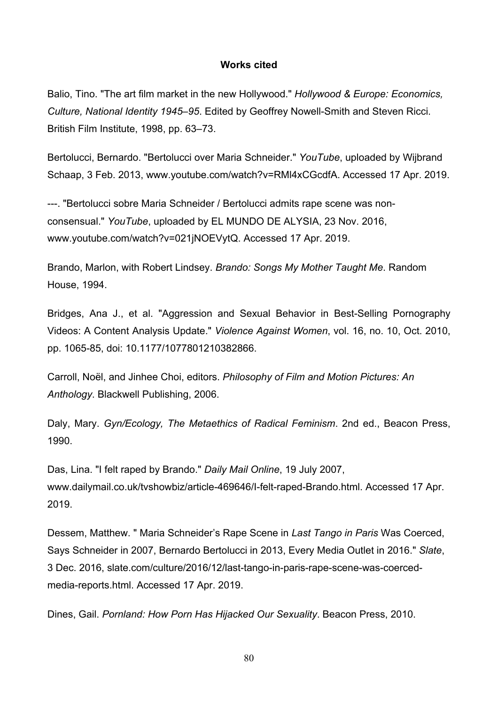## **Works cited**

Balio, Tino. "The art film market in the new Hollywood." *Hollywood & Europe: Economics, Culture, National Identity 1945–95*. Edited by Geoffrey Nowell-Smith and Steven Ricci. British Film Institute, 1998, pp. 63–73.

Bertolucci, Bernardo. "Bertolucci over Maria Schneider." *YouTube*, uploaded by Wijbrand Schaap, 3 Feb. 2013, www.youtube.com/watch?v=RMl4xCGcdfA. Accessed 17 Apr. 2019.

---. "Bertolucci sobre Maria Schneider / Bertolucci admits rape scene was nonconsensual." *YouTube*, uploaded by EL MUNDO DE ALYSIA, 23 Nov. 2016, www.youtube.com/watch?v=021jNOEVytQ. Accessed 17 Apr. 2019.

Brando, Marlon, with Robert Lindsey. *Brando: Songs My Mother Taught Me*. Random House, 1994.

Bridges, Ana J., et al. "Aggression and Sexual Behavior in Best-Selling Pornography Videos: A Content Analysis Update." *Violence Against Women*, vol. 16, no. 10, Oct. 2010, pp. 1065-85, doi: 10.1177/1077801210382866.

Carroll, Noël, and Jinhee Choi, editors. *Philosophy of Film and Motion Pictures: An Anthology*. Blackwell Publishing, 2006.

Daly, Mary. *Gyn/Ecology, The Metaethics of Radical Feminism*. 2nd ed., Beacon Press, 1990.

Das, Lina. "I felt raped by Brando." *Daily Mail Online*, 19 July 2007, www.dailymail.co.uk/tvshowbiz/article-469646/I-felt-raped-Brando.html. Accessed 17 Apr. 2019.

Dessem, Matthew. " Maria Schneider's Rape Scene in *Last Tango in Paris* Was Coerced, Says Schneider in 2007, Bernardo Bertolucci in 2013, Every Media Outlet in 2016." *Slate*, 3 Dec. 2016, slate.com/culture/2016/12/last-tango-in-paris-rape-scene-was-coercedmedia-reports.html. Accessed 17 Apr. 2019.

Dines, Gail. *Pornland: How Porn Has Hijacked Our Sexuality*. Beacon Press, 2010.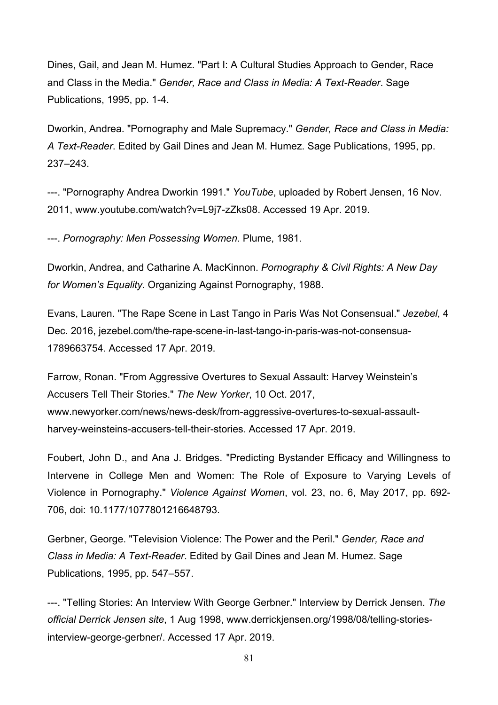Dines, Gail, and Jean M. Humez. "Part I: A Cultural Studies Approach to Gender, Race and Class in the Media." *Gender, Race and Class in Media: A Text-Reader*. Sage Publications, 1995, pp. 1-4.

Dworkin, Andrea. "Pornography and Male Supremacy." *Gender, Race and Class in Media: A Text-Reader*. Edited by Gail Dines and Jean M. Humez. Sage Publications, 1995, pp. 237–243.

---. "Pornography Andrea Dworkin 1991." *YouTube*, uploaded by Robert Jensen, 16 Nov. 2011, www.youtube.com/watch?v=L9j7-zZks08. Accessed 19 Apr. 2019.

---. *Pornography: Men Possessing Women*. Plume, 1981.

Dworkin, Andrea, and Catharine A. MacKinnon. *Pornography & Civil Rights: A New Day for Women's Equality*. Organizing Against Pornography, 1988.

Evans, Lauren. "The Rape Scene in Last Tango in Paris Was Not Consensual." *Jezebel*, 4 Dec. 2016, jezebel.com/the-rape-scene-in-last-tango-in-paris-was-not-consensua-1789663754. Accessed 17 Apr. 2019.

Farrow, Ronan. "From Aggressive Overtures to Sexual Assault: Harvey Weinstein's Accusers Tell Their Stories." *The New Yorker*, 10 Oct. 2017, www.newyorker.com/news/news-desk/from-aggressive-overtures-to-sexual-assaultharvey-weinsteins-accusers-tell-their-stories. Accessed 17 Apr. 2019.

Foubert, John D., and Ana J. Bridges. "Predicting Bystander Efficacy and Willingness to Intervene in College Men and Women: The Role of Exposure to Varying Levels of Violence in Pornography." *Violence Against Women*, vol. 23, no. 6, May 2017, pp. 692- 706, doi: 10.1177/1077801216648793.

Gerbner, George. "Television Violence: The Power and the Peril." *Gender, Race and Class in Media: A Text-Reader*. Edited by Gail Dines and Jean M. Humez. Sage Publications, 1995, pp. 547–557.

---. "Telling Stories: An Interview With George Gerbner." Interview by Derrick Jensen. *The official Derrick Jensen site*, 1 Aug 1998, www.derrickjensen.org/1998/08/telling-storiesinterview-george-gerbner/. Accessed 17 Apr. 2019.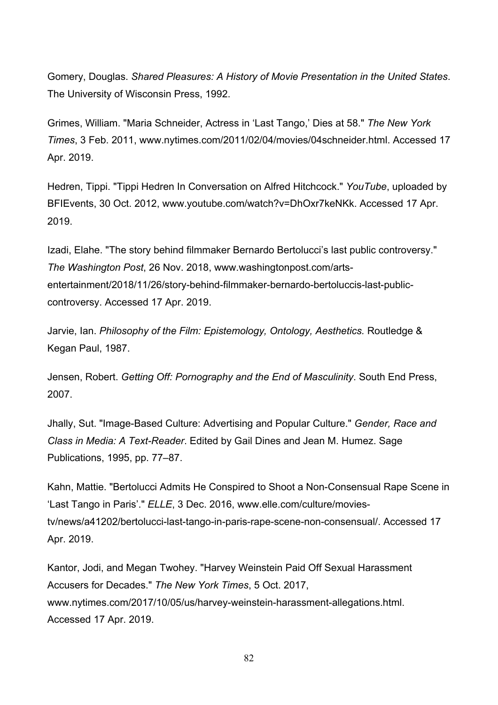Gomery, Douglas. *Shared Pleasures: A History of Movie Presentation in the United States*. The University of Wisconsin Press, 1992.

Grimes, William. "Maria Schneider, Actress in 'Last Tango,' Dies at 58." *The New York Times*, 3 Feb. 2011, www.nytimes.com/2011/02/04/movies/04schneider.html. Accessed 17 Apr. 2019.

Hedren, Tippi. "Tippi Hedren In Conversation on Alfred Hitchcock." *YouTube*, uploaded by BFIEvents, 30 Oct. 2012, www.youtube.com/watch?v=DhOxr7keNKk. Accessed 17 Apr. 2019.

Izadi, Elahe. "The story behind filmmaker Bernardo Bertolucci's last public controversy." *The Washington Post*, 26 Nov. 2018, www.washingtonpost.com/artsentertainment/2018/11/26/story-behind-filmmaker-bernardo-bertoluccis-last-publiccontroversy. Accessed 17 Apr. 2019.

Jarvie, Ian. *Philosophy of the Film: Epistemology, Ontology, Aesthetics.* Routledge & Kegan Paul, 1987.

Jensen, Robert. *Getting Off: Pornography and the End of Masculinity*. South End Press, 2007.

Jhally, Sut. "Image-Based Culture: Advertising and Popular Culture." *Gender, Race and Class in Media: A Text-Reader*. Edited by Gail Dines and Jean M. Humez. Sage Publications, 1995, pp. 77–87.

Kahn, Mattie. "Bertolucci Admits He Conspired to Shoot a Non-Consensual Rape Scene in 'Last Tango in Paris'." *ELLE*, 3 Dec. 2016, www.elle.com/culture/moviestv/news/a41202/bertolucci-last-tango-in-paris-rape-scene-non-consensual/. Accessed 17 Apr. 2019.

Kantor, Jodi, and Megan Twohey. "Harvey Weinstein Paid Off Sexual Harassment Accusers for Decades." *The New York Times*, 5 Oct. 2017, www.nytimes.com/2017/10/05/us/harvey-weinstein-harassment-allegations.html. Accessed 17 Apr. 2019.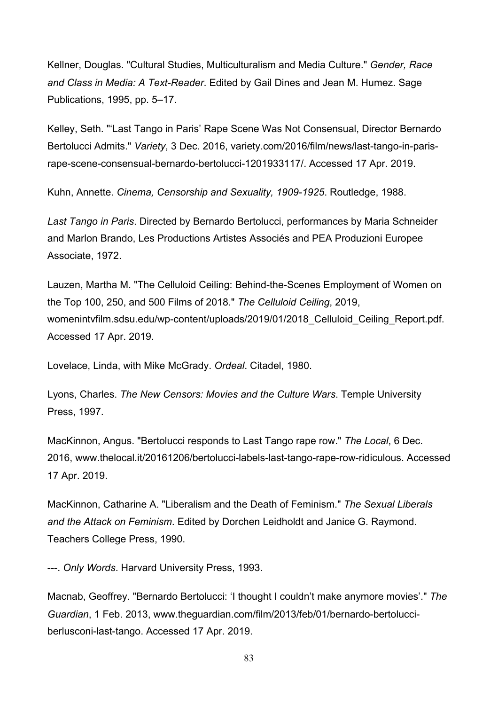Kellner, Douglas. "Cultural Studies, Multiculturalism and Media Culture." *Gender, Race and Class in Media: A Text-Reader*. Edited by Gail Dines and Jean M. Humez. Sage Publications, 1995, pp. 5–17.

Kelley, Seth. "'Last Tango in Paris' Rape Scene Was Not Consensual, Director Bernardo Bertolucci Admits." *Variety*, 3 Dec. 2016, variety.com/2016/film/news/last-tango-in-parisrape-scene-consensual-bernardo-bertolucci-1201933117/. Accessed 17 Apr. 2019.

Kuhn, Annette. *Cinema, Censorship and Sexuality, 1909-1925*. Routledge, 1988.

*Last Tango in Paris*. Directed by Bernardo Bertolucci, performances by Maria Schneider and Marlon Brando, Les Productions Artistes Associés and PEA Produzioni Europee Associate, 1972.

Lauzen, Martha M. "The Celluloid Ceiling: Behind-the-Scenes Employment of Women on the Top 100, 250, and 500 Films of 2018." *The Celluloid Ceiling*, 2019, womenintvfilm.sdsu.edu/wp-content/uploads/2019/01/2018\_Celluloid\_Ceiling\_Report.pdf. Accessed 17 Apr. 2019.

Lovelace, Linda, with Mike McGrady. *Ordeal*. Citadel, 1980.

Lyons, Charles. *The New Censors: Movies and the Culture Wars*. Temple University Press, 1997.

MacKinnon, Angus. "Bertolucci responds to Last Tango rape row." *The Local*, 6 Dec. 2016, www.thelocal.it/20161206/bertolucci-labels-last-tango-rape-row-ridiculous. Accessed 17 Apr. 2019.

MacKinnon, Catharine A. "Liberalism and the Death of Feminism." *The Sexual Liberals and the Attack on Feminism*. Edited by Dorchen Leidholdt and Janice G. Raymond. Teachers College Press, 1990.

---. *Only Words*. Harvard University Press, 1993.

Macnab, Geoffrey. "Bernardo Bertolucci: 'I thought I couldn't make anymore movies'." *The Guardian*, 1 Feb. 2013, www.theguardian.com/film/2013/feb/01/bernardo-bertolucciberlusconi-last-tango. Accessed 17 Apr. 2019.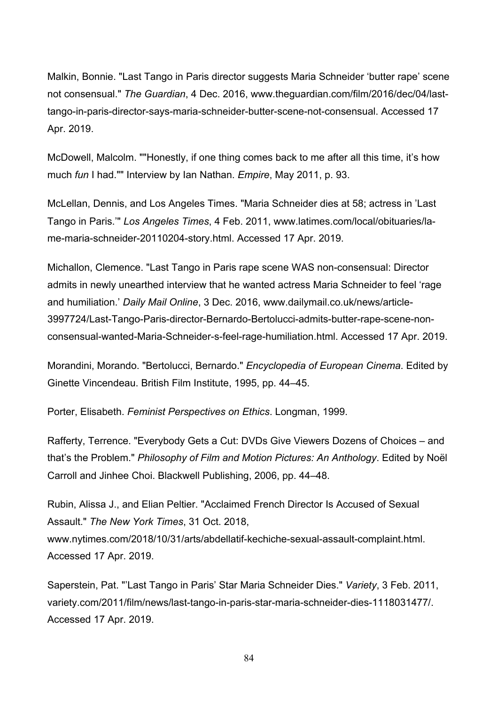Malkin, Bonnie. "Last Tango in Paris director suggests Maria Schneider 'butter rape' scene not consensual." *The Guardian*, 4 Dec. 2016, www.theguardian.com/film/2016/dec/04/lasttango-in-paris-director-says-maria-schneider-butter-scene-not-consensual. Accessed 17 Apr. 2019.

McDowell, Malcolm. ""Honestly, if one thing comes back to me after all this time, it's how much *fun* I had."" Interview by Ian Nathan. *Empire*, May 2011, p. 93.

McLellan, Dennis, and Los Angeles Times. "Maria Schneider dies at 58; actress in 'Last Tango in Paris.'" *Los Angeles Times*, 4 Feb. 2011, www.latimes.com/local/obituaries/lame-maria-schneider-20110204-story.html. Accessed 17 Apr. 2019.

Michallon, Clemence. "Last Tango in Paris rape scene WAS non-consensual: Director admits in newly unearthed interview that he wanted actress Maria Schneider to feel 'rage and humiliation.' *Daily Mail Online*, 3 Dec. 2016, www.dailymail.co.uk/news/article-3997724/Last-Tango-Paris-director-Bernardo-Bertolucci-admits-butter-rape-scene-nonconsensual-wanted-Maria-Schneider-s-feel-rage-humiliation.html. Accessed 17 Apr. 2019.

Morandini, Morando. "Bertolucci, Bernardo." *Encyclopedia of European Cinema*. Edited by Ginette Vincendeau. British Film Institute, 1995, pp. 44–45.

Porter, Elisabeth. *Feminist Perspectives on Ethics*. Longman, 1999.

Rafferty, Terrence. "Everybody Gets a Cut: DVDs Give Viewers Dozens of Choices – and that's the Problem." *Philosophy of Film and Motion Pictures: An Anthology*. Edited by Noël Carroll and Jinhee Choi. Blackwell Publishing, 2006, pp. 44–48.

Rubin, Alissa J., and Elian Peltier. "Acclaimed French Director Is Accused of Sexual Assault." *The New York Times*, 31 Oct. 2018, www.nytimes.com/2018/10/31/arts/abdellatif-kechiche-sexual-assault-complaint.html. Accessed 17 Apr. 2019.

Saperstein, Pat. "'Last Tango in Paris' Star Maria Schneider Dies." *Variety*, 3 Feb. 2011, variety.com/2011/film/news/last-tango-in-paris-star-maria-schneider-dies-1118031477/. Accessed 17 Apr. 2019.